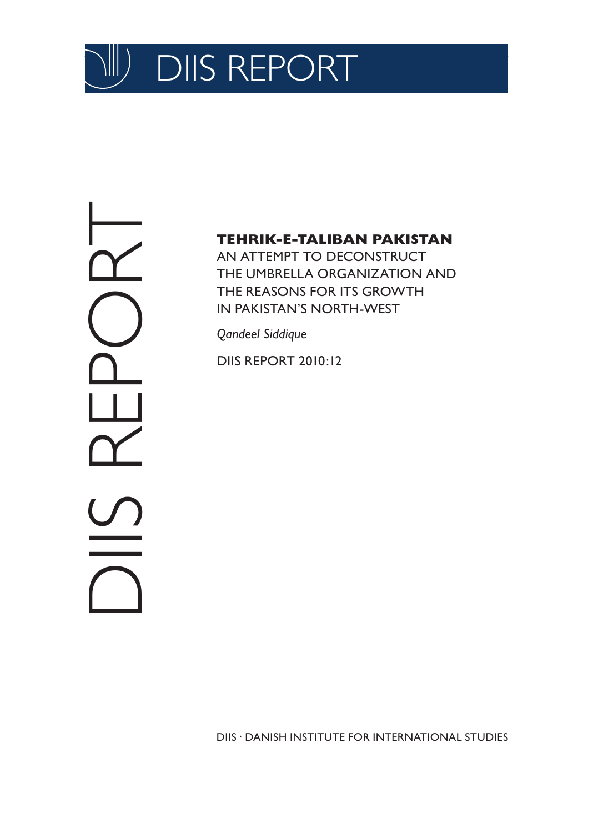

DIS REPORT

### **TEHRIK-E-TALIBAN PAKISTAN**

AN ATTEMPT TO DECONSTRUCT THE UMBRELLA ORGANIZATION AND THE REASONS FOR ITS GROWTH IN PAKISTAN'S NORTH-WEST

*Qandeel Siddique*

DIIS REPORT 2010:12

DIIS . DANISH INSTITUTE FOR INTERNATIONAL STUDIES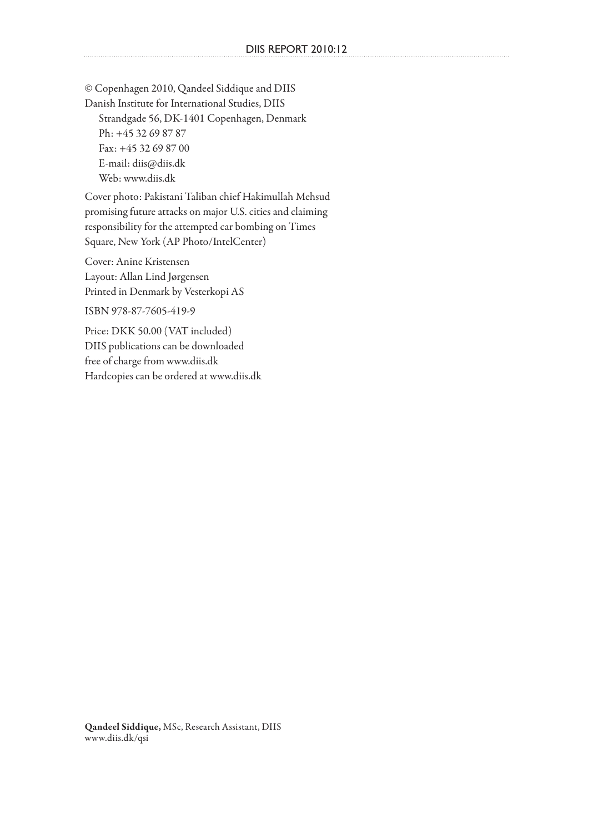© Copenhagen 2010, Qandeel Siddique and DIIS Danish Institute for International Studies, DIIS Strandgade 56, DK-1401 Copenhagen, Denmark Ph: +45 32 69 87 87 Fax: +45 32 69 87 00 E-mail: diis@diis.dk Web: www.diis.dk

Cover photo: Pakistani Taliban chief Hakimullah Mehsud promising future attacks on major U.S. cities and claiming responsibility for the attempted car bombing on Times Square, New York (AP Photo/IntelCenter)

Cover: Anine Kristensen Layout: Allan Lind Jørgensen Printed in Denmark by Vesterkopi AS

ISBN 978-87-7605-419-9

Price: DKK 50.00 (VAT included) DIIS publications can be downloaded free of charge from www.diis.dk Hardcopies can be ordered at www.diis.dk

Qandeel Siddique, MSc, Research Assistant, DIIS www.diis.dk/qsi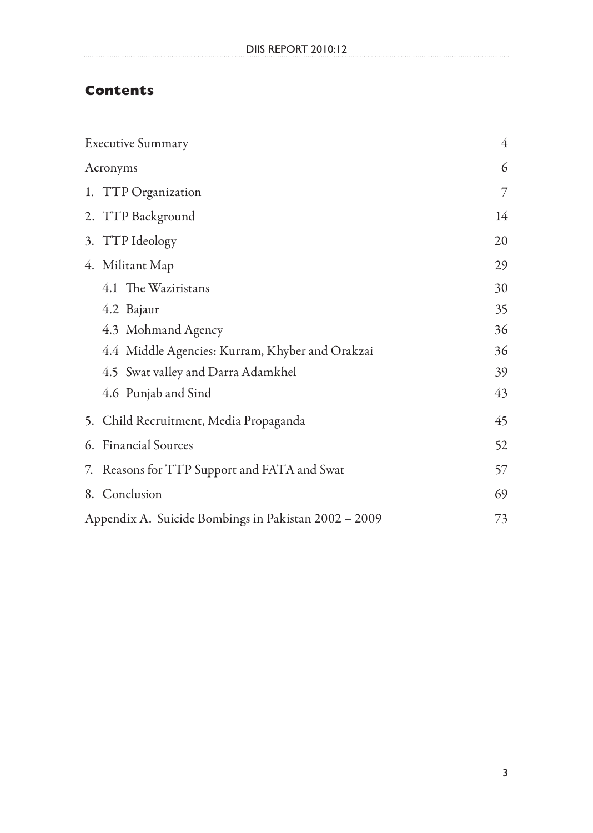#### **Contents**

|  | <b>Executive Summary</b>                             | $\overline{4}$ |
|--|------------------------------------------------------|----------------|
|  | Acronyms                                             | 6              |
|  | 1. TTP Organization                                  | 7              |
|  | 2. TTP Background                                    | 14             |
|  | 3. TTP Ideology                                      | 20             |
|  | 4. Militant Map                                      | 29             |
|  | 4.1 The Waziristans                                  | 30             |
|  | 4.2 Bajaur                                           | 35             |
|  | 4.3 Mohmand Agency                                   | 36             |
|  | 4.4 Middle Agencies: Kurram, Khyber and Orakzai      | 36             |
|  | 4.5 Swat valley and Darra Adamkhel                   | 39             |
|  | 4.6 Punjab and Sind                                  | 43             |
|  | 5. Child Recruitment, Media Propaganda               | 45             |
|  | 6. Financial Sources<br>52                           |                |
|  | 7. Reasons for TTP Support and FATA and Swat         | 57             |
|  | 8. Conclusion<br>69                                  |                |
|  | Appendix A. Suicide Bombings in Pakistan 2002 – 2009 | 73             |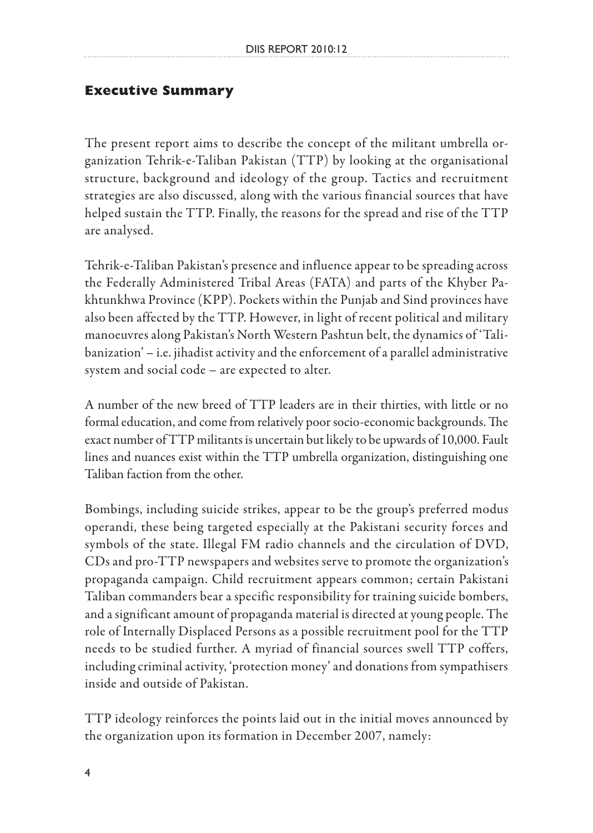#### **Executive Summary**

The present report aims to describe the concept of the militant umbrella organization Tehrik-e-Taliban Pakistan (TTP) by looking at the organisational structure, background and ideology of the group. Tactics and recruitment strategies are also discussed, along with the various financial sources that have helped sustain the TTP. Finally, the reasons for the spread and rise of the TTP are analysed.

Tehrik-e-Taliban Pakistan's presence and influence appear to be spreading across the Federally Administered Tribal Areas (FATA) and parts of the Khyber Pakhtunkhwa Province (KPP). Pockets within the Punjab and Sind provinces have also been affected by the TTP. However, in light of recent political and military manoeuvres along Pakistan's North Western Pashtun belt, the dynamics of 'Talibanization' – i.e. jihadist activity and the enforcement of a parallel administrative system and social code – are expected to alter.

A number of the new breed of TTP leaders are in their thirties, with little or no formal education, and come from relatively poor socio-economic backgrounds. The exact number of TTP militants is uncertain but likely to be upwards of 10,000. Fault lines and nuances exist within the TTP umbrella organization, distinguishing one Taliban faction from the other.

Bombings, including suicide strikes, appear to be the group's preferred modus operandi, these being targeted especially at the Pakistani security forces and symbols of the state. Illegal FM radio channels and the circulation of DVD, CDs and pro-TTP newspapers and websites serve to promote the organization's propaganda campaign. Child recruitment appears common; certain Pakistani Taliban commanders bear a specific responsibility for training suicide bombers, and a significant amount of propaganda material is directed at young people. The role of Internally Displaced Persons as a possible recruitment pool for the TTP needs to be studied further. A myriad of financial sources swell TTP coffers, including criminal activity, 'protection money' and donations from sympathisers inside and outside of Pakistan.

TTP ideology reinforces the points laid out in the initial moves announced by the organization upon its formation in December 2007, namely: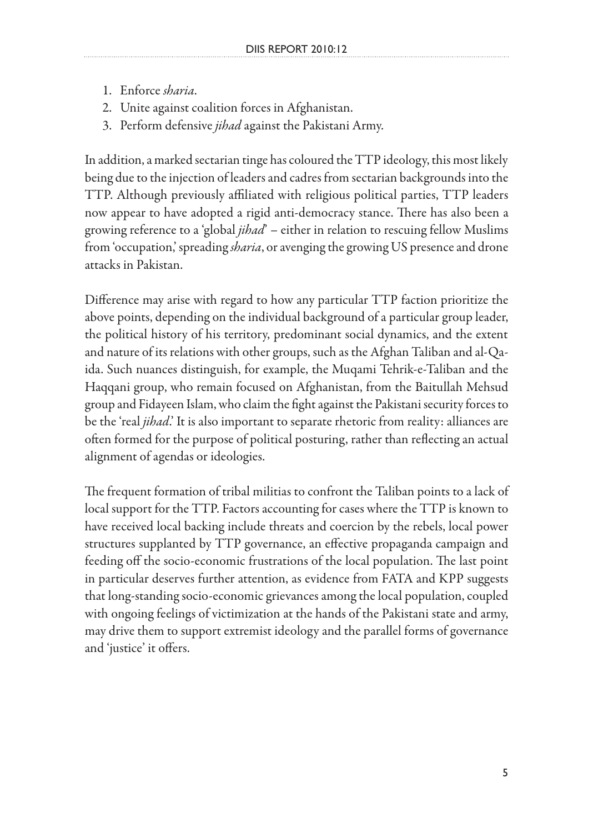- 1. Enforce *sharia*.
- 2. Unite against coalition forces in Afghanistan.
- 3. Perform defensive *jihad* against the Pakistani Army.

In addition, a marked sectarian tinge has coloured the TTP ideology, this most likely being due to the injection of leaders and cadres from sectarian backgrounds into the TTP. Although previously affiliated with religious political parties, TTP leaders now appear to have adopted a rigid anti-democracy stance. There has also been a growing reference to a 'global *jihad*' – either in relation to rescuing fellow Muslims from 'occupation,' spreading *sharia*, or avenging the growing US presence and drone attacks in Pakistan.

Difference may arise with regard to how any particular TTP faction prioritize the above points, depending on the individual background of a particular group leader, the political history of his territory, predominant social dynamics, and the extent and nature of its relations with other groups, such as the Afghan Taliban and al-Qaida. Such nuances distinguish, for example, the Muqami Tehrik-e-Taliban and the Haqqani group, who remain focused on Afghanistan, from the Baitullah Mehsud group and Fidayeen Islam, who claim the fight against the Pakistani security forces to be the 'real *jihad*.' It is also important to separate rhetoric from reality: alliances are often formed for the purpose of political posturing, rather than reflecting an actual alignment of agendas or ideologies.

The frequent formation of tribal militias to confront the Taliban points to a lack of local support for the TTP. Factors accounting for cases where the TTP is known to have received local backing include threats and coercion by the rebels, local power structures supplanted by TTP governance, an effective propaganda campaign and feeding off the socio-economic frustrations of the local population. The last point in particular deserves further attention, as evidence from FATA and KPP suggests that long-standing socio-economic grievances among the local population, coupled with ongoing feelings of victimization at the hands of the Pakistani state and army, may drive them to support extremist ideology and the parallel forms of governance and 'justice' it offers.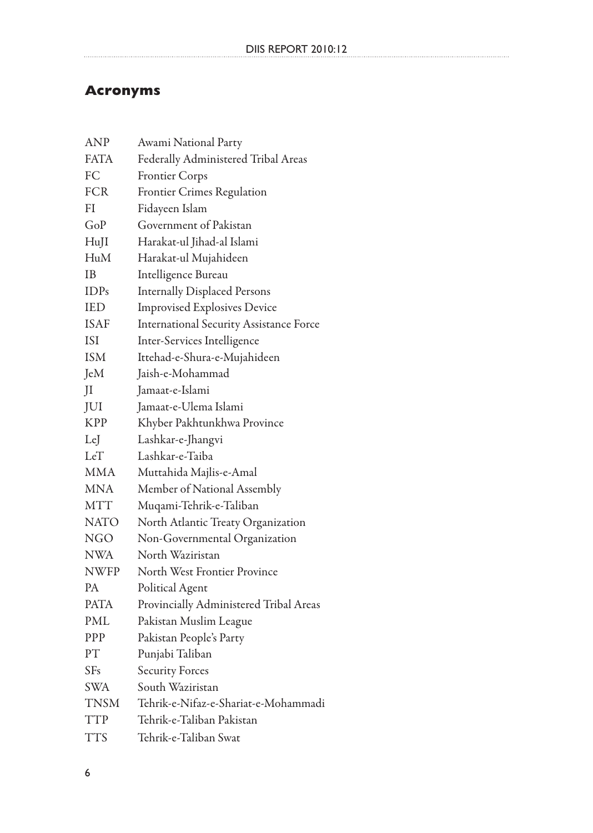# **Acronyms**

| ANP         | Awami National Party                           |
|-------------|------------------------------------------------|
| <b>FATA</b> | Federally Administered Tribal Areas            |
| FC          | Frontier Corps                                 |
| <b>FCR</b>  | Frontier Crimes Regulation                     |
| FI          | Fidayeen Islam                                 |
| GoP         | Government of Pakistan                         |
| HuJI        | Harakat-ul Jihad-al Islami                     |
| HuM         | Harakat-ul Mujahideen                          |
| IΒ          | Intelligence Bureau                            |
| IDPs        | <b>Internally Displaced Persons</b>            |
| IED         | <b>Improvised Explosives Device</b>            |
| <b>ISAF</b> | <b>International Security Assistance Force</b> |
| ISI         | Inter-Services Intelligence                    |
| <b>ISM</b>  | Ittehad-e-Shura-e-Mujahideen                   |
| JeM         | Jaish-e-Mohammad                               |
| JI          | Jamaat-e-Islami                                |
| JUI         | Jamaat-e-Ulema Islami                          |
| <b>KPP</b>  | Khyber Pakhtunkhwa Province                    |
| LeJ         | Lashkar-e-Jhangvi                              |
| LeT         | Lashkar-e-Taiba                                |
| MMA         | Muttahida Majlis-e-Amal                        |
| MNA         | Member of National Assembly                    |
| MTT         | Muqami-Tehrik-e-Taliban                        |
| NATO        | North Atlantic Treaty Organization             |
| <b>NGO</b>  | Non-Governmental Organization                  |
| NWA         | North Waziristan                               |
| <b>NWFP</b> | North West Frontier Province                   |
| <b>PA</b>   | Political Agent                                |
| <b>PATA</b> | Provincially Administered Tribal Areas         |
| PML         | Pakistan Muslim League                         |
| PPP         | Pakistan People's Party                        |
| PТ          | Punjabi Taliban                                |
| SFs         | <b>Security Forces</b>                         |
| <b>SWA</b>  | South Waziristan                               |
| TNSM        | Tehrik-e-Nifaz-e-Shariat-e-Mohammadi           |
| TTP         | Tehrik-e-Taliban Pakistan                      |
| <b>TTS</b>  | Tehrik-e-Taliban Swat                          |
|             |                                                |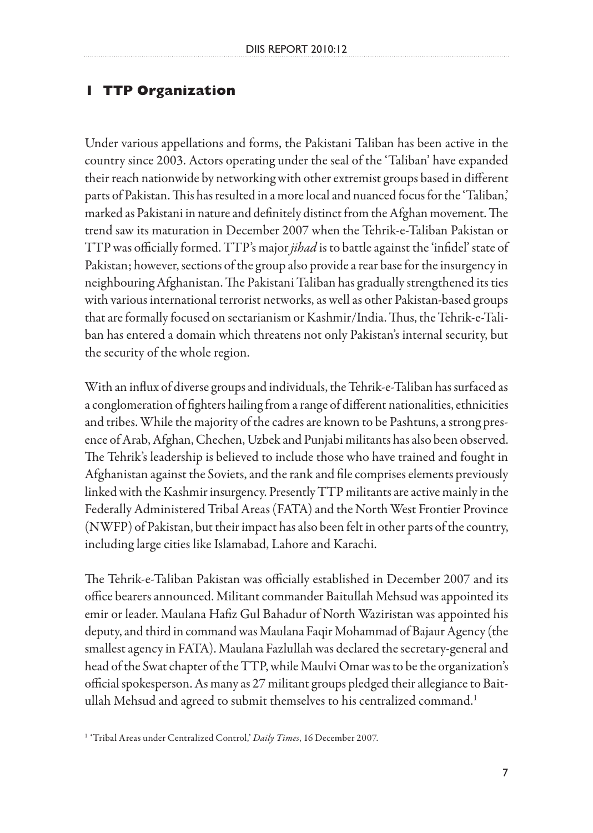# **1 TTP Organization**

Under various appellations and forms, the Pakistani Taliban has been active in the country since 2003. Actors operating under the seal of the 'Taliban' have expanded their reach nationwide by networking with other extremist groups based in different parts of Pakistan. This has resulted in a more local and nuanced focus for the 'Taliban,' marked as Pakistani in nature and definitely distinct from the Afghan movement. The trend saw its maturation in December 2007 when the Tehrik-e-Taliban Pakistan or TTP was officially formed. TTP's major *jihad* is to battle against the 'infidel' state of Pakistan; however, sections of the group also provide a rear base for the insurgency in neighbouring Afghanistan. The Pakistani Taliban has gradually strengthened its ties with various international terrorist networks, as well as other Pakistan-based groups that are formally focused on sectarianism or Kashmir/India. Thus, the Tehrik-e-Taliban has entered a domain which threatens not only Pakistan's internal security, but the security of the whole region.

With an influx of diverse groups and individuals, the Tehrik-e-Taliban has surfaced as a conglomeration of fighters hailing from a range of different nationalities, ethnicities and tribes. While the majority of the cadres are known to be Pashtuns, a strong presence of Arab, Afghan, Chechen, Uzbek and Punjabi militants has also been observed. The Tehrik's leadership is believed to include those who have trained and fought in Afghanistan against the Soviets, and the rank and file comprises elements previously linked with the Kashmir insurgency. Presently TTP militants are active mainly in the Federally Administered Tribal Areas (FATA) and the North West Frontier Province (NWFP) of Pakistan, but their impact has also been felt in other parts of the country, including large cities like Islamabad, Lahore and Karachi.

The Tehrik-e-Taliban Pakistan was officially established in December 2007 and its office bearers announced. Militant commander Baitullah Mehsud was appointed its emir or leader. Maulana Hafiz Gul Bahadur of North Waziristan was appointed his deputy, and third in command was Maulana Faqir Mohammad of Bajaur Agency (the smallest agency in FATA). Maulana Fazlullah was declared the secretary-general and head of the Swat chapter of the TTP, while Maulvi Omar was to be the organization's official spokesperson. As many as 27 militant groups pledged their allegiance to Baitullah Mehsud and agreed to submit themselves to his centralized command.<sup>1</sup>

<sup>1</sup> 'Tribal Areas under Centralized Control,' *Daily Times*, 16 December 2007.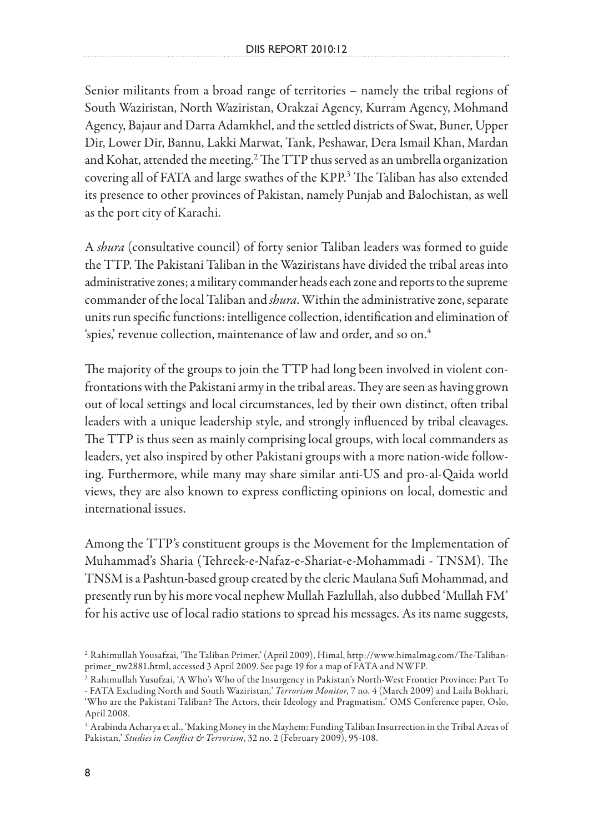Senior militants from a broad range of territories – namely the tribal regions of South Waziristan, North Waziristan, Orakzai Agency, Kurram Agency, Mohmand Agency, Bajaur and Darra Adamkhel, and the settled districts of Swat, Buner, Upper Dir, Lower Dir, Bannu, Lakki Marwat, Tank, Peshawar, Dera Ismail Khan, Mardan and Kohat, attended the meeting.<sup>2</sup> The TTP thus served as an umbrella organization covering all of FATA and large swathes of the KPP.3 The Taliban has also extended its presence to other provinces of Pakistan, namely Punjab and Balochistan, as well as the port city of Karachi.

A *shura* (consultative council) of forty senior Taliban leaders was formed to guide the TTP. The Pakistani Taliban in the Waziristans have divided the tribal areas into administrative zones; a military commander heads each zone and reports to the supreme commander of the local Taliban and *shura*. Within the administrative zone, separate units run specific functions: intelligence collection, identification and elimination of 'spies,' revenue collection, maintenance of law and order, and so on.<sup>4</sup>

The majority of the groups to join the TTP had long been involved in violent confrontations with the Pakistani army in the tribal areas. They are seen as having grown out of local settings and local circumstances, led by their own distinct, often tribal leaders with a unique leadership style, and strongly influenced by tribal cleavages. The TTP is thus seen as mainly comprising local groups, with local commanders as leaders, yet also inspired by other Pakistani groups with a more nation-wide following. Furthermore, while many may share similar anti-US and pro-al-Qaida world views, they are also known to express conflicting opinions on local, domestic and international issues.

Among the TTP's constituent groups is the Movement for the Implementation of Muhammad's Sharia (Tehreek-e-Nafaz-e-Shariat-e-Mohammadi - TNSM). The TNSM is a Pashtun-based group created by the cleric Maulana Sufi Mohammad, and presently run by his more vocal nephew Mullah Fazlullah, also dubbed 'Mullah FM' for his active use of local radio stations to spread his messages. As its name suggests,

<sup>2</sup> Rahimullah Yousafzai, 'The Taliban Primer,' (April 2009), Himal, http://www.himalmag.com/The-Talibanprimer\_nw2881.html, accessed 3 April 2009. See page 19 for a map of FATA and NWFP.

<sup>3</sup> Rahimullah Yusufzai, 'A Who's Who of the Insurgency in Pakistan's North-West Frontier Province: Part To - FATA Excluding North and South Waziristan,' *Terrorism Monitor*, 7 no. 4 (March 2009) and Laila Bokhari, 'Who are the Pakistani Taliban? The Actors, their Ideology and Pragmatism,' OMS Conference paper, Oslo, April 2008.

<sup>4</sup> Arabinda Acharya et al., 'Making Money in the Mayhem: Funding Taliban Insurrection in the Tribal Areas of Pakistan,' *Studies in Conflict & Terrorism*, 32 no. 2 (February 2009), 95-108.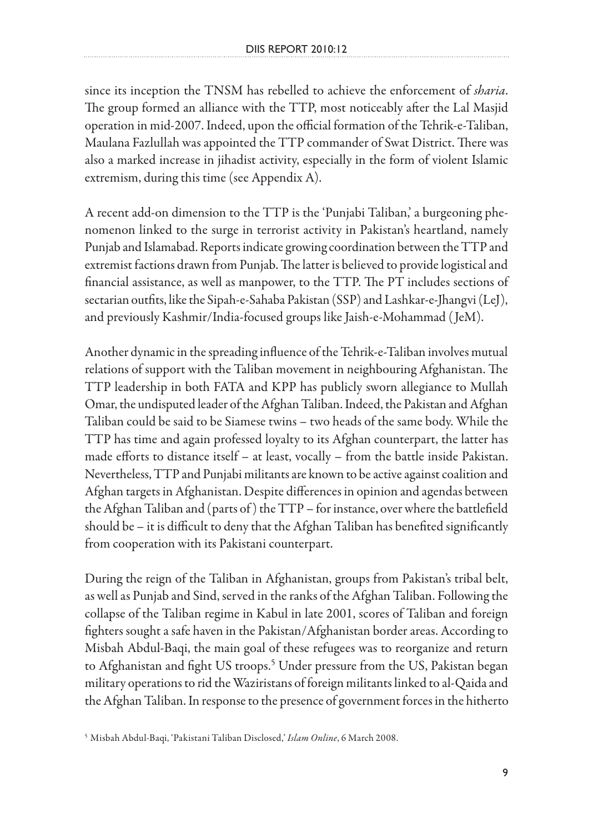since its inception the TNSM has rebelled to achieve the enforcement of *sharia*. The group formed an alliance with the TTP, most noticeably after the Lal Masjid operation in mid-2007. Indeed, upon the official formation of the Tehrik-e-Taliban, Maulana Fazlullah was appointed the TTP commander of Swat District. There was also a marked increase in jihadist activity, especially in the form of violent Islamic extremism, during this time (see Appendix A).

A recent add-on dimension to the TTP is the 'Punjabi Taliban,' a burgeoning phenomenon linked to the surge in terrorist activity in Pakistan's heartland, namely Punjab and Islamabad. Reports indicate growing coordination between the TTP and extremist factions drawn from Punjab. The latter is believed to provide logistical and financial assistance, as well as manpower, to the TTP. The PT includes sections of sectarian outfits, like the Sipah-e-Sahaba Pakistan (SSP) and Lashkar-e-Jhangvi (LeJ), and previously Kashmir/India-focused groups like Jaish-e-Mohammad ( JeM).

Another dynamic in the spreading influence of the Tehrik-e-Taliban involves mutual relations of support with the Taliban movement in neighbouring Afghanistan. The TTP leadership in both FATA and KPP has publicly sworn allegiance to Mullah Omar, the undisputed leader of the Afghan Taliban. Indeed, the Pakistan and Afghan Taliban could be said to be Siamese twins – two heads of the same body. While the TTP has time and again professed loyalty to its Afghan counterpart, the latter has made efforts to distance itself – at least, vocally – from the battle inside Pakistan. Nevertheless, TTP and Punjabi militants are known to be active against coalition and Afghan targets in Afghanistan. Despite differences in opinion and agendas between the Afghan Taliban and (parts of ) the TTP – for instance, over where the battlefield should be – it is difficult to deny that the Afghan Taliban has benefited significantly from cooperation with its Pakistani counterpart.

During the reign of the Taliban in Afghanistan, groups from Pakistan's tribal belt, as well as Punjab and Sind, served in the ranks of the Afghan Taliban. Following the collapse of the Taliban regime in Kabul in late 2001, scores of Taliban and foreign fighters sought a safe haven in the Pakistan/Afghanistan border areas. According to Misbah Abdul-Baqi, the main goal of these refugees was to reorganize and return to Afghanistan and fight US troops.<sup>5</sup> Under pressure from the US, Pakistan began military operations to rid the Waziristans of foreign militants linked to al-Qaida and the Afghan Taliban. In response to the presence of government forces in the hitherto

<sup>5</sup> Misbah Abdul-Baqi, 'Pakistani Taliban Disclosed,' *Islam Online*, 6 March 2008.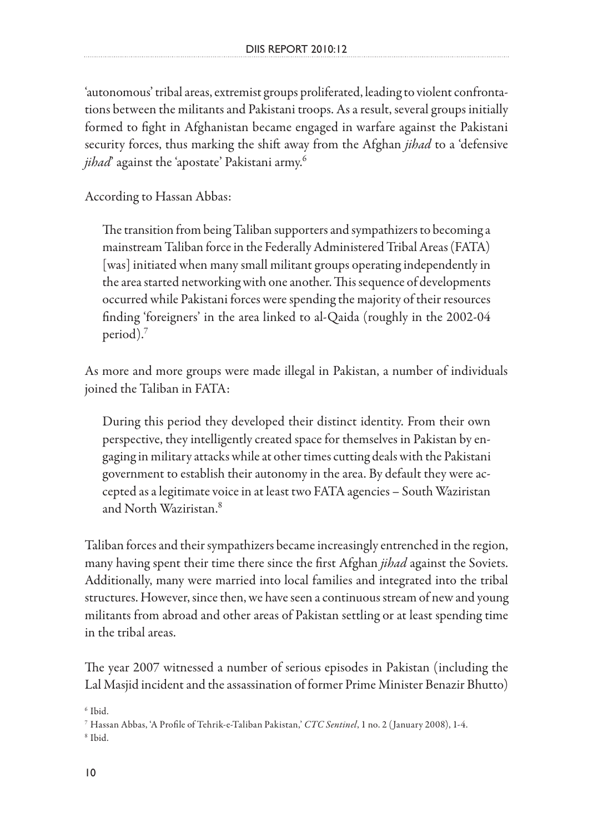'autonomous' tribal areas, extremist groups proliferated, leading to violent confrontations between the militants and Pakistani troops. As a result, several groups initially formed to fight in Afghanistan became engaged in warfare against the Pakistani security forces, thus marking the shift away from the Afghan *jihad* to a 'defensive jihad<sup>'</sup> against the 'apostate' Pakistani army.<sup>6</sup>

According to Hassan Abbas:

The transition from being Taliban supporters and sympathizers to becoming a mainstream Taliban force in the Federally Administered Tribal Areas (FATA) [was] initiated when many small militant groups operating independently in the area started networking with one another. This sequence of developments occurred while Pakistani forces were spending the majority of their resources finding 'foreigners' in the area linked to al-Qaida (roughly in the 2002-04 period).

As more and more groups were made illegal in Pakistan, a number of individuals joined the Taliban in FATA:

During this period they developed their distinct identity. From their own perspective, they intelligently created space for themselves in Pakistan by engaging in military attacks while at other times cutting deals with the Pakistani government to establish their autonomy in the area. By default they were accepted as a legitimate voice in at least two FATA agencies – South Waziristan and North Waziristan<sup>8</sup>

Taliban forces and their sympathizers became increasingly entrenched in the region, many having spent their time there since the first Afghan *jihad* against the Soviets. Additionally, many were married into local families and integrated into the tribal structures. However, since then, we have seen a continuous stream of new and young militants from abroad and other areas of Pakistan settling or at least spending time in the tribal areas.

The year 2007 witnessed a number of serious episodes in Pakistan (including the Lal Masjid incident and the assassination of former Prime Minister Benazir Bhutto)

 $6$  Ibid.

<sup>7</sup> Hassan Abbas, 'A Profile of Tehrik-e-Taliban Pakistan,' *CTC Sentinel*, 1 no. 2 (January 2008), 1-4. 8 Ibid.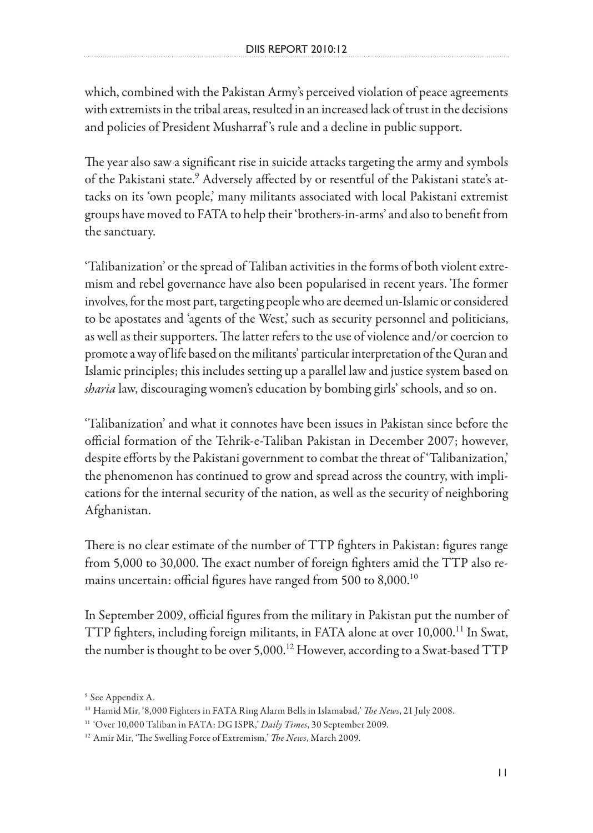which, combined with the Pakistan Army's perceived violation of peace agreements with extremists in the tribal areas, resulted in an increased lack of trust in the decisions and policies of President Musharraf 's rule and a decline in public support.

The year also saw a significant rise in suicide attacks targeting the army and symbols of the Pakistani state.<sup>9</sup> Adversely affected by or resentful of the Pakistani state's attacks on its 'own people,' many militants associated with local Pakistani extremist groups have moved to FATA to help their 'brothers-in-arms' and also to benefit from the sanctuary.

'Talibanization' or the spread of Taliban activities in the forms of both violent extremism and rebel governance have also been popularised in recent years. The former involves, for the most part, targeting people who are deemed un-Islamic or considered to be apostates and 'agents of the West,' such as security personnel and politicians, as well as their supporters. The latter refers to the use of violence and/or coercion to promote a way of life based on the militants' particular interpretation of the Quran and Islamic principles; this includes setting up a parallel law and justice system based on *sharia* law, discouraging women's education by bombing girls' schools, and so on.

'Talibanization' and what it connotes have been issues in Pakistan since before the official formation of the Tehrik-e-Taliban Pakistan in December 2007; however, despite efforts by the Pakistani government to combat the threat of 'Talibanization,' the phenomenon has continued to grow and spread across the country, with implications for the internal security of the nation, as well as the security of neighboring Afghanistan.

There is no clear estimate of the number of TTP fighters in Pakistan: figures range from 5,000 to 30,000. The exact number of foreign fighters amid the TTP also remains uncertain: official figures have ranged from 500 to  $8,000$ .<sup>10</sup>

In September 2009, official figures from the military in Pakistan put the number of TTP fighters, including foreign militants, in FATA alone at over 10,000.<sup>11</sup> In Swat, the number is thought to be over 5,000.<sup>12</sup> However, according to a Swat-based TTP

<sup>9</sup> See Appendix A.

<sup>10</sup> Hamid Mir, '8,000 Fighters in FATA Ring Alarm Bells in Islamabad,' *The News*, 21 July 2008.

<sup>&</sup>lt;sup>11</sup> 'Over 10,000 Taliban in FATA: DG ISPR,' *Daily Times*, 30 September 2009.

<sup>12</sup> Amir Mir, 'The Swelling Force of Extremism,' *The News*, March 2009.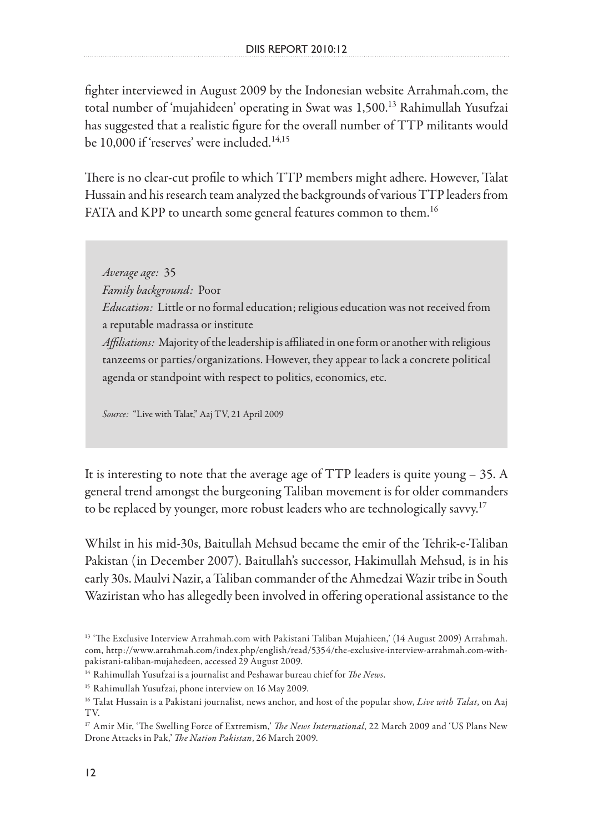fighter interviewed in August 2009 by the Indonesian website Arrahmah.com, the total number of 'mujahideen' operating in Swat was 1,500.13 Rahimullah Yusufzai has suggested that a realistic figure for the overall number of TTP militants would be 10,000 if 'reserves' were included.14,15

There is no clear-cut profile to which TTP members might adhere. However, Talat Hussain and his research team analyzed the backgrounds of various TTP leaders from FATA and KPP to unearth some general features common to them.<sup>16</sup>

*Average age:* 35 *Family background:* Poor *Education:* Little or no formal education; religious education was not received from a reputable madrassa or institute *Affiliations:* Majority of the leadership is affiliated in one form or another with religious tanzeems or parties/organizations. However, they appear to lack a concrete political agenda or standpoint with respect to politics, economics, etc.

*Source:* "Live with Talat," Aaj TV, 21 April 2009

It is interesting to note that the average age of TTP leaders is quite young – 35. A general trend amongst the burgeoning Taliban movement is for older commanders to be replaced by younger, more robust leaders who are technologically savvy.<sup>17</sup>

Whilst in his mid-30s, Baitullah Mehsud became the emir of the Tehrik-e-Taliban Pakistan (in December 2007). Baitullah's successor, Hakimullah Mehsud, is in his early 30s. Maulvi Nazir, a Taliban commander of the Ahmedzai Wazir tribe in South Waziristan who has allegedly been involved in offering operational assistance to the

<sup>&</sup>lt;sup>13</sup> 'The Exclusive Interview Arrahmah.com with Pakistani Taliban Mujahieen,' (14 August 2009) Arrahmah. com, http://www.arrahmah.com/index.php/english/read/5354/the-exclusive-interview-arrahmah.com-withpakistani-taliban-mujahedeen, accessed 29 August 2009.

<sup>14</sup> Rahimullah Yusufzai is a journalist and Peshawar bureau chief for *The News*.

<sup>15</sup> Rahimullah Yusufzai, phone interview on 16 May 2009.

<sup>16</sup> Talat Hussain is a Pakistani journalist, news anchor, and host of the popular show, *Live with Talat*, on Aaj TV.

<sup>17</sup> Amir Mir, 'The Swelling Force of Extremism,' *The News International*, 22 March 2009 and 'US Plans New Drone Attacks in Pak,' *The Nation Pakistan*, 26 March 2009.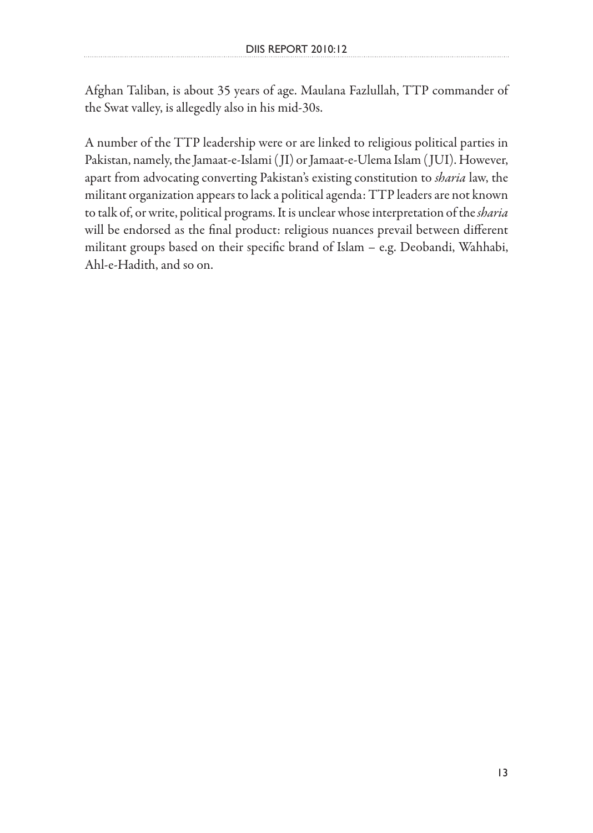Afghan Taliban, is about 35 years of age. Maulana Fazlullah, TTP commander of the Swat valley, is allegedly also in his mid-30s.

A number of the TTP leadership were or are linked to religious political parties in Pakistan, namely, the Jamaat-e-Islami ( JI) or Jamaat-e-Ulema Islam ( JUI). However, apart from advocating converting Pakistan's existing constitution to *sharia* law, the militant organization appears to lack a political agenda: TTP leaders are not known to talk of, or write, political programs. It is unclear whose interpretation of the *sharia* will be endorsed as the final product: religious nuances prevail between different militant groups based on their specific brand of Islam – e.g. Deobandi, Wahhabi, Ahl-e-Hadith, and so on.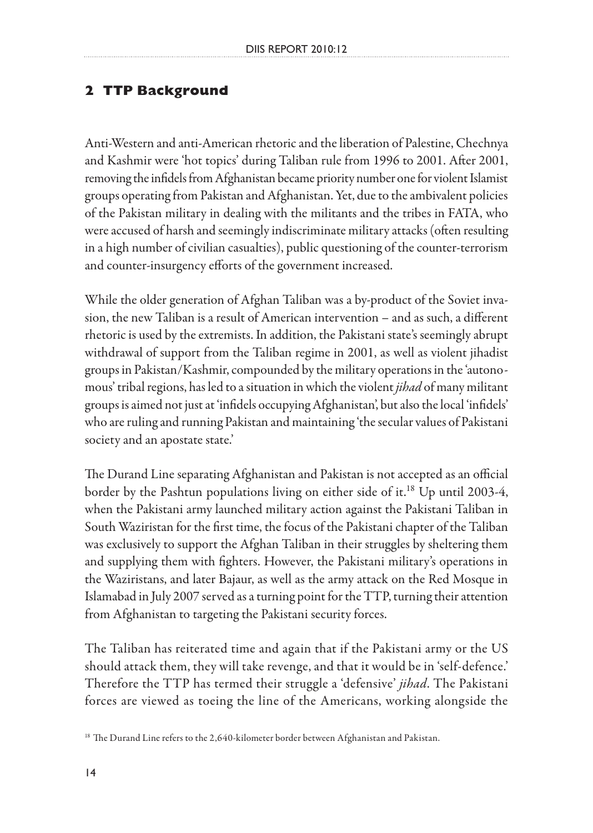# **2 TTP Background**

Anti-Western and anti-American rhetoric and the liberation of Palestine, Chechnya and Kashmir were 'hot topics' during Taliban rule from 1996 to 2001. After 2001, removing the infidels from Afghanistan became priority number one for violent Islamist groups operating from Pakistan and Afghanistan. Yet, due to the ambivalent policies of the Pakistan military in dealing with the militants and the tribes in FATA, who were accused of harsh and seemingly indiscriminate military attacks (often resulting in a high number of civilian casualties), public questioning of the counter-terrorism and counter-insurgency efforts of the government increased.

While the older generation of Afghan Taliban was a by-product of the Soviet invasion, the new Taliban is a result of American intervention – and as such, a different rhetoric is used by the extremists. In addition, the Pakistani state's seemingly abrupt withdrawal of support from the Taliban regime in 2001, as well as violent jihadist groups in Pakistan/Kashmir, compounded by the military operations in the 'autonomous' tribal regions, has led to a situation in which the violent *jihad* of many militant groups is aimed not just at 'infidels occupying Afghanistan', but also the local 'infidels' who are ruling and running Pakistan and maintaining 'the secular values of Pakistani society and an apostate state.'

The Durand Line separating Afghanistan and Pakistan is not accepted as an official border by the Pashtun populations living on either side of it.<sup>18</sup> Up until 2003-4, when the Pakistani army launched military action against the Pakistani Taliban in South Waziristan for the first time, the focus of the Pakistani chapter of the Taliban was exclusively to support the Afghan Taliban in their struggles by sheltering them and supplying them with fighters. However, the Pakistani military's operations in the Waziristans, and later Bajaur, as well as the army attack on the Red Mosque in Islamabad in July 2007 served as a turning point for the TTP, turning their attention from Afghanistan to targeting the Pakistani security forces.

The Taliban has reiterated time and again that if the Pakistani army or the US should attack them, they will take revenge, and that it would be in 'self-defence.' Therefore the TTP has termed their struggle a 'defensive' *jihad*. The Pakistani forces are viewed as toeing the line of the Americans, working alongside the

<sup>&</sup>lt;sup>18</sup> The Durand Line refers to the 2,640-kilometer border between Afghanistan and Pakistan.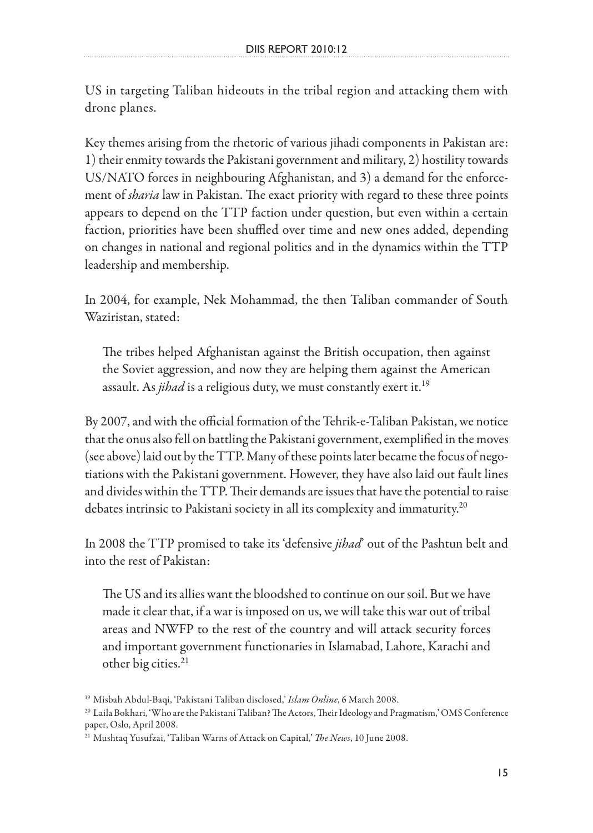US in targeting Taliban hideouts in the tribal region and attacking them with drone planes.

Key themes arising from the rhetoric of various jihadi components in Pakistan are: 1) their enmity towards the Pakistani government and military, 2) hostility towards US/NATO forces in neighbouring Afghanistan, and 3) a demand for the enforcement of *sharia* law in Pakistan. The exact priority with regard to these three points appears to depend on the TTP faction under question, but even within a certain faction, priorities have been shuffled over time and new ones added, depending on changes in national and regional politics and in the dynamics within the TTP leadership and membership.

In 2004, for example, Nek Mohammad, the then Taliban commander of South Waziristan, stated:

The tribes helped Afghanistan against the British occupation, then against the Soviet aggression, and now they are helping them against the American assault. As *jihad* is a religious duty, we must constantly exert it.<sup>19</sup>

By 2007, and with the official formation of the Tehrik-e-Taliban Pakistan, we notice that the onus also fell on battling the Pakistani government, exemplified in the moves (see above) laid out by the TTP. Many of these points later became the focus of negotiations with the Pakistani government. However, they have also laid out fault lines and divides within the TTP. Their demands are issues that have the potential to raise debates intrinsic to Pakistani society in all its complexity and immaturity.<sup>20</sup>

In 2008 the TTP promised to take its 'defensive *jihad*' out of the Pashtun belt and into the rest of Pakistan:

The US and its allies want the bloodshed to continue on our soil. But we have made it clear that, if a war is imposed on us, we will take this war out of tribal areas and NWFP to the rest of the country and will attack security forces and important government functionaries in Islamabad, Lahore, Karachi and other big cities.<sup>21</sup>

<sup>19</sup> Misbah Abdul-Baqi, 'Pakistani Taliban disclosed,' *Islam Online*, 6 March 2008.

<sup>20</sup> Laila Bokhari, 'Who are the Pakistani Taliban? The Actors, Their Ideology and Pragmatism,' OMS Conference paper, Oslo, April 2008.

<sup>21</sup> Mushtaq Yusufzai, 'Taliban Warns of Attack on Capital,' *The News*, 10 June 2008.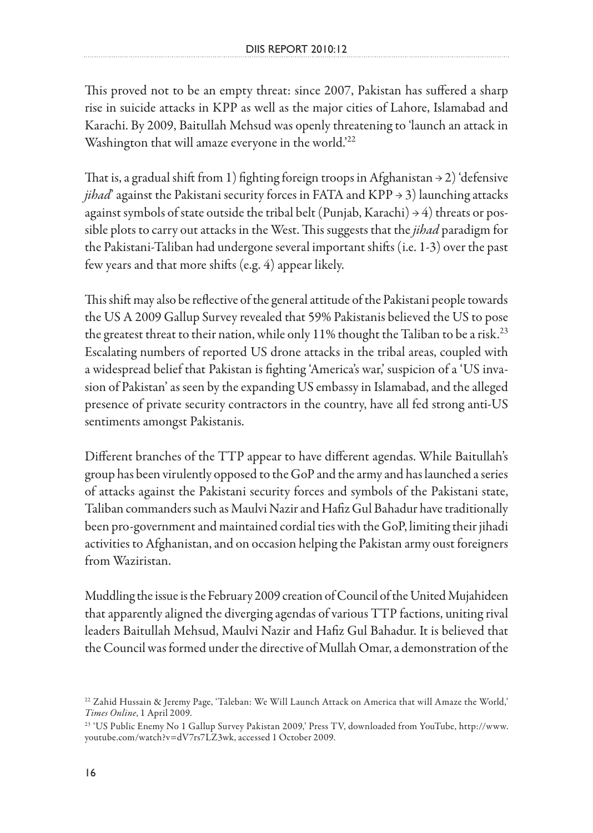This proved not to be an empty threat: since 2007, Pakistan has suffered a sharp rise in suicide attacks in KPP as well as the major cities of Lahore, Islamabad and Karachi. By 2009, Baitullah Mehsud was openly threatening to 'launch an attack in Washington that will amaze everyone in the world.<sup>22</sup>

That is, a gradual shift from 1) fighting foreign troops in Afghanistan  $\rightarrow$  2) 'defensive *jihad*' against the Pakistani security forces in FATA and KPP → 3) launching attacks against symbols of state outside the tribal belt (Punjab, Karachi)  $\rightarrow$  4) threats or possible plots to carry out attacks in the West. This suggests that the *jihad* paradigm for the Pakistani-Taliban had undergone several important shifts (i.e. 1-3) over the past few years and that more shifts (e.g. 4) appear likely.

This shift may also be reflective of the general attitude of the Pakistani people towards the US A 2009 Gallup Survey revealed that 59% Pakistanis believed the US to pose the greatest threat to their nation, while only 11% thought the Taliban to be a risk.<sup>23</sup> Escalating numbers of reported US drone attacks in the tribal areas, coupled with a widespread belief that Pakistan is fighting 'America's war,' suspicion of a 'US invasion of Pakistan' as seen by the expanding US embassy in Islamabad, and the alleged presence of private security contractors in the country, have all fed strong anti-US sentiments amongst Pakistanis.

Different branches of the TTP appear to have different agendas. While Baitullah's group has been virulently opposed to the GoP and the army and has launched a series of attacks against the Pakistani security forces and symbols of the Pakistani state, Taliban commanders such as Maulvi Nazir and Hafiz Gul Bahadur have traditionally been pro-government and maintained cordial ties with the GoP, limiting their jihadi activities to Afghanistan, and on occasion helping the Pakistan army oust foreigners from Waziristan.

Muddling the issue is the February 2009 creation of Council of the United Mujahideen that apparently aligned the diverging agendas of various TTP factions, uniting rival leaders Baitullah Mehsud, Maulvi Nazir and Hafiz Gul Bahadur. It is believed that the Council was formed under the directive of Mullah Omar, a demonstration of the

<sup>22</sup> Zahid Hussain & Jeremy Page, 'Taleban: We Will Launch Attack on America that will Amaze the World,' *Times Online*, 1 April 2009.

<sup>23 &#</sup>x27;US Public Enemy No 1 Gallup Survey Pakistan 2009,' Press TV, downloaded from YouTube, http://www. youtube.com/watch?v=dV7rs7LZ3wk, accessed 1 October 2009.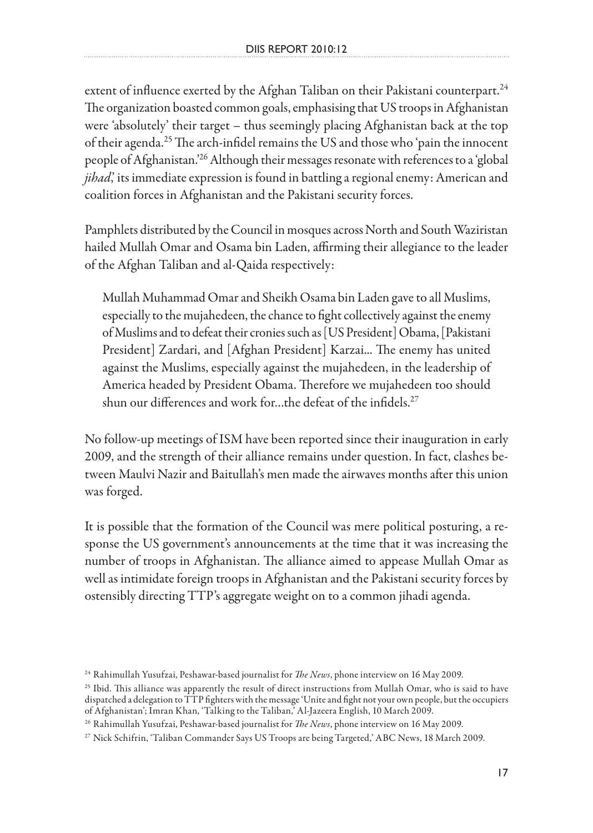extent of influence exerted by the Afghan Taliban on their Pakistani counterpart.<sup>24</sup> The organization boasted common goals, emphasising that US troops in Afghanistan were 'absolutely' their target – thus seemingly placing Afghanistan back at the top of their agenda.25 The arch-infidel remains the US and those who 'pain the innocent people of Afghanistan.'26 Although their messages resonate with references to a 'global *jihad*, its immediate expression is found in battling a regional enemy: American and coalition forces in Afghanistan and the Pakistani security forces.

Pamphlets distributed by the Council in mosques across North and South Waziristan hailed Mullah Omar and Osama bin Laden, affirming their allegiance to the leader of the Afghan Taliban and al-Qaida respectively:

Mullah Muhammad Omar and Sheikh Osama bin Laden gave to all Muslims, especially to the mujahedeen, the chance to fight collectively against the enemy of Muslims and to defeat their cronies such as [US President] Obama, [Pakistani President] Zardari, and [Afghan President] Karzai... The enemy has united against the Muslims, especially against the mujahedeen, in the leadership of America headed by President Obama. Therefore we mujahedeen too should shun our differences and work for...the defeat of the infidels.<sup>27</sup>

No follow-up meetings of ISM have been reported since their inauguration in early 2009, and the strength of their alliance remains under question. In fact, clashes between Maulvi Nazir and Baitullah's men made the airwaves months after this union was forged.

It is possible that the formation of the Council was mere political posturing, a response the US government's announcements at the time that it was increasing the number of troops in Afghanistan. The alliance aimed to appease Mullah Omar as well as intimidate foreign troops in Afghanistan and the Pakistani security forces by ostensibly directing TTP's aggregate weight on to a common jihadi agenda.

<sup>24</sup> Rahimullah Yusufzai, Peshawar-based journalist for *The News*, phone interview on 16 May 2009.

<sup>&</sup>lt;sup>25</sup> Ibid. This alliance was apparently the result of direct instructions from Mullah Omar, who is said to have dispatched a delegation to TTP fighters with the message 'Unite and fight not your own people, but the occupiers of Afghanistan'; Imran Khan, 'Talking to the Taliban,' Al-Jazeera English, 10 March 2009.

<sup>26</sup> Rahimullah Yusufzai, Peshawar-based journalist for *The News*, phone interview on 16 May 2009.

<sup>27</sup> Nick Schifrin, 'Taliban Commander Says US Troops are being Targeted,' ABC News, 18 March 2009.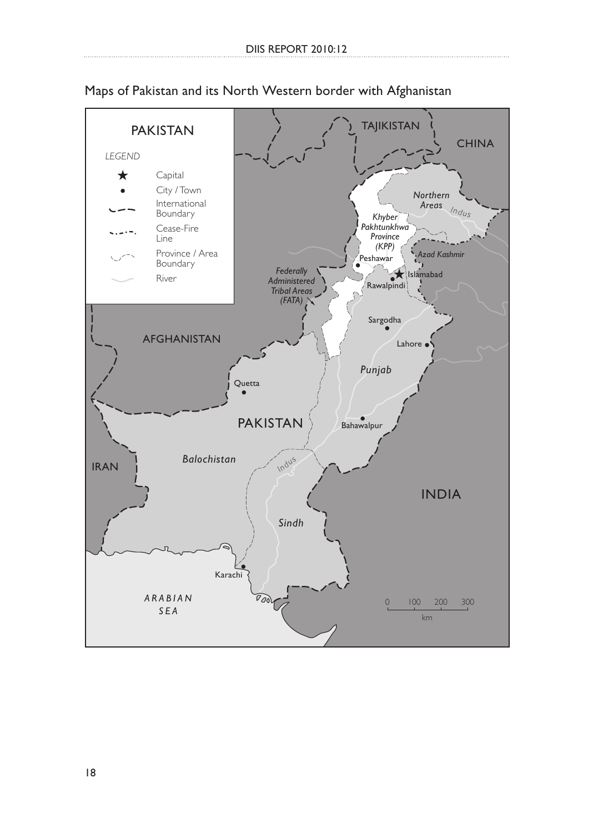

Maps of Pakistan and its North Western border with Afghanistan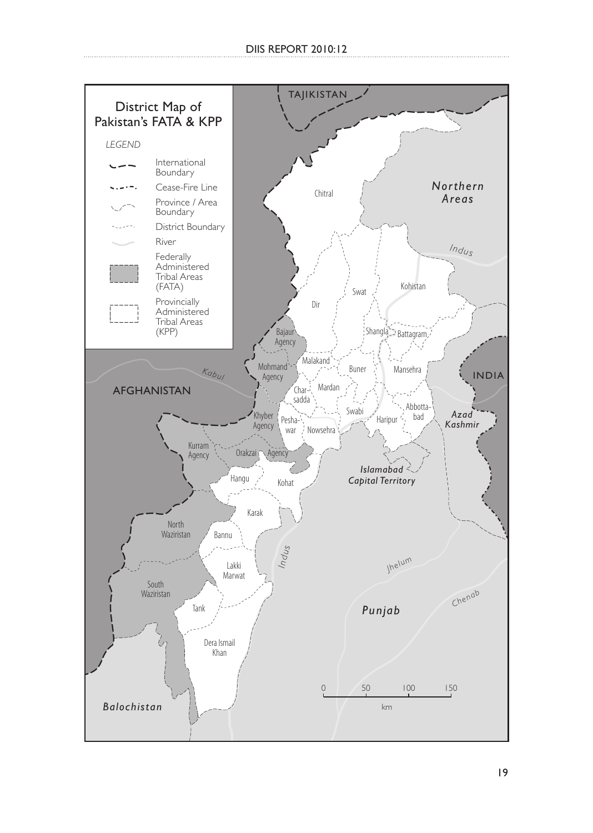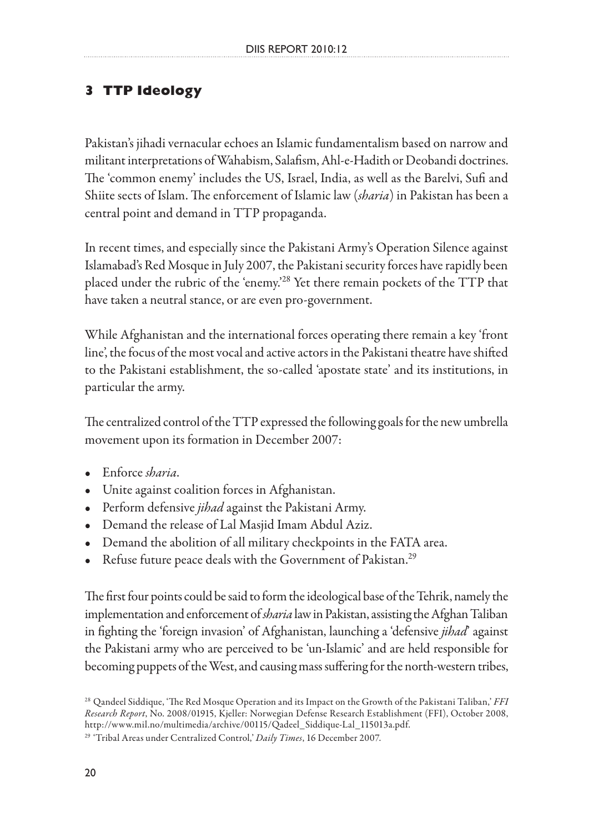# **3 TTP Ideology**

Pakistan's jihadi vernacular echoes an Islamic fundamentalism based on narrow and militant interpretations of Wahabism, Salafism, Ahl-e-Hadith or Deobandi doctrines. The 'common enemy' includes the US, Israel, India, as well as the Barelvi, Sufi and Shiite sects of Islam. The enforcement of Islamic law (*sharia*) in Pakistan has been a central point and demand in TTP propaganda.

In recent times, and especially since the Pakistani Army's Operation Silence against Islamabad's Red Mosque in July 2007, the Pakistani security forces have rapidly been placed under the rubric of the 'enemy.'28 Yet there remain pockets of the TTP that have taken a neutral stance, or are even pro-government.

While Afghanistan and the international forces operating there remain a key 'front line', the focus of the most vocal and active actors in the Pakistani theatre have shifted to the Pakistani establishment, the so-called 'apostate state' and its institutions, in particular the army.

The centralized control of the TTP expressed the following goals for the new umbrella movement upon its formation in December 2007:

- Enforce *sharia*.
- Unite against coalition forces in Afghanistan.
- Perform defensive *jihad* against the Pakistani Army.
- Demand the release of Lal Masjid Imam Abdul Aziz.
- Demand the abolition of all military checkpoints in the FATA area.
- Refuse future peace deals with the Government of Pakistan.<sup>29</sup>

The first four points could be said to form the ideological base of the Tehrik, namely the implementation and enforcement of *sharia* law in Pakistan, assisting the Afghan Taliban in fighting the 'foreign invasion' of Afghanistan, launching a 'defensive *jihad*' against the Pakistani army who are perceived to be 'un-Islamic' and are held responsible for becoming puppets of the West, and causing mass suffering for the north-western tribes,

<sup>28</sup> Qandeel Siddique, 'The Red Mosque Operation and its Impact on the Growth of the Pakistani Taliban,' *FFI Research Report*, No. 2008/01915, Kjeller: Norwegian Defense Research Establishment (FFI), October 2008, http://www.mil.no/multimedia/archive/00115/Qadeel\_Siddique-Lal\_115013a.pdf.

<sup>29 &#</sup>x27;Tribal Areas under Centralized Control,' *Daily Times*, 16 December 2007.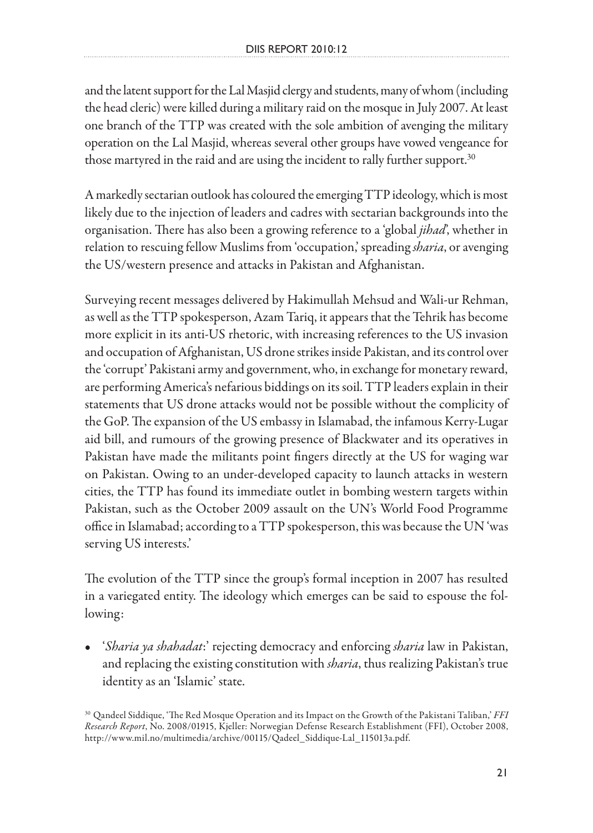and the latent support for the Lal Masjid clergy and students, many of whom (including the head cleric) were killed during a military raid on the mosque in July 2007. At least one branch of the TTP was created with the sole ambition of avenging the military operation on the Lal Masjid, whereas several other groups have vowed vengeance for those martyred in the raid and are using the incident to rally further support. $30$ 

A markedly sectarian outlook has coloured the emerging TTP ideology, which is most likely due to the injection of leaders and cadres with sectarian backgrounds into the organisation. There has also been a growing reference to a 'global *jihad*', whether in relation to rescuing fellow Muslims from 'occupation,' spreading *sharia*, or avenging the US/western presence and attacks in Pakistan and Afghanistan.

Surveying recent messages delivered by Hakimullah Mehsud and Wali-ur Rehman, as well as the TTP spokesperson, Azam Tariq, it appears that the Tehrik has become more explicit in its anti-US rhetoric, with increasing references to the US invasion and occupation of Afghanistan, US drone strikes inside Pakistan, and its control over the 'corrupt' Pakistani army and government, who, in exchange for monetary reward, are performing America's nefarious biddings on its soil. TTP leaders explain in their statements that US drone attacks would not be possible without the complicity of the GoP. The expansion of the US embassy in Islamabad, the infamous Kerry-Lugar aid bill, and rumours of the growing presence of Blackwater and its operatives in Pakistan have made the militants point fingers directly at the US for waging war on Pakistan. Owing to an under-developed capacity to launch attacks in western cities, the TTP has found its immediate outlet in bombing western targets within Pakistan, such as the October 2009 assault on the UN's World Food Programme office in Islamabad; according to a TTP spokesperson, this was because the UN 'was serving US interests.'

The evolution of the TTP since the group's formal inception in 2007 has resulted in a variegated entity. The ideology which emerges can be said to espouse the following:

• '*Sharia ya shahadat*:' rejecting democracy and enforcing *sharia* law in Pakistan, and replacing the existing constitution with *sharia*, thus realizing Pakistan's true identity as an 'Islamic' state.

<sup>30</sup> Qandeel Siddique, 'The Red Mosque Operation and its Impact on the Growth of the Pakistani Taliban,' *FFI Research Report*, No. 2008/01915, Kjeller: Norwegian Defense Research Establishment (FFI), October 2008, http://www.mil.no/multimedia/archive/00115/Qadeel\_Siddique-Lal\_115013a.pdf.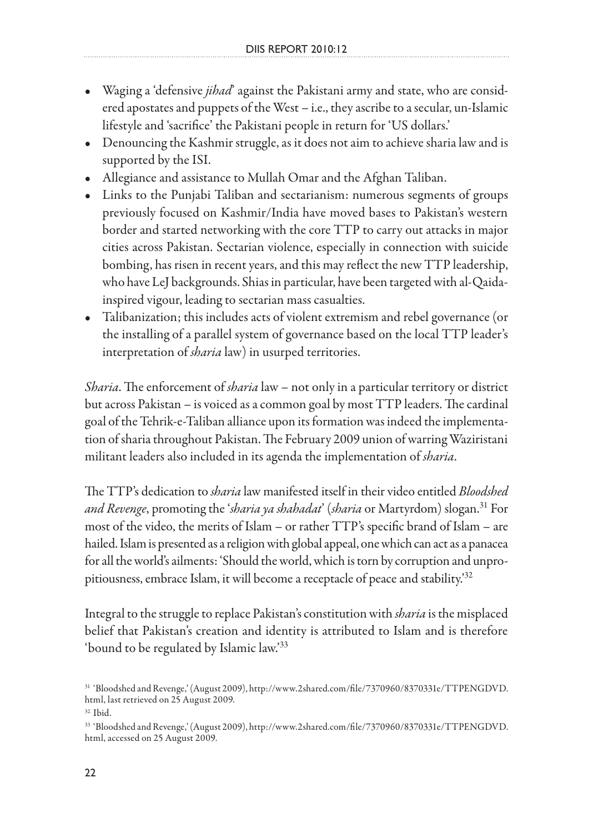- Waging a 'defensive *jihad*' against the Pakistani army and state, who are considered apostates and puppets of the West – i.e., they ascribe to a secular, un-Islamic lifestyle and 'sacrifice' the Pakistani people in return for 'US dollars.'
- Denouncing the Kashmir struggle, as it does not aim to achieve sharia law and is supported by the ISI.
- Allegiance and assistance to Mullah Omar and the Afghan Taliban.
- Links to the Punjabi Taliban and sectarianism: numerous segments of groups previously focused on Kashmir/India have moved bases to Pakistan's western border and started networking with the core TTP to carry out attacks in major cities across Pakistan. Sectarian violence, especially in connection with suicide bombing, has risen in recent years, and this may reflect the new TTP leadership, who have LeJ backgrounds. Shias in particular, have been targeted with al-Qaidainspired vigour, leading to sectarian mass casualties.
- Talibanization; this includes acts of violent extremism and rebel governance (or the installing of a parallel system of governance based on the local TTP leader's interpretation of *sharia* law) in usurped territories.

*Sharia*. The enforcement of *sharia* law – not only in a particular territory or district but across Pakistan – is voiced as a common goal by most TTP leaders. The cardinal goal of the Tehrik-e-Taliban alliance upon its formation was indeed the implementation of sharia throughout Pakistan. The February 2009 union of warring Waziristani militant leaders also included in its agenda the implementation of *sharia*.

The TTP's dedication to *sharia* law manifested itself in their video entitled *Bloodshed and Revenge*, promoting the '*sharia ya shahadat*' (*sharia* or Martyrdom) slogan.31 For most of the video, the merits of Islam – or rather TTP's specific brand of Islam – are hailed. Islam is presented as a religion with global appeal, one which can act as a panacea for all the world's ailments: 'Should the world, which is torn by corruption and unpropitiousness, embrace Islam, it will become a receptacle of peace and stability.<sup>32</sup>

Integral to the struggle to replace Pakistan's constitution with *sharia* is the misplaced belief that Pakistan's creation and identity is attributed to Islam and is therefore 'bound to be regulated by Islamic law.'33

<sup>31 &#</sup>x27;Bloodshed and Revenge,' (August 2009), http://www.2shared.com/file/7370960/8370331e/TTPENGDVD. html, last retrieved on 25 August 2009.

 $^\mathrm{32}$  Ibid.

<sup>33 &#</sup>x27;Bloodshed and Revenge,' (August 2009), http://www.2shared.com/file/7370960/8370331e/TTPENGDVD. html, accessed on 25 August 2009.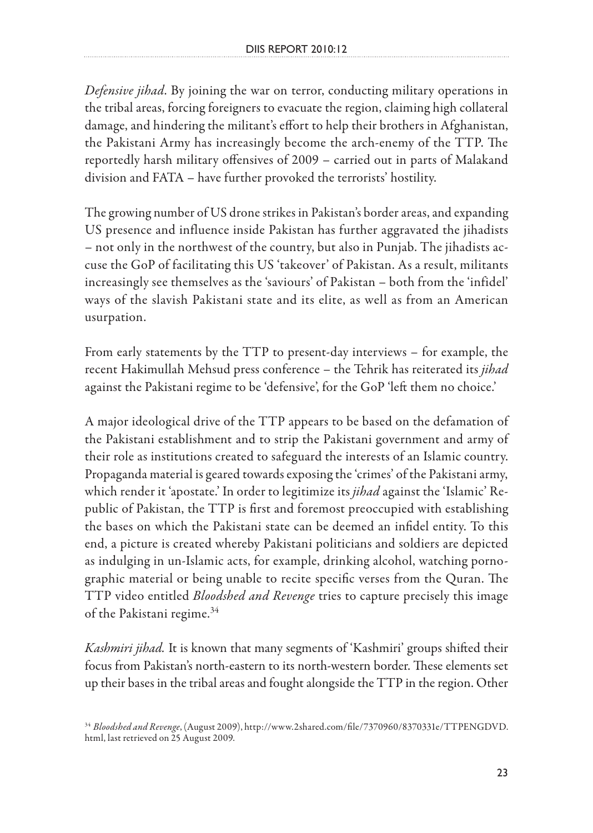*Defensive jihad*. By joining the war on terror, conducting military operations in the tribal areas, forcing foreigners to evacuate the region, claiming high collateral damage, and hindering the militant's effort to help their brothers in Afghanistan, the Pakistani Army has increasingly become the arch-enemy of the TTP. The reportedly harsh military offensives of 2009 – carried out in parts of Malakand division and FATA – have further provoked the terrorists' hostility.

The growing number of US drone strikes in Pakistan's border areas, and expanding US presence and influence inside Pakistan has further aggravated the jihadists – not only in the northwest of the country, but also in Punjab. The jihadists accuse the GoP of facilitating this US 'takeover' of Pakistan. As a result, militants increasingly see themselves as the 'saviours' of Pakistan – both from the 'infidel' ways of the slavish Pakistani state and its elite, as well as from an American usurpation.

From early statements by the TTP to present-day interviews – for example, the recent Hakimullah Mehsud press conference – the Tehrik has reiterated its *jihad* against the Pakistani regime to be 'defensive', for the GoP 'left them no choice.'

A major ideological drive of the TTP appears to be based on the defamation of the Pakistani establishment and to strip the Pakistani government and army of their role as institutions created to safeguard the interests of an Islamic country. Propaganda material is geared towards exposing the 'crimes' of the Pakistani army, which render it 'apostate.' In order to legitimize its *jihad* against the 'Islamic' Republic of Pakistan, the TTP is first and foremost preoccupied with establishing the bases on which the Pakistani state can be deemed an infidel entity. To this end, a picture is created whereby Pakistani politicians and soldiers are depicted as indulging in un-Islamic acts, for example, drinking alcohol, watching pornographic material or being unable to recite specific verses from the Quran. The TTP video entitled *Bloodshed and Revenge* tries to capture precisely this image of the Pakistani regime.<sup>34</sup>

*Kashmiri jihad.* It is known that many segments of 'Kashmiri' groups shifted their focus from Pakistan's north-eastern to its north-western border. These elements set up their bases in the tribal areas and fought alongside the TTP in the region. Other

<sup>34</sup> *Bloodshed and Revenge*, (August 2009), http://www.2shared.com/file/7370960/8370331e/TTPENGDVD. html, last retrieved on 25 August 2009.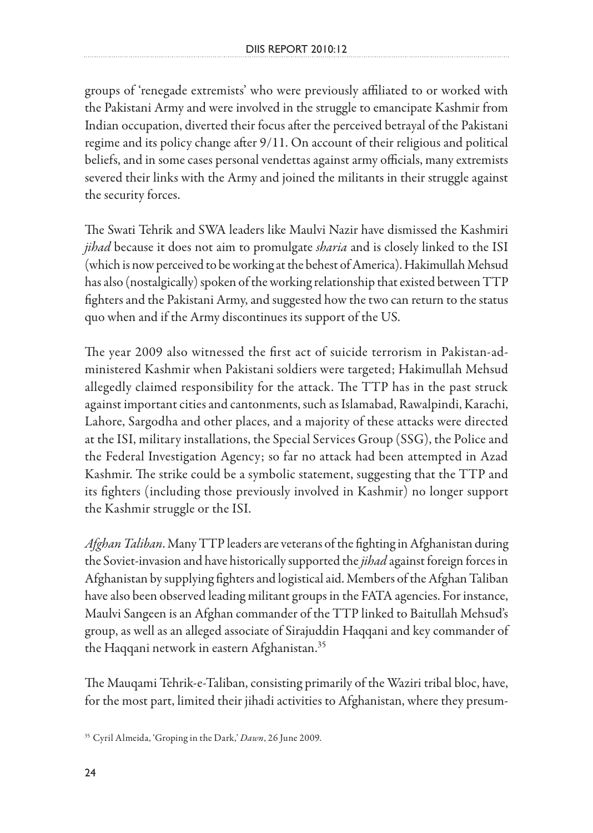groups of 'renegade extremists' who were previously affiliated to or worked with the Pakistani Army and were involved in the struggle to emancipate Kashmir from Indian occupation, diverted their focus after the perceived betrayal of the Pakistani regime and its policy change after 9/11. On account of their religious and political beliefs, and in some cases personal vendettas against army officials, many extremists severed their links with the Army and joined the militants in their struggle against the security forces.

The Swati Tehrik and SWA leaders like Maulvi Nazir have dismissed the Kashmiri *jihad* because it does not aim to promulgate *sharia* and is closely linked to the ISI (which is now perceived to be working at the behest of America). Hakimullah Mehsud has also (nostalgically) spoken of the working relationship that existed between TTP fighters and the Pakistani Army, and suggested how the two can return to the status quo when and if the Army discontinues its support of the US.

The year 2009 also witnessed the first act of suicide terrorism in Pakistan-administered Kashmir when Pakistani soldiers were targeted; Hakimullah Mehsud allegedly claimed responsibility for the attack. The TTP has in the past struck against important cities and cantonments, such as Islamabad, Rawalpindi, Karachi, Lahore, Sargodha and other places, and a majority of these attacks were directed at the ISI, military installations, the Special Services Group (SSG), the Police and the Federal Investigation Agency; so far no attack had been attempted in Azad Kashmir. The strike could be a symbolic statement, suggesting that the TTP and its fighters (including those previously involved in Kashmir) no longer support the Kashmir struggle or the ISI.

*Afghan Taliban*. Many TTP leaders are veterans of the fighting in Afghanistan during the Soviet-invasion and have historically supported the *jihad* against foreign forces in Afghanistan by supplying fighters and logistical aid. Members of the Afghan Taliban have also been observed leading militant groups in the FATA agencies. For instance, Maulvi Sangeen is an Afghan commander of the TTP linked to Baitullah Mehsud's group, as well as an alleged associate of Sirajuddin Haqqani and key commander of the Haqqani network in eastern Afghanistan.<sup>35</sup>

The Mauqami Tehrik-e-Taliban, consisting primarily of the Waziri tribal bloc, have, for the most part, limited their jihadi activities to Afghanistan, where they presum-

<sup>35</sup> Cyril Almeida, 'Groping in the Dark,' *Dawn*, 26 June 2009.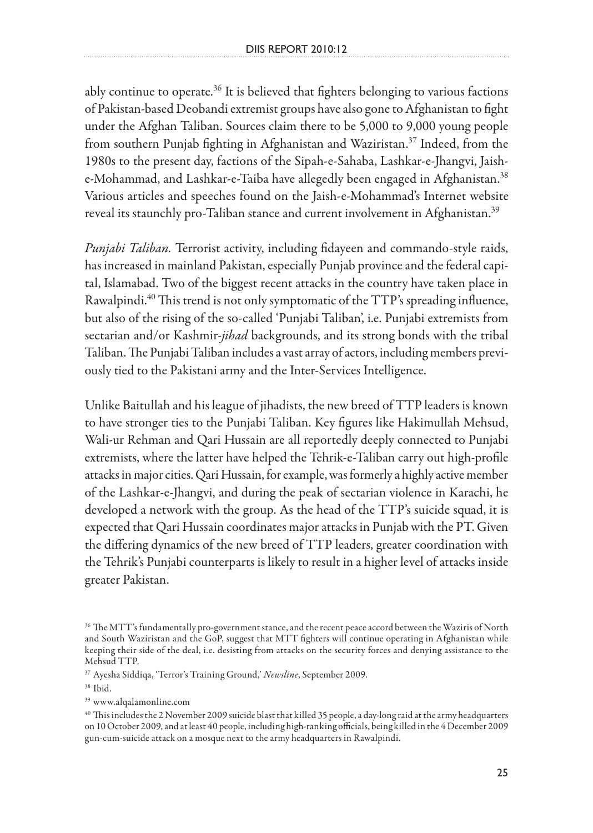ably continue to operate. $36$  It is believed that fighters belonging to various factions of Pakistan-based Deobandi extremist groups have also gone to Afghanistan to fight under the Afghan Taliban. Sources claim there to be 5,000 to 9,000 young people from southern Punjab fighting in Afghanistan and Waziristan.<sup>37</sup> Indeed, from the 1980s to the present day, factions of the Sipah-e-Sahaba, Lashkar-e-Jhangvi, Jaishe-Mohammad, and Lashkar-e-Taiba have allegedly been engaged in Afghanistan.<sup>38</sup> Various articles and speeches found on the Jaish-e-Mohammad's Internet website reveal its staunchly pro-Taliban stance and current involvement in Afghanistan.<sup>39</sup>

*Punjabi Taliban.* Terrorist activity, including fidayeen and commando-style raids, has increased in mainland Pakistan, especially Punjab province and the federal capital, Islamabad. Two of the biggest recent attacks in the country have taken place in Rawalpindi.<sup>40</sup> This trend is not only symptomatic of the TTP's spreading influence, but also of the rising of the so-called 'Punjabi Taliban', i.e. Punjabi extremists from sectarian and/or Kashmir-*jihad* backgrounds, and its strong bonds with the tribal Taliban. The Punjabi Taliban includes a vast array of actors, including members previously tied to the Pakistani army and the Inter-Services Intelligence.

Unlike Baitullah and his league of jihadists, the new breed of TTP leaders is known to have stronger ties to the Punjabi Taliban. Key figures like Hakimullah Mehsud, Wali-ur Rehman and Qari Hussain are all reportedly deeply connected to Punjabi extremists, where the latter have helped the Tehrik-e-Taliban carry out high-profile attacks in major cities. Qari Hussain, for example, was formerly a highly active member of the Lashkar-e-Jhangvi, and during the peak of sectarian violence in Karachi, he developed a network with the group. As the head of the TTP's suicide squad, it is expected that Qari Hussain coordinates major attacks in Punjab with the PT. Given the differing dynamics of the new breed of TTP leaders, greater coordination with the Tehrik's Punjabi counterparts is likely to result in a higher level of attacks inside greater Pakistan.

37 Ayesha Siddiqa, 'Terror's Training Ground,' *Newsline*, September 2009.

39 www.alqalamonline.com

<sup>36</sup> The MTT's fundamentally pro-government stance, and the recent peace accord between the Waziris of North and South Waziristan and the GoP, suggest that MTT fighters will continue operating in Afghanistan while keeping their side of the deal, i.e. desisting from attacks on the security forces and denying assistance to the Mehsud TTP.

<sup>38</sup> Ibid.

<sup>40</sup> This includes the 2 November 2009 suicide blast that killed 35 people, a day-long raid at the army headquarters on 10 October 2009, and at least 40 people, including high-ranking officials, being killed in the 4 December 2009 gun-cum-suicide attack on a mosque next to the army headquarters in Rawalpindi.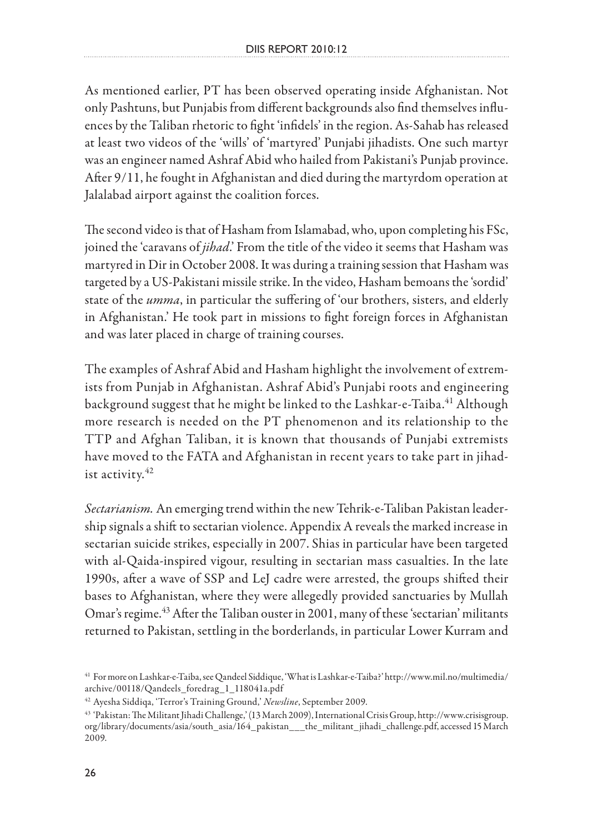As mentioned earlier, PT has been observed operating inside Afghanistan. Not only Pashtuns, but Punjabis from different backgrounds also find themselves influences by the Taliban rhetoric to fight 'infidels' in the region. As-Sahab has released at least two videos of the 'wills' of 'martyred' Punjabi jihadists. One such martyr was an engineer named Ashraf Abid who hailed from Pakistani's Punjab province. After 9/11, he fought in Afghanistan and died during the martyrdom operation at Jalalabad airport against the coalition forces.

The second video is that of Hasham from Islamabad, who, upon completing his FSc, joined the 'caravans of *jihad*.' From the title of the video it seems that Hasham was martyred in Dir in October 2008. It was during a training session that Hasham was targeted by a US-Pakistani missile strike. In the video, Hasham bemoans the 'sordid' state of the *umma*, in particular the suffering of 'our brothers, sisters, and elderly in Afghanistan.' He took part in missions to fight foreign forces in Afghanistan and was later placed in charge of training courses.

The examples of Ashraf Abid and Hasham highlight the involvement of extremists from Punjab in Afghanistan. Ashraf Abid's Punjabi roots and engineering background suggest that he might be linked to the Lashkar-e-Taiba.<sup>41</sup> Although more research is needed on the PT phenomenon and its relationship to the TTP and Afghan Taliban, it is known that thousands of Punjabi extremists have moved to the FATA and Afghanistan in recent years to take part in jihadist activity.<sup>42</sup>

*Sectarianism.* An emerging trend within the new Tehrik-e-Taliban Pakistan leadership signals a shift to sectarian violence. Appendix A reveals the marked increase in sectarian suicide strikes, especially in 2007. Shias in particular have been targeted with al-Qaida-inspired vigour, resulting in sectarian mass casualties. In the late 1990s, after a wave of SSP and LeJ cadre were arrested, the groups shifted their bases to Afghanistan, where they were allegedly provided sanctuaries by Mullah Omar's regime.<sup>43</sup> After the Taliban ouster in 2001, many of these 'sectarian' militants returned to Pakistan, settling in the borderlands, in particular Lower Kurram and

<sup>41</sup> For more on Lashkar-e-Taiba, see Qandeel Siddique, 'What is Lashkar-e-Taiba?' http://www.mil.no/multimedia/ archive/00118/Qandeels\_foredrag\_1\_118041a.pdf

<sup>42</sup> Ayesha Siddiqa, 'Terror's Training Ground,' *Newsline*, September 2009.

<sup>43 &#</sup>x27;Pakistan: The Militant Jihadi Challenge,' (13 March 2009), International Crisis Group, http://www.crisisgroup. org/library/documents/asia/south\_asia/164\_pakistan\_\_\_the\_militant\_jihadi\_challenge.pdf, accessed 15 March 2009.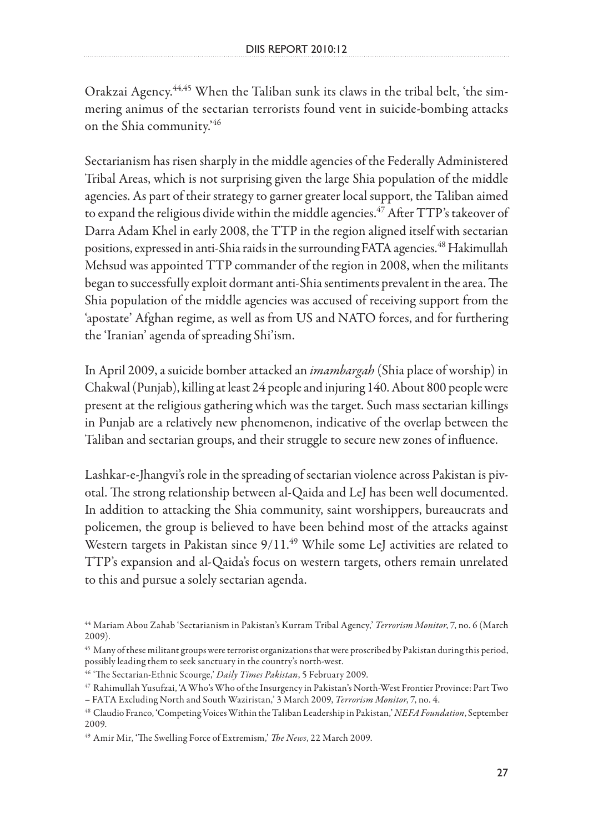Orakzai Agency.44,45 When the Taliban sunk its claws in the tribal belt, 'the simmering animus of the sectarian terrorists found vent in suicide-bombing attacks on the Shia community.'46

Sectarianism has risen sharply in the middle agencies of the Federally Administered Tribal Areas, which is not surprising given the large Shia population of the middle agencies. As part of their strategy to garner greater local support, the Taliban aimed to expand the religious divide within the middle agencies.<sup>47</sup> After TTP's takeover of Darra Adam Khel in early 2008, the TTP in the region aligned itself with sectarian positions, expressed in anti-Shia raids in the surrounding FATA agencies.<sup>48</sup> Hakimullah Mehsud was appointed TTP commander of the region in 2008, when the militants began to successfully exploit dormant anti-Shia sentiments prevalent in the area. The Shia population of the middle agencies was accused of receiving support from the 'apostate' Afghan regime, as well as from US and NATO forces, and for furthering the 'Iranian' agenda of spreading Shi'ism.

In April 2009, a suicide bomber attacked an *imambargah* (Shia place of worship) in Chakwal (Punjab), killing at least 24 people and injuring 140. About 800 people were present at the religious gathering which was the target. Such mass sectarian killings in Punjab are a relatively new phenomenon, indicative of the overlap between the Taliban and sectarian groups, and their struggle to secure new zones of influence.

Lashkar-e-Jhangvi's role in the spreading of sectarian violence across Pakistan is pivotal. The strong relationship between al-Qaida and LeJ has been well documented. In addition to attacking the Shia community, saint worshippers, bureaucrats and policemen, the group is believed to have been behind most of the attacks against Western targets in Pakistan since  $9/11.^{49}$  While some LeJ activities are related to TTP's expansion and al-Qaida's focus on western targets, others remain unrelated to this and pursue a solely sectarian agenda.

<sup>44</sup> Mariam Abou Zahab 'Sectarianism in Pakistan's Kurram Tribal Agency,' *Terrorism Monitor*, 7, no. 6 (March 2009).

 $^{45}$  Many of these militant groups were terrorist organizations that were proscribed by Pakistan during this period, possibly leading them to seek sanctuary in the country's north-west.

<sup>46 &#</sup>x27;The Sectarian-Ethnic Scourge,' *Daily Times Pakistan*, 5 February 2009.

<sup>47</sup> Rahimullah Yusufzai, 'A Who's Who of the Insurgency in Pakistan's North-West Frontier Province: Part Two – FATA Excluding North and South Waziristan,' 3 March 2009, *Terrorism Monitor*, 7, no. 4.

<sup>48</sup> Claudio Franco, 'Competing Voices Within the Taliban Leadership in Pakistan,' *NEFA Foundation*, September 2009.

<sup>49</sup> Amir Mir, 'The Swelling Force of Extremism,' *The News*, 22 March 2009.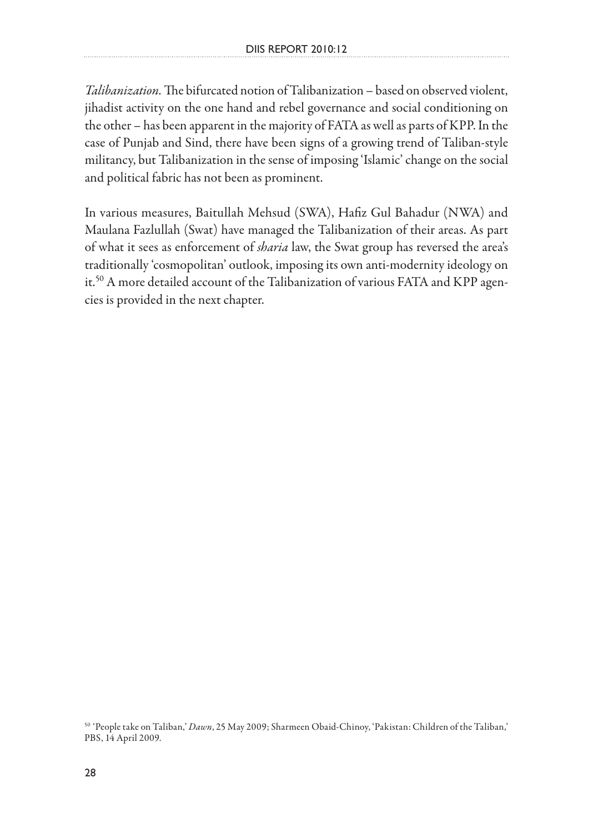*Talibanization.* The bifurcated notion of Talibanization – based on observed violent, jihadist activity on the one hand and rebel governance and social conditioning on the other – has been apparent in the majority of FATA as well as parts of KPP. In the case of Punjab and Sind, there have been signs of a growing trend of Taliban-style militancy, but Talibanization in the sense of imposing 'Islamic' change on the social and political fabric has not been as prominent.

In various measures, Baitullah Mehsud (SWA), Hafiz Gul Bahadur (NWA) and Maulana Fazlullah (Swat) have managed the Talibanization of their areas. As part of what it sees as enforcement of *sharia* law, the Swat group has reversed the area's traditionally 'cosmopolitan' outlook, imposing its own anti-modernity ideology on it.<sup>50</sup> A more detailed account of the Talibanization of various FATA and KPP agencies is provided in the next chapter.

<sup>50 &#</sup>x27;People take on Taliban,' *Dawn*, 25 May 2009; Sharmeen Obaid-Chinoy, 'Pakistan: Children of the Taliban,' PBS, 14 April 2009.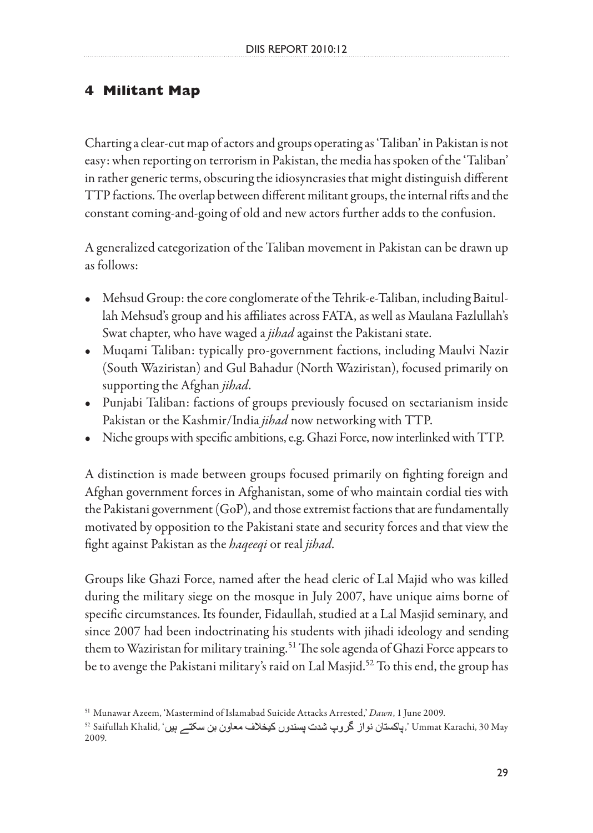### **4 Militant Map**

Charting a clear-cut map of actors and groups operating as 'Taliban' in Pakistan is not easy: when reporting on terrorism in Pakistan, the media has spoken of the 'Taliban' in rather generic terms, obscuring the idiosyncrasies that might distinguish different TTP factions. The overlap between different militant groups, the internal rifts and the constant coming-and-going of old and new actors further adds to the confusion.

A generalized categorization of the Taliban movement in Pakistan can be drawn up as follows:

- Mehsud Group: the core conglomerate of the Tehrik-e-Taliban, including Baitullah Mehsud's group and his affiliates across FATA, as well as Maulana Fazlullah's Swat chapter, who have waged a *jihad* against the Pakistani state.
- Muqami Taliban: typically pro-government factions, including Maulvi Nazir (South Waziristan) and Gul Bahadur (North Waziristan), focused primarily on supporting the Afghan *jihad*.
- Punjabi Taliban: factions of groups previously focused on sectarianism inside Pakistan or the Kashmir/India *jihad* now networking with TTP.
- Niche groups with specific ambitions, e.g. Ghazi Force, now interlinked with TTP.

A distinction is made between groups focused primarily on fighting foreign and Afghan government forces in Afghanistan, some of who maintain cordial ties with the Pakistani government (GoP), and those extremist factions that are fundamentally motivated by opposition to the Pakistani state and security forces and that view the fight against Pakistan as the *haqeeqi* or real *jihad*.

Groups like Ghazi Force, named after the head cleric of Lal Majid who was killed during the military siege on the mosque in July 2007, have unique aims borne of specific circumstances. Its founder, Fidaullah, studied at a Lal Masjid seminary, and since 2007 had been indoctrinating his students with jihadi ideology and sending them to Waziristan for military training.<sup>51</sup> The sole agenda of Ghazi Force appears to be to avenge the Pakistani military's raid on Lal Masjid.<sup>52</sup> To this end, the group has

<sup>51</sup> Munawar Azeem, 'Mastermind of Islamabad Suicide Attacks Arrested,' *Dawn*, 1 June 2009.

<sup>52</sup> Saifullah Khalid, ' ,' Ummat Karachi, 30 May 2009.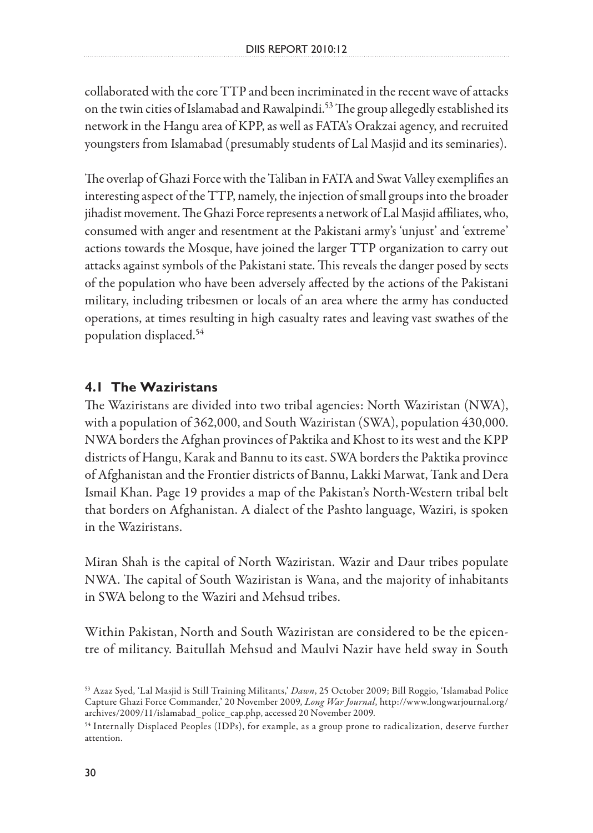collaborated with the core TTP and been incriminated in the recent wave of attacks on the twin cities of Islamabad and Rawalpindi.<sup>53</sup> The group allegedly established its network in the Hangu area of KPP, as well as FATA's Orakzai agency, and recruited youngsters from Islamabad (presumably students of Lal Masjid and its seminaries).

The overlap of Ghazi Force with the Taliban in FATA and Swat Valley exemplifies an interesting aspect of the TTP, namely, the injection of small groups into the broader jihadist movement. The Ghazi Force represents a network of Lal Masjid affiliates, who, consumed with anger and resentment at the Pakistani army's 'unjust' and 'extreme' actions towards the Mosque, have joined the larger TTP organization to carry out attacks against symbols of the Pakistani state. This reveals the danger posed by sects of the population who have been adversely affected by the actions of the Pakistani military, including tribesmen or locals of an area where the army has conducted operations, at times resulting in high casualty rates and leaving vast swathes of the population displaced.54

#### **4.1 The Waziristans**

The Waziristans are divided into two tribal agencies: North Waziristan (NWA), with a population of 362,000, and South Waziristan (SWA), population 430,000. NWA borders the Afghan provinces of Paktika and Khost to its west and the KPP districts of Hangu, Karak and Bannu to its east. SWA borders the Paktika province of Afghanistan and the Frontier districts of Bannu, Lakki Marwat, Tank and Dera Ismail Khan. Page 19 provides a map of the Pakistan's North-Western tribal belt that borders on Afghanistan. A dialect of the Pashto language, Waziri, is spoken in the Waziristans.

Miran Shah is the capital of North Waziristan. Wazir and Daur tribes populate NWA. The capital of South Waziristan is Wana, and the majority of inhabitants in SWA belong to the Waziri and Mehsud tribes.

Within Pakistan, North and South Waziristan are considered to be the epicentre of militancy. Baitullah Mehsud and Maulvi Nazir have held sway in South

<sup>53</sup> Azaz Syed, 'Lal Masjid is Still Training Militants,' *Dawn*, 25 October 2009; Bill Roggio, 'Islamabad Police Capture Ghazi Force Commander,' 20 November 2009, *Long War Journal*, http://www.longwarjournal.org/ archives/2009/11/islamabad\_police\_cap.php, accessed 20 November 2009.

<sup>54</sup> Internally Displaced Peoples (IDPs), for example, as a group prone to radicalization, deserve further attention.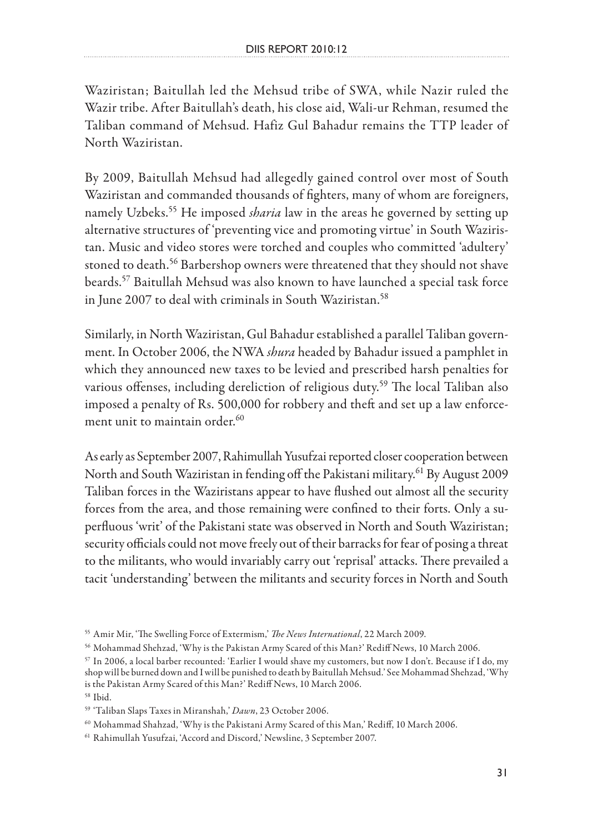Waziristan; Baitullah led the Mehsud tribe of SWA, while Nazir ruled the Wazir tribe. After Baitullah's death, his close aid, Wali-ur Rehman, resumed the Taliban command of Mehsud. Hafiz Gul Bahadur remains the TTP leader of North Waziristan.

By 2009, Baitullah Mehsud had allegedly gained control over most of South Waziristan and commanded thousands of fighters, many of whom are foreigners, namely Uzbeks.55 He imposed *sharia* law in the areas he governed by setting up alternative structures of 'preventing vice and promoting virtue' in South Waziristan. Music and video stores were torched and couples who committed 'adultery' stoned to death.<sup>56</sup> Barbershop owners were threatened that they should not shave beards.57 Baitullah Mehsud was also known to have launched a special task force in June 2007 to deal with criminals in South Waziristan.<sup>58</sup>

Similarly, in North Waziristan, Gul Bahadur established a parallel Taliban government. In October 2006, the NWA *shura* headed by Bahadur issued a pamphlet in which they announced new taxes to be levied and prescribed harsh penalties for various offenses, including dereliction of religious duty.<sup>59</sup> The local Taliban also imposed a penalty of Rs. 500,000 for robbery and theft and set up a law enforcement unit to maintain order. $60$ 

As early as September 2007, Rahimullah Yusufzai reported closer cooperation between North and South Waziristan in fending off the Pakistani military.<sup>61</sup> By August 2009 Taliban forces in the Waziristans appear to have flushed out almost all the security forces from the area, and those remaining were confined to their forts. Only a superfluous 'writ' of the Pakistani state was observed in North and South Waziristan; security officials could not move freely out of their barracks for fear of posing a threat to the militants, who would invariably carry out 'reprisal' attacks. There prevailed a tacit 'understanding' between the militants and security forces in North and South

58 Ibid.

<sup>55</sup> Amir Mir, 'The Swelling Force of Extermism,' *The News International*, 22 March 2009.

<sup>56</sup> Mohammad Shehzad, 'Why is the Pakistan Army Scared of this Man?' Rediff News, 10 March 2006.

<sup>57</sup> In 2006, a local barber recounted: 'Earlier I would shave my customers, but now I don't. Because if I do, my shop will be burned down and I will be punished to death by Baitullah Mehsud.' See Mohammad Shehzad, 'Why is the Pakistan Army Scared of this Man?' Rediff News, 10 March 2006.

<sup>59 &#</sup>x27;Taliban Slaps Taxes in Miranshah,' *Dawn*, 23 October 2006.

<sup>60</sup> Mohammad Shahzad, 'Why is the Pakistani Army Scared of this Man,' Rediff, 10 March 2006.

<sup>61</sup> Rahimullah Yusufzai, 'Accord and Discord,' Newsline, 3 September 2007.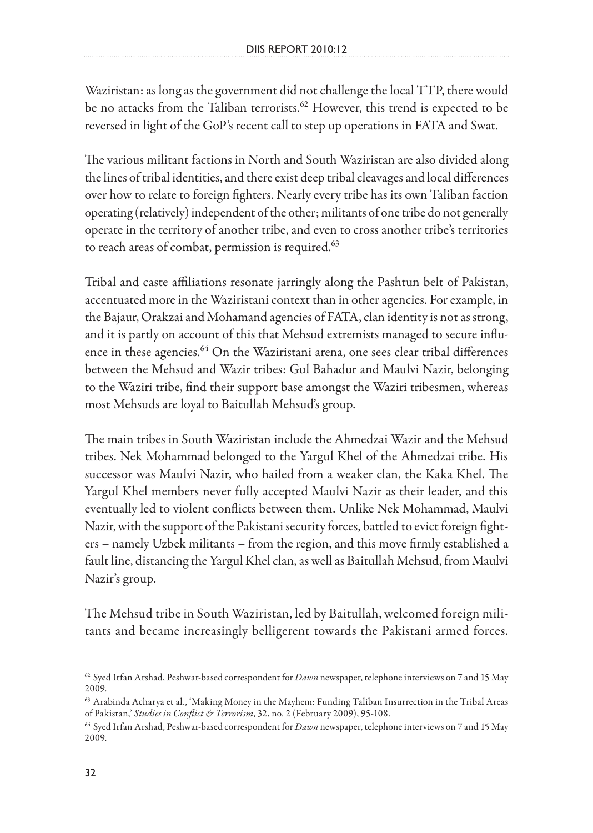Waziristan: as long as the government did not challenge the local TTP, there would be no attacks from the Taliban terrorists.<sup>62</sup> However, this trend is expected to be reversed in light of the GoP's recent call to step up operations in FATA and Swat.

The various militant factions in North and South Waziristan are also divided along the lines of tribal identities, and there exist deep tribal cleavages and local differences over how to relate to foreign fighters. Nearly every tribe has its own Taliban faction operating (relatively) independent of the other; militants of one tribe do not generally operate in the territory of another tribe, and even to cross another tribe's territories to reach areas of combat, permission is required.<sup>63</sup>

Tribal and caste affiliations resonate jarringly along the Pashtun belt of Pakistan, accentuated more in the Waziristani context than in other agencies. For example, in the Bajaur, Orakzai and Mohamand agencies of FATA, clan identity is not as strong, and it is partly on account of this that Mehsud extremists managed to secure influence in these agencies.<sup>64</sup> On the Waziristani arena, one sees clear tribal differences between the Mehsud and Wazir tribes: Gul Bahadur and Maulvi Nazir, belonging to the Waziri tribe, find their support base amongst the Waziri tribesmen, whereas most Mehsuds are loyal to Baitullah Mehsud's group.

The main tribes in South Waziristan include the Ahmedzai Wazir and the Mehsud tribes. Nek Mohammad belonged to the Yargul Khel of the Ahmedzai tribe. His successor was Maulvi Nazir, who hailed from a weaker clan, the Kaka Khel. The Yargul Khel members never fully accepted Maulvi Nazir as their leader, and this eventually led to violent conflicts between them. Unlike Nek Mohammad, Maulvi Nazir, with the support of the Pakistani security forces, battled to evict foreign fighters – namely Uzbek militants – from the region, and this move firmly established a fault line, distancing the Yargul Khel clan, as well as Baitullah Mehsud, from Maulvi Nazir's group.

The Mehsud tribe in South Waziristan, led by Baitullah, welcomed foreign militants and became increasingly belligerent towards the Pakistani armed forces.

<sup>62</sup> Syed Irfan Arshad, Peshwar-based correspondent for *Dawn* newspaper, telephone interviews on 7 and 15 May 2009.

<sup>63</sup> Arabinda Acharya et al., 'Making Money in the Mayhem: Funding Taliban Insurrection in the Tribal Areas of Pakistan,' *Studies in Conflict & Terrorism*, 32, no. 2 (February 2009), 95-108.

<sup>64</sup> Syed Irfan Arshad, Peshwar-based correspondent for *Dawn* newspaper, telephone interviews on 7 and 15 May 2009.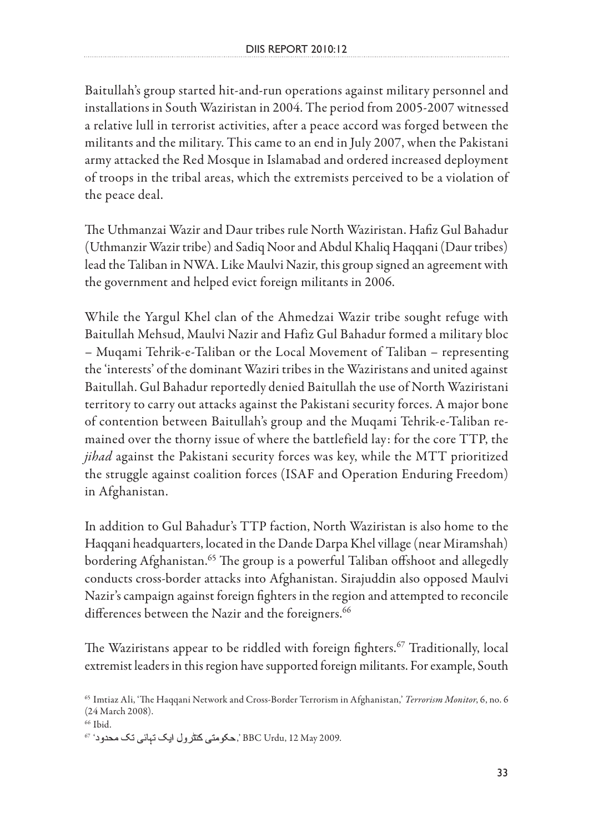Baitullah's group started hit-and-run operations against military personnel and installations in South Waziristan in 2004. The period from 2005-2007 witnessed a relative lull in terrorist activities, after a peace accord was forged between the militants and the military. This came to an end in July 2007, when the Pakistani army attacked the Red Mosque in Islamabad and ordered increased deployment of troops in the tribal areas, which the extremists perceived to be a violation of the peace deal.

The Uthmanzai Wazir and Daur tribes rule North Waziristan. Hafiz Gul Bahadur (Uthmanzir Wazir tribe) and Sadiq Noor and Abdul Khaliq Haqqani (Daur tribes) lead the Taliban in NWA. Like Maulvi Nazir, this group signed an agreement with the government and helped evict foreign militants in 2006.

While the Yargul Khel clan of the Ahmedzai Wazir tribe sought refuge with Baitullah Mehsud, Maulvi Nazir and Hafiz Gul Bahadur formed a military bloc – Muqami Tehrik-e-Taliban or the Local Movement of Taliban – representing the 'interests' of the dominant Waziri tribes in the Waziristans and united against Baitullah. Gul Bahadur reportedly denied Baitullah the use of North Waziristani territory to carry out attacks against the Pakistani security forces. A major bone of contention between Baitullah's group and the Muqami Tehrik-e-Taliban remained over the thorny issue of where the battlefield lay: for the core TTP, the *jihad* against the Pakistani security forces was key, while the MTT prioritized the struggle against coalition forces (ISAF and Operation Enduring Freedom) in Afghanistan.

In addition to Gul Bahadur's TTP faction, North Waziristan is also home to the Haqqani headquarters, located in the Dande Darpa Khel village (near Miramshah) bordering Afghanistan.<sup>65</sup> The group is a powerful Taliban offshoot and allegedly conducts cross-border attacks into Afghanistan. Sirajuddin also opposed Maulvi Nazir's campaign against foreign fighters in the region and attempted to reconcile differences between the Nazir and the foreigners.<sup>66</sup>

The Waziristans appear to be riddled with foreign fighters.<sup>67</sup> Traditionally, local extremist leaders in this region have supported foreign militants. For example, South

67 ' ,' BBC Urdu, 12 May 2009.

<sup>65</sup> Imtiaz Ali, 'The Haqqani Network and Cross-Border Terrorism in Afghanistan,' *Terrorism Monitor*, 6, no. 6 (24 March 2008).

<sup>&</sup>lt;sup>66</sup> Ibid.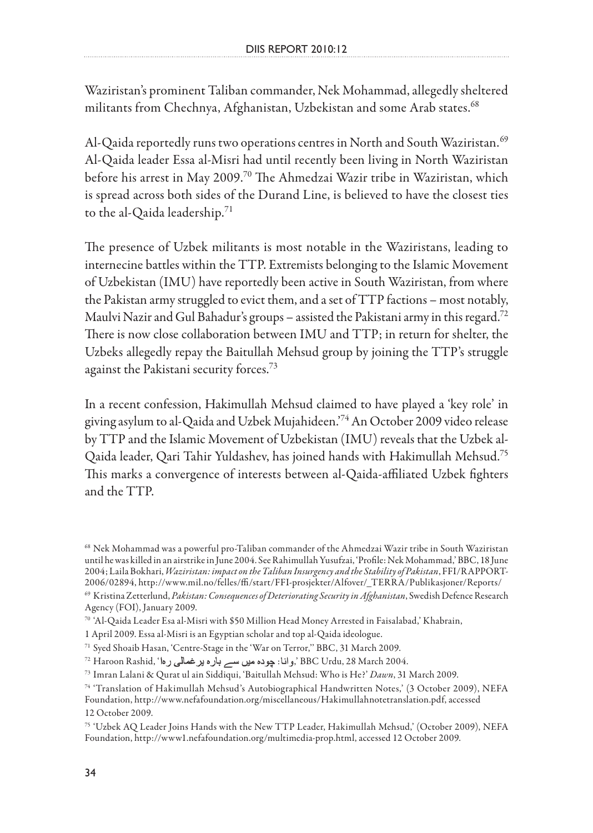Waziristan's prominent Taliban commander, Nek Mohammad, allegedly sheltered militants from Chechnya, Afghanistan, Uzbekistan and some Arab states.<sup>68</sup>

Al-Qaida reportedly runs two operations centres in North and South Waziristan.<sup>69</sup> Al-Qaida leader Essa al-Misri had until recently been living in North Waziristan before his arrest in May 2009.70 The Ahmedzai Wazir tribe in Waziristan, which is spread across both sides of the Durand Line, is believed to have the closest ties to the al-Qaida leadership. $71$ 

The presence of Uzbek militants is most notable in the Waziristans, leading to internecine battles within the TTP. Extremists belonging to the Islamic Movement of Uzbekistan (IMU) have reportedly been active in South Waziristan, from where the Pakistan army struggled to evict them, and a set of TTP factions – most notably, Maulvi Nazir and Gul Bahadur's groups – assisted the Pakistani army in this regard.<sup>72</sup> There is now close collaboration between IMU and TTP; in return for shelter, the Uzbeks allegedly repay the Baitullah Mehsud group by joining the TTP's struggle against the Pakistani security forces.<sup>73</sup>

In a recent confession, Hakimullah Mehsud claimed to have played a 'key role' in giving asylum to al-Qaida and Uzbek Mujahideen.'74 An October 2009 video release by TTP and the Islamic Movement of Uzbekistan (IMU) reveals that the Uzbek al-Qaida leader, Qari Tahir Yuldashev, has joined hands with Hakimullah Mehsud.75 This marks a convergence of interests between al-Qaida-affiliated Uzbek fighters and the TTP.

<sup>68</sup> Nek Mohammad was a powerful pro-Taliban commander of the Ahmedzai Wazir tribe in South Waziristan until he was killed in an airstrike in June 2004. See Rahimullah Yusufzai, 'Profile: Nek Mohammad,' BBC, 18 June 2004; Laila Bokhari, *Waziristan: impact on the Taliban Insurgency and the Stability of Pakistan*, FFI/RAPPORT-2006/02894, http://www.mil.no/felles/ffi/start/FFI-prosjekter/Alfover/\_TERRA/Publikasjoner/Reports/

<sup>69</sup> Kristina Zetterlund, *Pakistan: Consequences of Deteriorating Security in Afghanistan*, Swedish Defence Research Agency (FOI), January 2009.

<sup>70 &#</sup>x27;Al-Qaida Leader Esa al-Misri with \$50 Million Head Money Arrested in Faisalabad,' Khabrain,

<sup>1</sup> April 2009. Essa al-Misri is an Egyptian scholar and top al-Qaida ideologue.

<sup>71</sup> Syed Shoaib Hasan, 'Centre-Stage in the 'War on Terror,'' BBC, 31 March 2009.

<sup>&</sup>lt;sup>72</sup> Haroon Rashid, 'و انا: چوده میں سے بار ه بر غمالی ر ها $'$  BBC Urdu, 28 March 2004.

<sup>73</sup> Imran Lalani & Qurat ul ain Siddiqui, 'Baitullah Mehsud: Who is He?' *Dawn*, 31 March 2009.

<sup>74 &#</sup>x27;Translation of Hakimullah Mehsud's Autobiographical Handwritten Notes,' (3 October 2009), NEFA Foundation, http://www.nefafoundation.org/miscellaneous/Hakimullahnotetranslation.pdf, accessed 12 October 2009.

<sup>75 &#</sup>x27;Uzbek AQ Leader Joins Hands with the New TTP Leader, Hakimullah Mehsud,' (October 2009), NEFA Foundation, http://www1.nefafoundation.org/multimedia-prop.html, accessed 12 October 2009.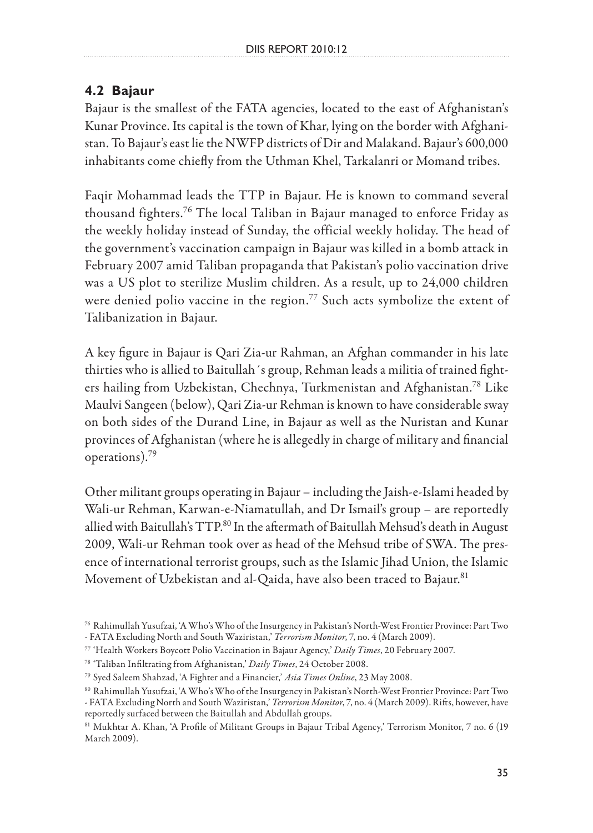#### **4.2 Bajaur**

Bajaur is the smallest of the FATA agencies, located to the east of Afghanistan's Kunar Province. Its capital is the town of Khar, lying on the border with Afghanistan. To Bajaur's east lie the NWFP districts of Dir and Malakand. Bajaur's 600,000 inhabitants come chiefly from the Uthman Khel, Tarkalanri or Momand tribes.

Faqir Mohammad leads the TTP in Bajaur. He is known to command several thousand fighters.76 The local Taliban in Bajaur managed to enforce Friday as the weekly holiday instead of Sunday, the official weekly holiday. The head of the government's vaccination campaign in Bajaur was killed in a bomb attack in February 2007 amid Taliban propaganda that Pakistan's polio vaccination drive was a US plot to sterilize Muslim children. As a result, up to 24,000 children were denied polio vaccine in the region.<sup>77</sup> Such acts symbolize the extent of Talibanization in Bajaur.

A key figure in Bajaur is Qari Zia-ur Rahman, an Afghan commander in his late thirties who is allied to Baitullah´s group, Rehman leads a militia of trained fighters hailing from Uzbekistan, Chechnya, Turkmenistan and Afghanistan.78 Like Maulvi Sangeen (below), Qari Zia-ur Rehman is known to have considerable sway on both sides of the Durand Line, in Bajaur as well as the Nuristan and Kunar provinces of Afghanistan (where he is allegedly in charge of military and financial operations).79

Other militant groups operating in Bajaur – including the Jaish-e-Islami headed by Wali-ur Rehman, Karwan-e-Niamatullah, and Dr Ismail's group – are reportedly allied with Baitullah's TTP.<sup>80</sup> In the aftermath of Baitullah Mehsud's death in August 2009, Wali-ur Rehman took over as head of the Mehsud tribe of SWA. The presence of international terrorist groups, such as the Islamic Jihad Union, the Islamic Movement of Uzbekistan and al-Qaida, have also been traced to Bajaur.<sup>81</sup>

<sup>76</sup> Rahimullah Yusufzai, 'A Who's Who of the Insurgency in Pakistan's North-West Frontier Province: Part Two - FATA Excluding North and South Waziristan,' *Terrorism Monitor*, 7, no. 4 (March 2009).

<sup>77 &#</sup>x27;Health Workers Boycott Polio Vaccination in Bajaur Agency,' *Daily Times*, 20 February 2007.

<sup>78 &#</sup>x27;Taliban Infiltrating from Afghanistan,' *Daily Times*, 24 October 2008.

<sup>79</sup> Syed Saleem Shahzad, 'A Fighter and a Financier,' *Asia Times Online*, 23 May 2008.

<sup>80</sup> Rahimullah Yusufzai, 'A Who's Who of the Insurgency in Pakistan's North-West Frontier Province: Part Two

<sup>-</sup> FATA Excluding North and South Waziristan,' *Terrorism Monitor*, 7, no. 4 (March 2009). Rifts, however, have reportedly surfaced between the Baitullah and Abdullah groups.

<sup>81</sup> Mukhtar A. Khan, 'A Profile of Militant Groups in Bajaur Tribal Agency,' Terrorism Monitor, 7 no. 6 (19 March 2009).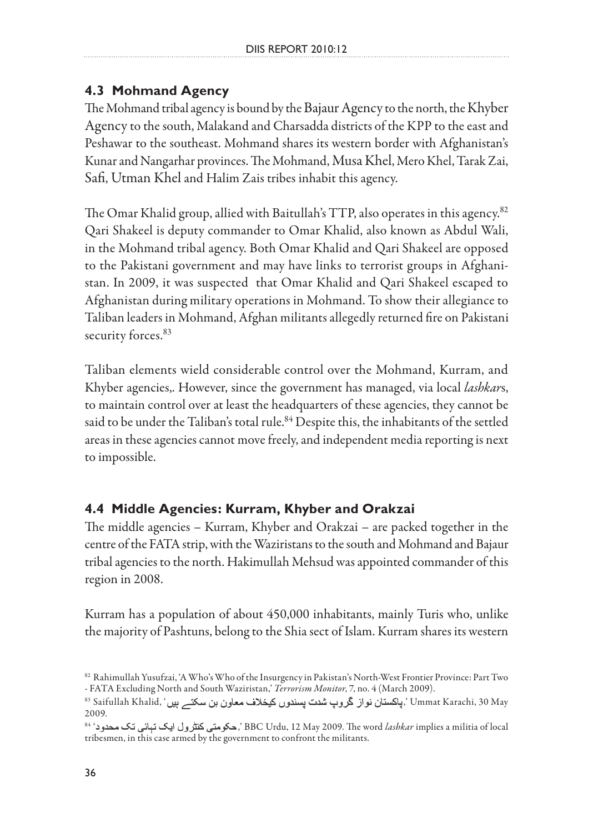### **4.3 Mohmand Agency**

The Mohmand tribal agency is bound by the Bajaur Agency to the north, the Khyber Agency to the south, Malakand and Charsadda districts of the KPP to the east and Peshawar to the southeast. Mohmand shares its western border with Afghanistan's Kunar and Nangarhar provinces. The Mohmand, Musa Khel, Mero Khel, Tarak Zai, Safi, Utman Khel and Halim Zais tribes inhabit this agency.

The Omar Khalid group, allied with Baitullah's TTP, also operates in this agency.82 Qari Shakeel is deputy commander to Omar Khalid, also known as Abdul Wali, in the Mohmand tribal agency. Both Omar Khalid and Qari Shakeel are opposed to the Pakistani government and may have links to terrorist groups in Afghanistan. In 2009, it was suspected that Omar Khalid and Qari Shakeel escaped to Afghanistan during military operations in Mohmand. To show their allegiance to Taliban leaders in Mohmand, Afghan militants allegedly returned fire on Pakistani security forces.<sup>83</sup>

Taliban elements wield considerable control over the Mohmand, Kurram, and Khyber agencies,. However, since the government has managed, via local *lashkar*s, to maintain control over at least the headquarters of these agencies, they cannot be said to be under the Taliban's total rule.<sup>84</sup> Despite this, the inhabitants of the settled areas in these agencies cannot move freely, and independent media reporting is next to impossible.

### **4.4 Middle Agencies: Kurram, Khyber and Orakzai**

The middle agencies – Kurram, Khyber and Orakzai – are packed together in the centre of the FATA strip, with the Waziristans to the south and Mohmand and Bajaur tribal agencies to the north. Hakimullah Mehsud was appointed commander of this region in 2008.

Kurram has a population of about 450,000 inhabitants, mainly Turis who, unlike the majority of Pashtuns, belong to the Shia sect of Islam. Kurram shares its western

<sup>82</sup> Rahimullah Yusufzai, 'A Who's Who of the Insurgency in Pakistan's North-West Frontier Province: Part Two - FATA Excluding North and South Waziristan,' *Terrorism Monitor*, 7, no. 4 (March 2009).

<sup>83</sup> Saifullah Khalid, (پاکستان نواز گروپ شدت پسندوں کیخلاف معاون بن سکتے ہیں' ,Ummat Karachi, 30 May 2009.

<sup>84 &#</sup>x27; ,' BBC Urdu, 12 May 2009. The word *lashkar* implies a militia of local tribesmen, in this case armed by the government to confront the militants.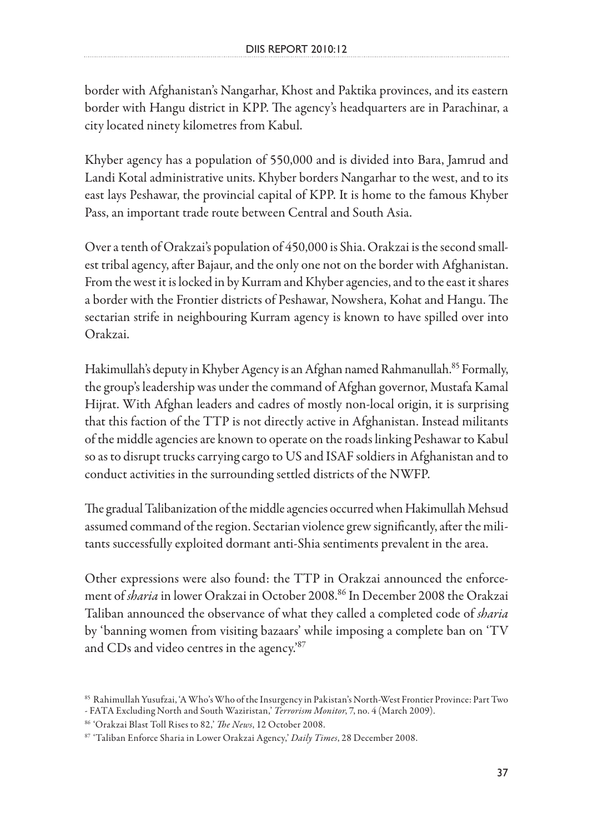border with Afghanistan's Nangarhar, Khost and Paktika provinces, and its eastern border with Hangu district in KPP. The agency's headquarters are in Parachinar, a city located ninety kilometres from Kabul.

Khyber agency has a population of 550,000 and is divided into Bara, Jamrud and Landi Kotal administrative units. Khyber borders Nangarhar to the west, and to its east lays Peshawar, the provincial capital of KPP. It is home to the famous Khyber Pass, an important trade route between Central and South Asia.

Over a tenth of Orakzai's population of 450,000 is Shia. Orakzai is the second smallest tribal agency, after Bajaur, and the only one not on the border with Afghanistan. From the west it is locked in by Kurram and Khyber agencies, and to the east it shares a border with the Frontier districts of Peshawar, Nowshera, Kohat and Hangu. The sectarian strife in neighbouring Kurram agency is known to have spilled over into Orakzai.

Hakimullah's deputy in Khyber Agency is an Afghan named Rahmanullah.<sup>85</sup> Formally, the group's leadership was under the command of Afghan governor, Mustafa Kamal Hijrat. With Afghan leaders and cadres of mostly non-local origin, it is surprising that this faction of the TTP is not directly active in Afghanistan. Instead militants of the middle agencies are known to operate on the roads linking Peshawar to Kabul so as to disrupt trucks carrying cargo to US and ISAF soldiers in Afghanistan and to conduct activities in the surrounding settled districts of the NWFP.

The gradual Talibanization of the middle agencies occurred when Hakimullah Mehsud assumed command of the region. Sectarian violence grew significantly, after the militants successfully exploited dormant anti-Shia sentiments prevalent in the area.

Other expressions were also found: the TTP in Orakzai announced the enforcement of *sharia* in lower Orakzai in October 2008.86 In December 2008 the Orakzai Taliban announced the observance of what they called a completed code of *sharia* by 'banning women from visiting bazaars' while imposing a complete ban on 'TV and CDs and video centres in the agency.'87

<sup>85</sup> Rahimullah Yusufzai, 'A Who's Who of the Insurgency in Pakistan's North-West Frontier Province: Part Two

<sup>-</sup> FATA Excluding North and South Waziristan,' *Terrorism Monitor*, 7, no. 4 (March 2009).

<sup>86 &#</sup>x27;Orakzai Blast Toll Rises to 82,' *The News*, 12 October 2008.

<sup>87 &#</sup>x27;Taliban Enforce Sharia in Lower Orakzai Agency,' *Daily Times*, 28 December 2008.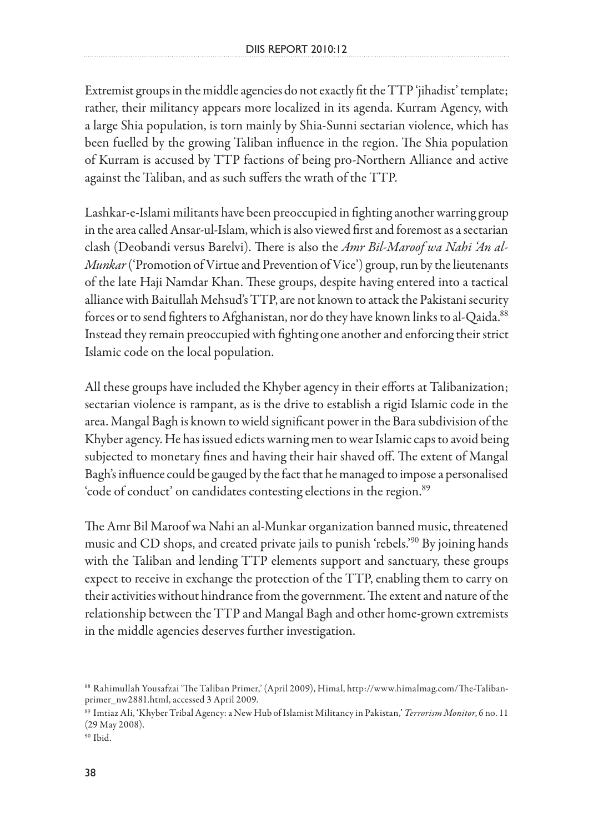Extremist groups in the middle agencies do not exactly fit the TTP 'jihadist' template; rather, their militancy appears more localized in its agenda. Kurram Agency, with a large Shia population, is torn mainly by Shia-Sunni sectarian violence, which has been fuelled by the growing Taliban influence in the region. The Shia population of Kurram is accused by TTP factions of being pro-Northern Alliance and active against the Taliban, and as such suffers the wrath of the TTP.

Lashkar-e-Islami militants have been preoccupied in fighting another warring group in the area called Ansar-ul-Islam, which is also viewed first and foremost as a sectarian clash (Deobandi versus Barelvi). There is also the *Amr Bil-Maroof wa Nahi 'An al-Munkar* ('Promotion of Virtue and Prevention of Vice') group, run by the lieutenants of the late Haji Namdar Khan. These groups, despite having entered into a tactical alliance with Baitullah Mehsud's TTP, are not known to attack the Pakistani security forces or to send fighters to Afghanistan, nor do they have known links to al-Qaida.<sup>88</sup> Instead they remain preoccupied with fighting one another and enforcing their strict Islamic code on the local population.

All these groups have included the Khyber agency in their efforts at Talibanization; sectarian violence is rampant, as is the drive to establish a rigid Islamic code in the area. Mangal Bagh is known to wield significant power in the Bara subdivision of the Khyber agency. He has issued edicts warning men to wear Islamic caps to avoid being subjected to monetary fines and having their hair shaved off. The extent of Mangal Bagh's influence could be gauged by the fact that he managed to impose a personalised 'code of conduct' on candidates contesting elections in the region.89

The Amr Bil Maroof wa Nahi an al-Munkar organization banned music, threatened music and CD shops, and created private jails to punish 'rebels.'90 By joining hands with the Taliban and lending TTP elements support and sanctuary, these groups expect to receive in exchange the protection of the TTP, enabling them to carry on their activities without hindrance from the government. The extent and nature of the relationship between the TTP and Mangal Bagh and other home-grown extremists in the middle agencies deserves further investigation.

<sup>88</sup> Rahimullah Yousafzai 'The Taliban Primer,' (April 2009), Himal, http://www.himalmag.com/The-Talibanprimer\_nw2881.html, accessed 3 April 2009.

<sup>89</sup> Imtiaz Ali, 'Khyber Tribal Agency: a New Hub of Islamist Militancy in Pakistan,' *Terrorism Monitor*, 6 no. 11 (29 May 2008).

<sup>90</sup> Ibid.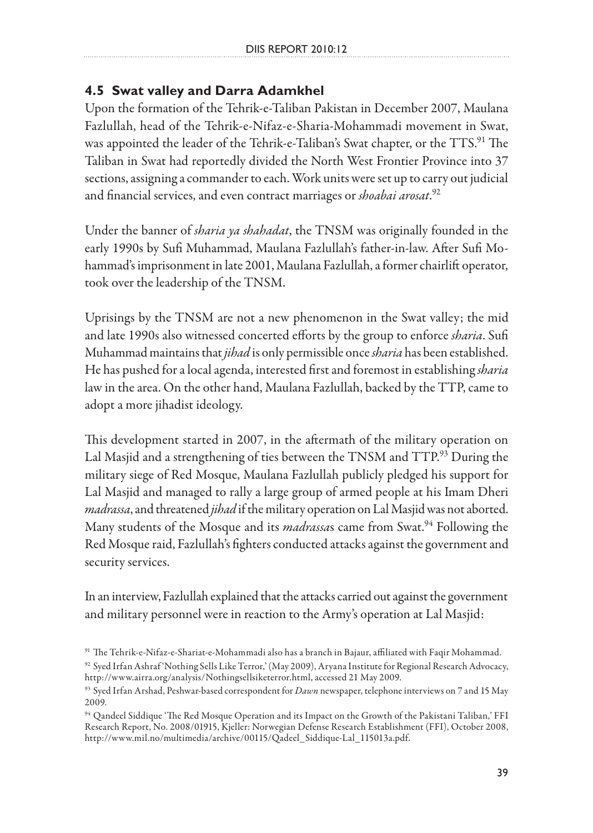## **4.5 Swat valley and Darra Adamkhel**

Upon the formation of the Tehrik-e-Taliban Pakistan in December 2007, Maulana Fazlullah, head of the Tehrik-e-Nifaz-e-Sharia-Mohammadi movement in Swat, was appointed the leader of the Tehrik-e-Taliban's Swat chapter, or the TTS.<sup>91</sup> The Taliban in Swat had reportedly divided the North West Frontier Province into 37 sections, assigning a commander to each. Work units were set up to carry out judicial and financial services, and even contract marriages or *shoabai arosat*. 92

Under the banner of *sharia ya shahadat*, the TNSM was originally founded in the early 1990s by Sufi Muhammad, Maulana Fazlullah's father-in-law. After Sufi Mohammad's imprisonment in late 2001, Maulana Fazlullah, a former chairlift operator, took over the leadership of the TNSM.

Uprisings by the TNSM are not a new phenomenon in the Swat valley; the mid and late 1990s also witnessed concerted efforts by the group to enforce *sharia*. Sufi Muhammad maintains that *jihad* is only permissible once *sharia* has been established. He has pushed for a local agenda, interested first and foremost in establishing *sharia* law in the area. On the other hand, Maulana Fazlullah, backed by the TTP, came to adopt a more jihadist ideology.

This development started in 2007, in the aftermath of the military operation on Lal Masjid and a strengthening of ties between the TNSM and TTP.<sup>93</sup> During the military siege of Red Mosque, Maulana Fazlullah publicly pledged his support for Lal Masjid and managed to rally a large group of armed people at his Imam Dheri *madrassa*, and threatened *jihad* if the military operation on Lal Masjid was not aborted. Many students of the Mosque and its *madrassa*s came from Swat.<sup>94</sup> Following the Red Mosque raid, Fazlullah's fighters conducted attacks against the government and security services.

In an interview, Fazlullah explained that the attacks carried out against the government and military personnel were in reaction to the Army's operation at Lal Masjid:

<sup>91</sup> The Tehrik-e-Nifaz-e-Shariat-e-Mohammadi also has a branch in Bajaur, affiliated with Faqir Mohammad.

<sup>92</sup> Syed Irfan Ashraf 'Nothing Sells Like Terror,' (May 2009), Aryana Institute for Regional Research Advocacy, http://www.airra.org/analysis/Nothingsellsiketerror.html, accessed 21 May 2009.

<sup>93</sup> Syed Irfan Arshad, Peshwar-based correspondent for *Dawn* newspaper, telephone interviews on 7 and 15 May 2009.

<sup>94</sup> Qandeel Siddique 'The Red Mosque Operation and its Impact on the Growth of the Pakistani Taliban,' FFI Research Report, No. 2008/01915, Kjeller: Norwegian Defense Research Establishment (FFI), October 2008, http://www.mil.no/multimedia/archive/00115/Qadeel\_Siddique-Lal\_115013a.pdf.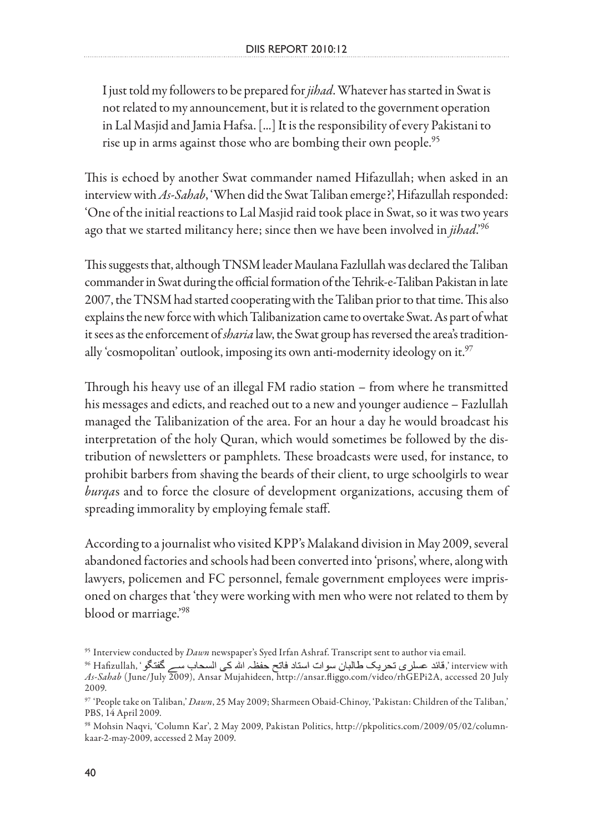I just told my followers to be prepared for *jihad*. Whatever has started in Swat is not related to my announcement, but it is related to the government operation in Lal Masjid and Jamia Hafsa. [...] It is the responsibility of every Pakistani to rise up in arms against those who are bombing their own people.<sup>95</sup>

This is echoed by another Swat commander named Hifazullah; when asked in an interview with *As-Sahab*, 'When did the Swat Taliban emerge?', Hifazullah responded: 'One of the initial reactions to Lal Masjid raid took place in Swat, so it was two years ago that we started militancy here; since then we have been involved in *jihad*.'96

This suggests that, although TNSM leader Maulana Fazlullah was declared the Taliban commander in Swat during the official formation of the Tehrik-e-Taliban Pakistan in late 2007, the TNSM had started cooperating with the Taliban prior to that time. This also explains the new force with which Talibanization came to overtake Swat. As part of what it sees as the enforcement of *sharia* law, the Swat group has reversed the area's traditionally 'cosmopolitan' outlook, imposing its own anti-modernity ideology on it. $97$ 

Through his heavy use of an illegal FM radio station – from where he transmitted his messages and edicts, and reached out to a new and younger audience – Fazlullah managed the Talibanization of the area. For an hour a day he would broadcast his interpretation of the holy Quran, which would sometimes be followed by the distribution of newsletters or pamphlets. These broadcasts were used, for instance, to prohibit barbers from shaving the beards of their client, to urge schoolgirls to wear *burqa*s and to force the closure of development organizations, accusing them of spreading immorality by employing female staff.

According to a journalist who visited KPP's Malakand division in May 2009, several abandoned factories and schools had been converted into 'prisons', where, along with lawyers, policemen and FC personnel, female government employees were imprisoned on charges that 'they were working with men who were not related to them by blood or marriage.'98

<sup>95</sup> Interview conducted by *Dawn* newspaper's Syed Irfan Ashraf. Transcript sent to author via email.

interview with ', قائد عسلرى تحريك طالبان سوات استاد فاتح حفظہ الله كي السحاب سے گفتگو ' ,Hafizullah <sup>96</sup> *As-Sahab* (June/July 2009), Ansar Mujahideen, http://ansar.fliggo.com/video/rhGEPi2A, accessed 20 July 2009.

<sup>97 &#</sup>x27;People take on Taliban,' *Dawn*, 25 May 2009; Sharmeen Obaid-Chinoy, 'Pakistan: Children of the Taliban,' PBS, 14 April 2009.

<sup>98</sup> Mohsin Naqvi, 'Column Kar', 2 May 2009, Pakistan Politics, http://pkpolitics.com/2009/05/02/columnkaar-2-may-2009, accessed 2 May 2009.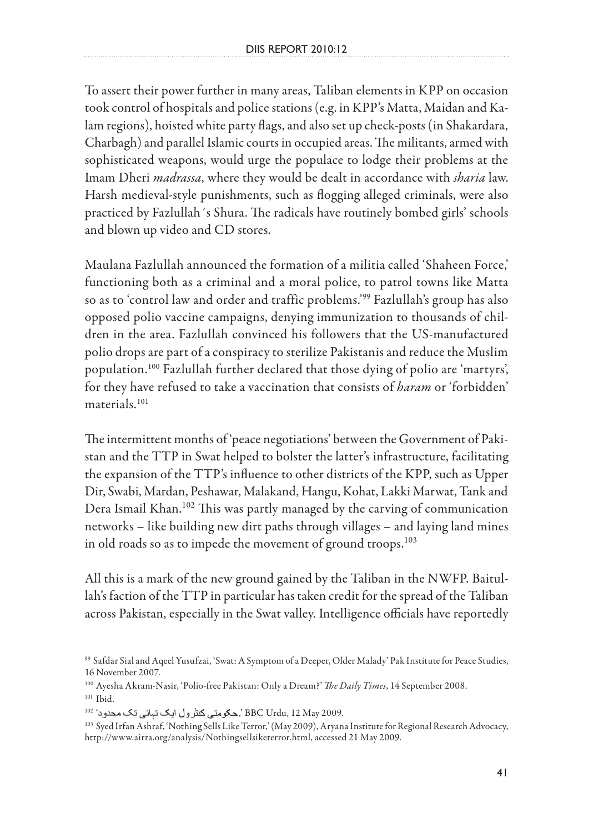To assert their power further in many areas, Taliban elements in KPP on occasion took control of hospitals and police stations (e.g. in KPP's Matta, Maidan and Kalam regions), hoisted white party flags, and also set up check-posts (in Shakardara, Charbagh) and parallel Islamic courts in occupied areas. The militants, armed with sophisticated weapons, would urge the populace to lodge their problems at the Imam Dheri *madrassa*, where they would be dealt in accordance with *sharia* law. Harsh medieval-style punishments, such as flogging alleged criminals, were also practiced by Fazlullah´s Shura. The radicals have routinely bombed girls' schools and blown up video and CD stores.

Maulana Fazlullah announced the formation of a militia called 'Shaheen Force,' functioning both as a criminal and a moral police, to patrol towns like Matta so as to 'control law and order and traffic problems.'99 Fazlullah's group has also opposed polio vaccine campaigns, denying immunization to thousands of children in the area. Fazlullah convinced his followers that the US-manufactured polio drops are part of a conspiracy to sterilize Pakistanis and reduce the Muslim population.100 Fazlullah further declared that those dying of polio are 'martyrs', for they have refused to take a vaccination that consists of *haram* or 'forbidden' materials.101

The intermittent months of 'peace negotiations' between the Government of Pakistan and the TTP in Swat helped to bolster the latter's infrastructure, facilitating the expansion of the TTP's influence to other districts of the KPP, such as Upper Dir, Swabi, Mardan, Peshawar, Malakand, Hangu, Kohat, Lakki Marwat, Tank and Dera Ismail Khan.<sup>102</sup> This was partly managed by the carving of communication networks – like building new dirt paths through villages – and laying land mines in old roads so as to impede the movement of ground troops.<sup>103</sup>

All this is a mark of the new ground gained by the Taliban in the NWFP. Baitullah's faction of the TTP in particular has taken credit for the spread of the Taliban across Pakistan, especially in the Swat valley. Intelligence officials have reportedly

<sup>99</sup> Safdar Sial and Aqeel Yusufzai, 'Swat: A Symptom of a Deeper, Older Malady' Pak Institute for Peace Studies, 16 November 2007.

<sup>100</sup> Ayesha Akram-Nasir, 'Polio-free Pakistan: Only a Dream?' *The Daily Times*, 14 September 2008. 101 Ibid.

<sup>.</sup>BBC Urdu, 12 May 2009', حكومتي كنترول ايك تبائي تك محدود<sup>، 102</sup>

<sup>103</sup> Syed Irfan Ashraf, 'Nothing Sells Like Terror,' (May 2009), Aryana Institute for Regional Research Advocacy, http://www.airra.org/analysis/Nothingsellsiketerror.html, accessed 21 May 2009.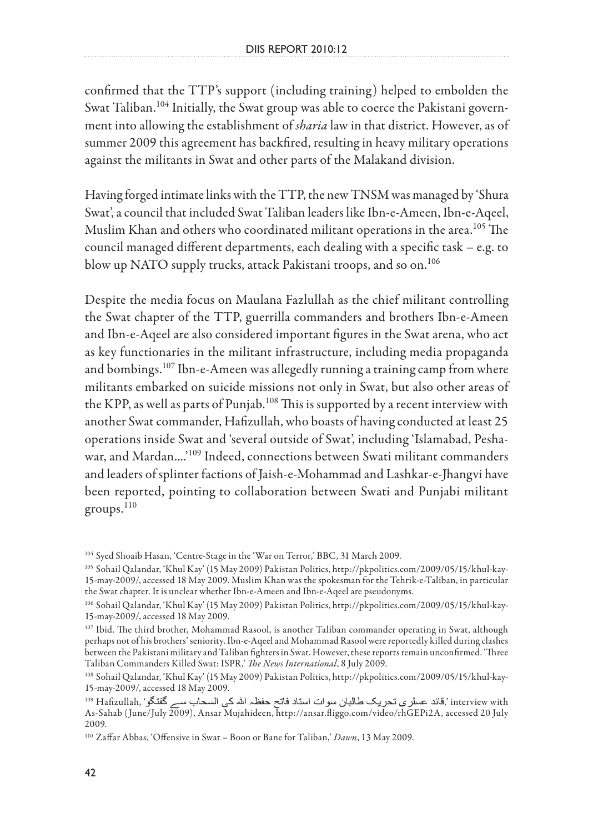confirmed that the TTP's support (including training) helped to embolden the Swat Taliban.<sup>104</sup> Initially, the Swat group was able to coerce the Pakistani government into allowing the establishment of *sharia* law in that district. However, as of summer 2009 this agreement has backfired, resulting in heavy military operations against the militants in Swat and other parts of the Malakand division.

Having forged intimate links with the TTP, the new TNSM was managed by 'Shura Swat', a council that included Swat Taliban leaders like Ibn-e-Ameen, Ibn-e-Aqeel, Muslim Khan and others who coordinated militant operations in the area.105 The council managed different departments, each dealing with a specific task – e.g. to blow up NATO supply trucks, attack Pakistani troops, and so on.<sup>106</sup>

Despite the media focus on Maulana Fazlullah as the chief militant controlling the Swat chapter of the TTP, guerrilla commanders and brothers Ibn-e-Ameen and Ibn-e-Aqeel are also considered important figures in the Swat arena, who act as key functionaries in the militant infrastructure, including media propaganda and bombings.<sup>107</sup> Ibn-e-Ameen was allegedly running a training camp from where militants embarked on suicide missions not only in Swat, but also other areas of the KPP, as well as parts of Punjab.<sup>108</sup> This is supported by a recent interview with another Swat commander, Hafizullah, who boasts of having conducted at least 25 operations inside Swat and 'several outside of Swat', including 'Islamabad, Peshawar, and Mardan....'109 Indeed, connections between Swati militant commanders and leaders of splinter factions of Jaish-e-Mohammad and Lashkar-e-Jhangvi have been reported, pointing to collaboration between Swati and Punjabi militant groups.110

<sup>104</sup> Syed Shoaib Hasan, 'Centre-Stage in the 'War on Terror,' BBC, 31 March 2009.

<sup>105</sup> Sohail Qalandar, 'Khul Kay' (15 May 2009) Pakistan Politics, http://pkpolitics.com/2009/05/15/khul-kay-15-may-2009/, accessed 18 May 2009. Muslim Khan was the spokesman for the Tehrik-e-Taliban, in particular the Swat chapter. It is unclear whether Ibn-e-Ameen and Ibn-e-Aqeel are pseudonyms.

<sup>106</sup> Sohail Qalandar, 'Khul Kay' (15 May 2009) Pakistan Politics, http://pkpolitics.com/2009/05/15/khul-kay-15-may-2009/, accessed 18 May 2009.

<sup>107</sup> Ibid. The third brother, Mohammad Rasool, is another Taliban commander operating in Swat, although perhaps not of his brothers' seniority. Ibn-e-Aqeel and Mohammad Rasool were reportedly killed during clashes between the Pakistani military and Taliban fighters in Swat. However, these reports remain unconfirmed. 'Three Taliban Commanders Killed Swat: ISPR,' *The News International*, 8 July 2009.

<sup>108</sup> Sohail Qalandar, 'Khul Kay' (15 May 2009) Pakistan Politics, http://pkpolitics.com/2009/05/15/khul-kay-15-may-2009/, accessed 18 May 2009.

interview with ',قائد عسلر ي تحر يك طالبان سو ات استاد فاتح حفظہ الله كي السحاب ســـر گفتگو '،Hafizullah ''' As-Sahab (June/July 2009), Ansar Mujahideen, http://ansar.fliggo.com/video/rhGEPi2A, accessed 20 July 2009.

<sup>110</sup> Zaffar Abbas, 'Offensive in Swat – Boon or Bane for Taliban,' *Dawn*, 13 May 2009.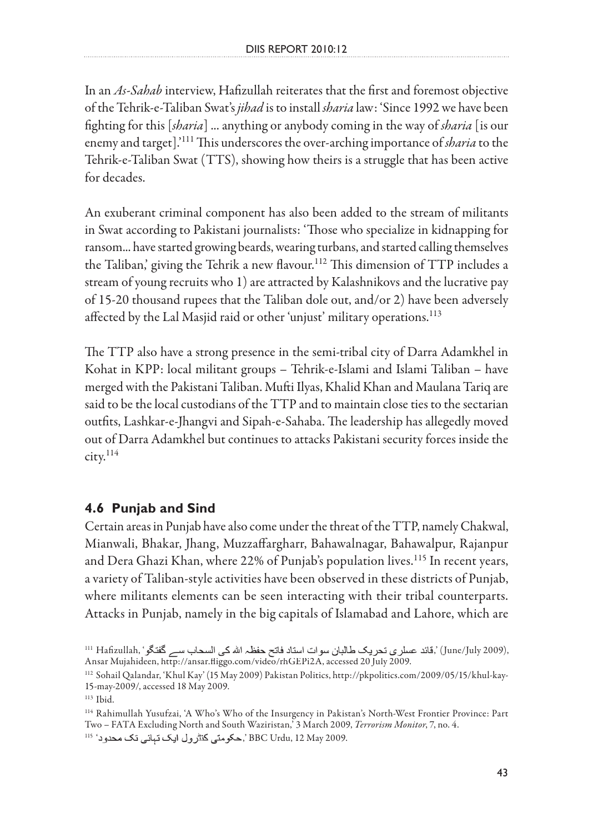In an *As-Sahab* interview, Hafizullah reiterates that the first and foremost objective of the Tehrik-e-Taliban Swat's *jihad* is to install *sharia* law: 'Since 1992 we have been fighting for this [*sharia*] ... anything or anybody coming in the way of *sharia* [is our enemy and target].'111 This underscores the over-arching importance of *sharia* to the Tehrik-e-Taliban Swat (TTS), showing how theirs is a struggle that has been active for decades.

An exuberant criminal component has also been added to the stream of militants in Swat according to Pakistani journalists: 'Those who specialize in kidnapping for ransom... have started growing beards, wearing turbans, and started calling themselves the Taliban,' giving the Tehrik a new flavour.<sup>112</sup> This dimension of TTP includes a stream of young recruits who 1) are attracted by Kalashnikovs and the lucrative pay of 15-20 thousand rupees that the Taliban dole out, and/or 2) have been adversely affected by the Lal Masjid raid or other 'unjust' military operations.<sup>113</sup>

The TTP also have a strong presence in the semi-tribal city of Darra Adamkhel in Kohat in KPP: local militant groups – Tehrik-e-Islami and Islami Taliban – have merged with the Pakistani Taliban. Mufti Ilyas, Khalid Khan and Maulana Tariq are said to be the local custodians of the TTP and to maintain close ties to the sectarian outfits, Lashkar-e-Jhangvi and Sipah-e-Sahaba. The leadership has allegedly moved out of Darra Adamkhel but continues to attacks Pakistani security forces inside the  $\text{city.}^{114}$ 

## **4.6 Punjab and Sind**

Certain areas in Punjab have also come under the threat of the TTP, namely Chakwal, Mianwali, Bhakar, Jhang, Muzzaffargharr, Bahawalnagar, Bahawalpur, Rajanpur and Dera Ghazi Khan, where 22% of Punjab's population lives.<sup>115</sup> In recent years, a variety of Taliban-style activities have been observed in these districts of Punjab, where militants elements can be seen interacting with their tribal counterparts. Attacks in Punjab, namely in the big capitals of Islamabad and Lahore, which are

113 Ibid.

114 Rahimullah Yusufzai, 'A Who's Who of the Insurgency in Pakistan's North-West Frontier Province: Part Two – FATA Excluding North and South Waziristan,' 3 March 2009, *Terrorism Monitor*, 7, no. 4. .BBC Urdu, 12 May 2009', حكومتي كنترول ايك تبائي تك محدود<sup>، 115</sup>

ا11 Hafizullah, 'قائد عسلرى تحريك طالبان سوات استاد فاتح حفظہ الله كى السحاب سے گفتگو' ,June/July 2009), Ansar Mujahideen, http://ansar.fliggo.com/video/rhGEPi2A, accessed 20 July 2009.

<sup>112</sup> Sohail Qalandar, 'Khul Kay' (15 May 2009) Pakistan Politics, http://pkpolitics.com/2009/05/15/khul-kay-15-may-2009/, accessed 18 May 2009.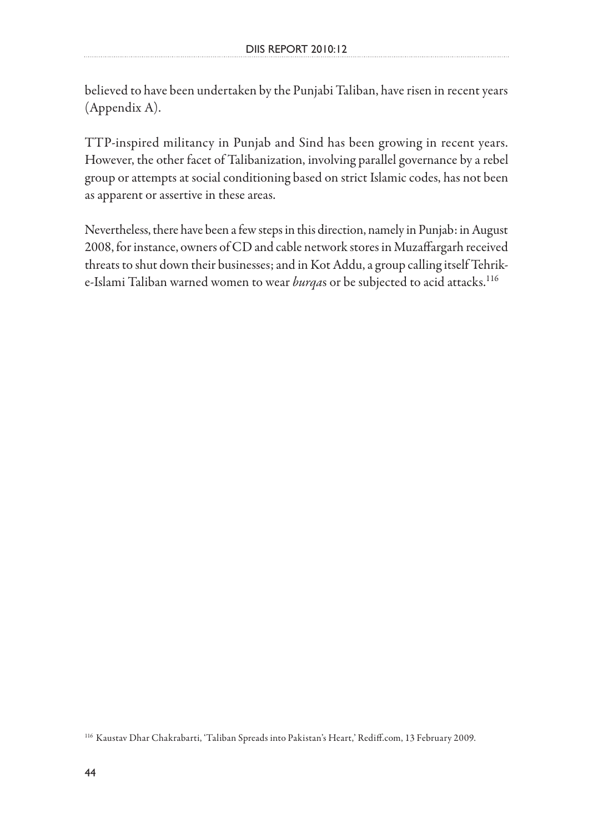believed to have been undertaken by the Punjabi Taliban, have risen in recent years (Appendix A).

TTP-inspired militancy in Punjab and Sind has been growing in recent years. However, the other facet of Talibanization, involving parallel governance by a rebel group or attempts at social conditioning based on strict Islamic codes, has not been as apparent or assertive in these areas.

Nevertheless, there have been a few steps in this direction, namely in Punjab: in August 2008, for instance, owners of CD and cable network stores in Muzaffargarh received threats to shut down their businesses; and in Kot Addu, a group calling itself Tehrike-Islami Taliban warned women to wear *burqa*s or be subjected to acid attacks.116

<sup>116</sup> Kaustav Dhar Chakrabarti, 'Taliban Spreads into Pakistan's Heart,' Rediff.com, 13 February 2009.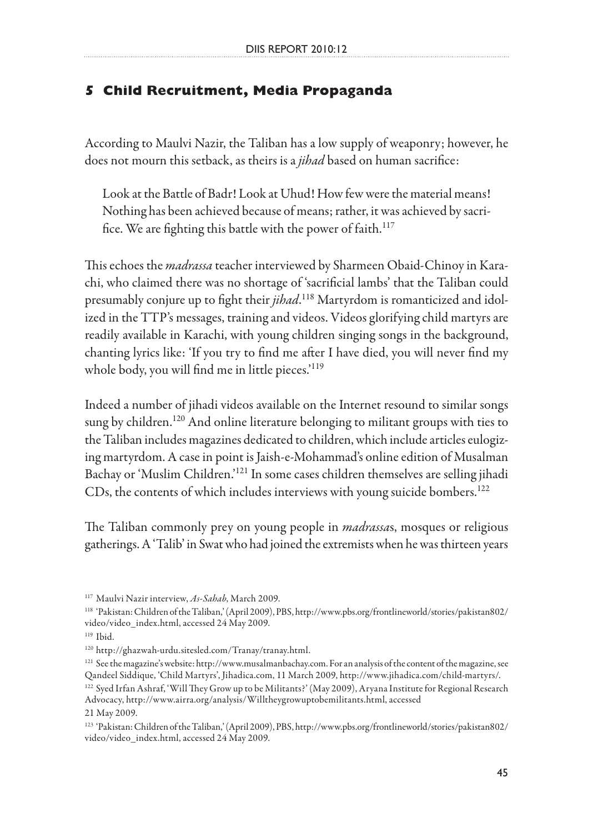## **5 Child Recruitment, Media Propaganda**

According to Maulvi Nazir, the Taliban has a low supply of weaponry; however, he does not mourn this setback, as theirs is a *jihad* based on human sacrifice:

Look at the Battle of Badr! Look at Uhud! How few were the material means! Nothing has been achieved because of means; rather, it was achieved by sacrifice. We are fighting this battle with the power of faith.<sup>117</sup>

This echoes the *madrassa* teacher interviewed by Sharmeen Obaid-Chinoy in Karachi, who claimed there was no shortage of 'sacrificial lambs' that the Taliban could presumably conjure up to fight their *jihad*. 118 Martyrdom is romanticized and idolized in the TTP's messages, training and videos. Videos glorifying child martyrs are readily available in Karachi, with young children singing songs in the background, chanting lyrics like: 'If you try to find me after I have died, you will never find my whole body, you will find me in little pieces.<sup>'119</sup>

Indeed a number of jihadi videos available on the Internet resound to similar songs sung by children.<sup>120</sup> And online literature belonging to militant groups with ties to the Taliban includes magazines dedicated to children, which include articles eulogizing martyrdom. A case in point is Jaish-e-Mohammad's online edition of Musalman Bachay or 'Muslim Children.'121 In some cases children themselves are selling jihadi CDs, the contents of which includes interviews with young suicide bombers.<sup>122</sup>

The Taliban commonly prey on young people in *madrassa*s, mosques or religious gatherings. A 'Talib' in Swat who had joined the extremists when he was thirteen years

<sup>117</sup> Maulvi Nazir interview, *As-Sahab*, March 2009.

<sup>118 &#</sup>x27;Pakistan: Children of the Taliban,' (April 2009), PBS, http://www.pbs.org/frontlineworld/stories/pakistan802/ video/video\_index.html, accessed 24 May 2009.

<sup>119</sup> Ibid.

<sup>120</sup> http://ghazwah-urdu.sitesled.com/Tranay/tranay.html.

<sup>&</sup>lt;sup>121</sup> See the magazine's website: http://www.musalmanbachay.com. For an analysis of the content of the magazine, see Qandeel Siddique, 'Child Martyrs', Jihadica.com, 11 March 2009, http://www.jihadica.com/child-martyrs/.

<sup>122</sup> Syed Irfan Ashraf, 'Will They Grow up to be Militants?' (May 2009), Aryana Institute for Regional Research Advocacy, http://www.airra.org/analysis/Willtheygrowuptobemilitants.html, accessed 21 May 2009.

<sup>123 &#</sup>x27;Pakistan: Children of the Taliban,' (April 2009), PBS, http://www.pbs.org/frontlineworld/stories/pakistan802/ video/video\_index.html, accessed 24 May 2009.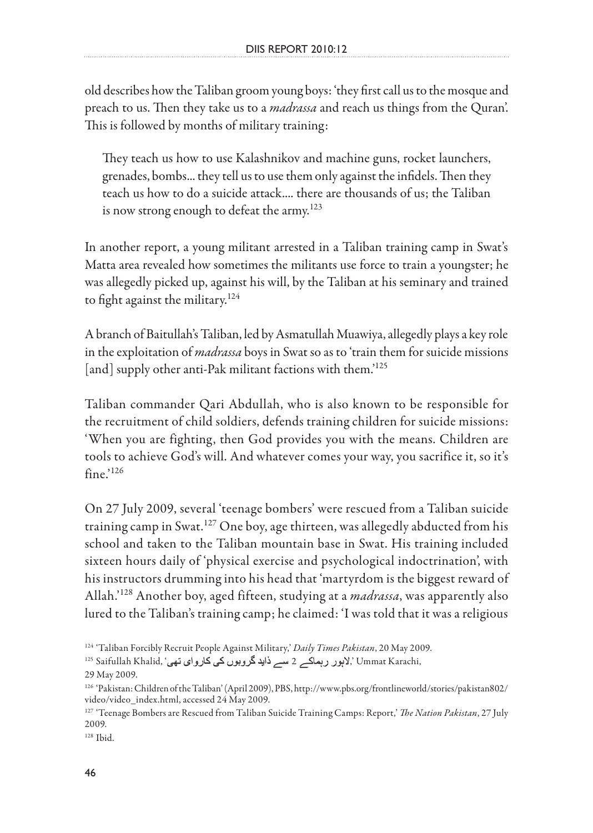old describes how the Taliban groom young boys: 'they first call us to the mosque and preach to us. Then they take us to a *madrassa* and reach us things from the Quran'. This is followed by months of military training:

They teach us how to use Kalashnikov and machine guns, rocket launchers, grenades, bombs... they tell us to use them only against the infidels. Then they teach us how to do a suicide attack.... there are thousands of us; the Taliban is now strong enough to defeat the army.<sup>123</sup>

In another report, a young militant arrested in a Taliban training camp in Swat's Matta area revealed how sometimes the militants use force to train a youngster; he was allegedly picked up, against his will, by the Taliban at his seminary and trained to fight against the military. $124$ 

A branch of Baitullah's Taliban, led by Asmatullah Muawiya, allegedly plays a key role in the exploitation of *madrassa* boys in Swat so as to 'train them for suicide missions [and] supply other anti-Pak militant factions with them.<sup>125</sup>

Taliban commander Qari Abdullah, who is also known to be responsible for the recruitment of child soldiers, defends training children for suicide missions: 'When you are fighting, then God provides you with the means. Children are tools to achieve God's will. And whatever comes your way, you sacrifice it, so it's  $fine.^{126}$ 

On 27 July 2009, several 'teenage bombers' were rescued from a Taliban suicide training camp in Swat.<sup>127</sup> One boy, age thirteen, was allegedly abducted from his school and taken to the Taliban mountain base in Swat. His training included sixteen hours daily of 'physical exercise and psychological indoctrination', with his instructors drumming into his head that 'martyrdom is the biggest reward of Allah.'128 Another boy, aged fifteen, studying at a *madrassa*, was apparently also lured to the Taliban's training camp; he claimed: 'I was told that it was a religious

<sup>124 &#</sup>x27;Taliban Forcibly Recruit People Against Military,' *Daily Times Pakistan*, 20 May 2009.

<sup>125</sup> Saifullah Khalid, ' 2 ,' Ummat Karachi,

<sup>29</sup> May 2009.

<sup>126 &#</sup>x27;Pakistan: Children of the Taliban' (April 2009), PBS, http://www.pbs.org/frontlineworld/stories/pakistan802/ video/video\_index.html, accessed 24 May 2009.

<sup>127 &#</sup>x27;Teenage Bombers are Rescued from Taliban Suicide Training Camps: Report,' *The Nation Pakistan*, 27 July 2009.

<sup>128</sup> Ibid.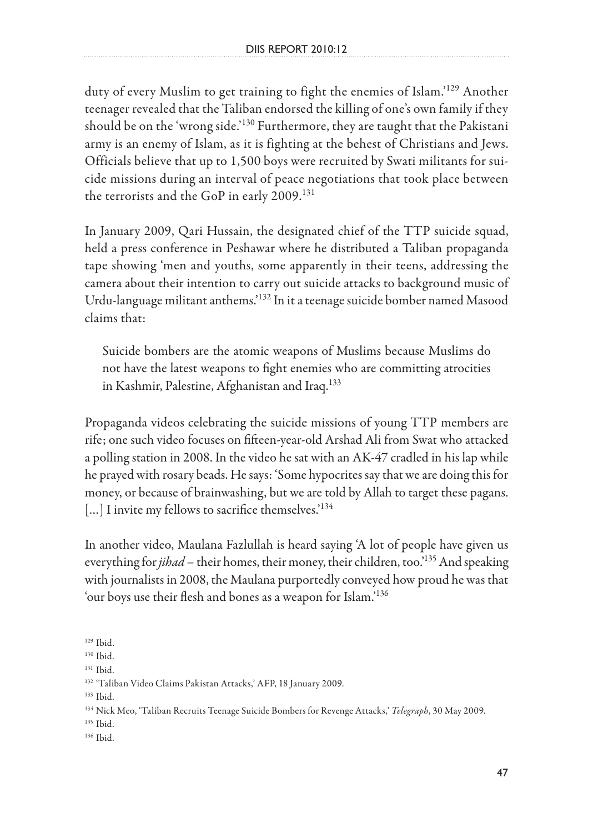duty of every Muslim to get training to fight the enemies of Islam.'<sup>129</sup> Another teenager revealed that the Taliban endorsed the killing of one's own family if they should be on the 'wrong side.'130 Furthermore, they are taught that the Pakistani army is an enemy of Islam, as it is fighting at the behest of Christians and Jews. Officials believe that up to 1,500 boys were recruited by Swati militants for suicide missions during an interval of peace negotiations that took place between the terrorists and the GoP in early 2009.<sup>131</sup>

In January 2009, Qari Hussain, the designated chief of the TTP suicide squad, held a press conference in Peshawar where he distributed a Taliban propaganda tape showing 'men and youths, some apparently in their teens, addressing the camera about their intention to carry out suicide attacks to background music of Urdu-language militant anthems.'132 In it a teenage suicide bomber named Masood claims that:

Suicide bombers are the atomic weapons of Muslims because Muslims do not have the latest weapons to fight enemies who are committing atrocities in Kashmir, Palestine, Afghanistan and Iraq.<sup>133</sup>

Propaganda videos celebrating the suicide missions of young TTP members are rife; one such video focuses on fifteen-year-old Arshad Ali from Swat who attacked a polling station in 2008. In the video he sat with an AK-47 cradled in his lap while he prayed with rosary beads. He says: 'Some hypocrites say that we are doing this for money, or because of brainwashing, but we are told by Allah to target these pagans. [...] I invite my fellows to sacrifice themselves.<sup>'134</sup>

In another video, Maulana Fazlullah is heard saying 'A lot of people have given us everything for *jihad* – their homes, their money, their children, too.<sup>'135</sup> And speaking with journalists in 2008, the Maulana purportedly conveyed how proud he was that 'our boys use their flesh and bones as a weapon for Islam.'136

133 Ibid.

- 135 Ibid.
- 136 Ibid.

<sup>129</sup> Ibid.

<sup>130</sup> Ibid.

<sup>131</sup> Ibid.

<sup>132 &#</sup>x27;Taliban Video Claims Pakistan Attacks,' AFP, 18 January 2009.

<sup>134</sup> Nick Meo, 'Taliban Recruits Teenage Suicide Bombers for Revenge Attacks,' *Telegraph*, 30 May 2009.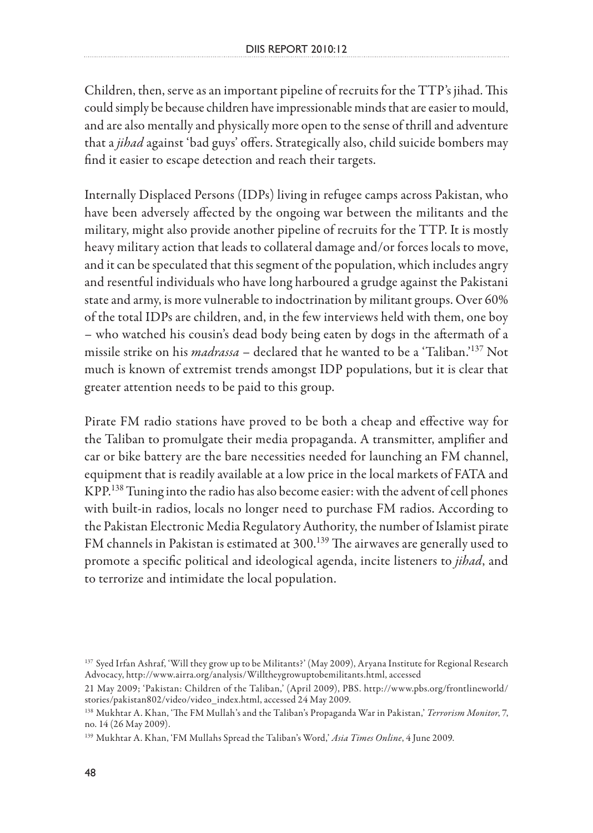Children, then, serve as an important pipeline of recruits for the TTP's jihad. This could simply be because children have impressionable minds that are easier to mould, and are also mentally and physically more open to the sense of thrill and adventure that a *jihad* against 'bad guys' offers. Strategically also, child suicide bombers may find it easier to escape detection and reach their targets.

Internally Displaced Persons (IDPs) living in refugee camps across Pakistan, who have been adversely affected by the ongoing war between the militants and the military, might also provide another pipeline of recruits for the TTP. It is mostly heavy military action that leads to collateral damage and/or forces locals to move, and it can be speculated that this segment of the population, which includes angry and resentful individuals who have long harboured a grudge against the Pakistani state and army, is more vulnerable to indoctrination by militant groups. Over 60% of the total IDPs are children, and, in the few interviews held with them, one boy – who watched his cousin's dead body being eaten by dogs in the aftermath of a missile strike on his *madrassa* – declared that he wanted to be a 'Taliban.'137 Not much is known of extremist trends amongst IDP populations, but it is clear that greater attention needs to be paid to this group.

Pirate FM radio stations have proved to be both a cheap and effective way for the Taliban to promulgate their media propaganda. A transmitter, amplifier and car or bike battery are the bare necessities needed for launching an FM channel, equipment that is readily available at a low price in the local markets of FATA and KPP.138 Tuning into the radio has also become easier: with the advent of cell phones with built-in radios, locals no longer need to purchase FM radios. According to the Pakistan Electronic Media Regulatory Authority, the number of Islamist pirate FM channels in Pakistan is estimated at 300.<sup>139</sup> The airwaves are generally used to promote a specific political and ideological agenda, incite listeners to *jihad*, and to terrorize and intimidate the local population.

<sup>137</sup> Syed Irfan Ashraf, 'Will they grow up to be Militants?' (May 2009), Aryana Institute for Regional Research Advocacy, http://www.airra.org/analysis/Willtheygrowuptobemilitants.html, accessed

<sup>21</sup> May 2009; 'Pakistan: Children of the Taliban,' (April 2009), PBS. http://www.pbs.org/frontlineworld/ stories/pakistan802/video/video\_index.html, accessed 24 May 2009.

<sup>138</sup> Mukhtar A. Khan, 'The FM Mullah's and the Taliban's Propaganda War in Pakistan,' *Terrorism Monitor*, 7, no. 14 (26 May 2009).

<sup>139</sup> Mukhtar A. Khan, 'FM Mullahs Spread the Taliban's Word,' *Asia Times Online*, 4 June 2009.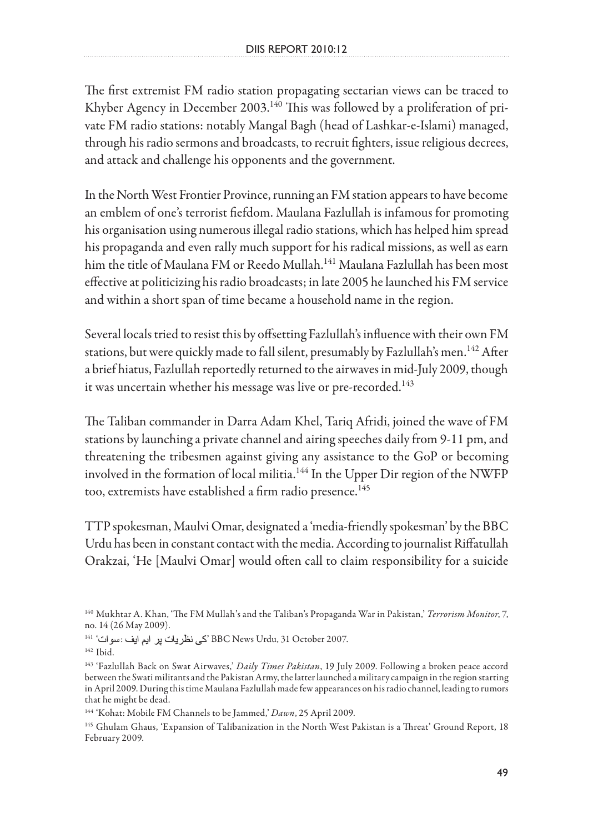The first extremist FM radio station propagating sectarian views can be traced to Khyber Agency in December 2003.<sup>140</sup> This was followed by a proliferation of private FM radio stations: notably Mangal Bagh (head of Lashkar-e-Islami) managed, through his radio sermons and broadcasts, to recruit fighters, issue religious decrees, and attack and challenge his opponents and the government.

In the North West Frontier Province, running an FM station appears to have become an emblem of one's terrorist fiefdom. Maulana Fazlullah is infamous for promoting his organisation using numerous illegal radio stations, which has helped him spread his propaganda and even rally much support for his radical missions, as well as earn him the title of Maulana FM or Reedo Mullah.<sup>141</sup> Maulana Fazlullah has been most effective at politicizing his radio broadcasts; in late 2005 he launched his FM service and within a short span of time became a household name in the region.

Several locals tried to resist this by offsetting Fazlullah's influence with their own FM stations, but were quickly made to fall silent, presumably by Fazlullah's men.<sup>142</sup> After a brief hiatus, Fazlullah reportedly returned to the airwaves in mid-July 2009, though it was uncertain whether his message was live or pre-recorded.<sup>143</sup>

The Taliban commander in Darra Adam Khel, Tariq Afridi, joined the wave of FM stations by launching a private channel and airing speeches daily from 9-11 pm, and threatening the tribesmen against giving any assistance to the GoP or becoming involved in the formation of local militia.<sup>144</sup> In the Upper Dir region of the NWFP too, extremists have established a firm radio presence.<sup>145</sup>

TTP spokesman, Maulvi Omar, designated a 'media-friendly spokesman' by the BBC Urdu has been in constant contact with the media. According to journalist Riffatullah Orakzai, 'He [Maulvi Omar] would often call to claim responsibility for a suicide

<sup>140</sup> Mukhtar A. Khan, 'The FM Mullah's and the Taliban's Propaganda War in Pakistan,' *Terrorism Monitor*, 7, no. 14 (26 May 2009).

<sup>141 &#</sup>x27; نكى نظريات پر ايم ايف: سوات " BBC News Urdu, 31 October 2007.

<sup>142</sup> Ibid.

<sup>143 &#</sup>x27;Fazlullah Back on Swat Airwaves,' *Daily Times Pakistan*, 19 July 2009. Following a broken peace accord between the Swati militants and the Pakistan Army, the latter launched a military campaign in the region starting in April 2009. During this time Maulana Fazlullah made few appearances on his radio channel, leading to rumors that he might be dead.

<sup>144 &#</sup>x27;Kohat: Mobile FM Channels to be Jammed,' *Dawn*, 25 April 2009.

<sup>145</sup> Ghulam Ghaus, 'Expansion of Talibanization in the North West Pakistan is a Threat' Ground Report, 18 February 2009.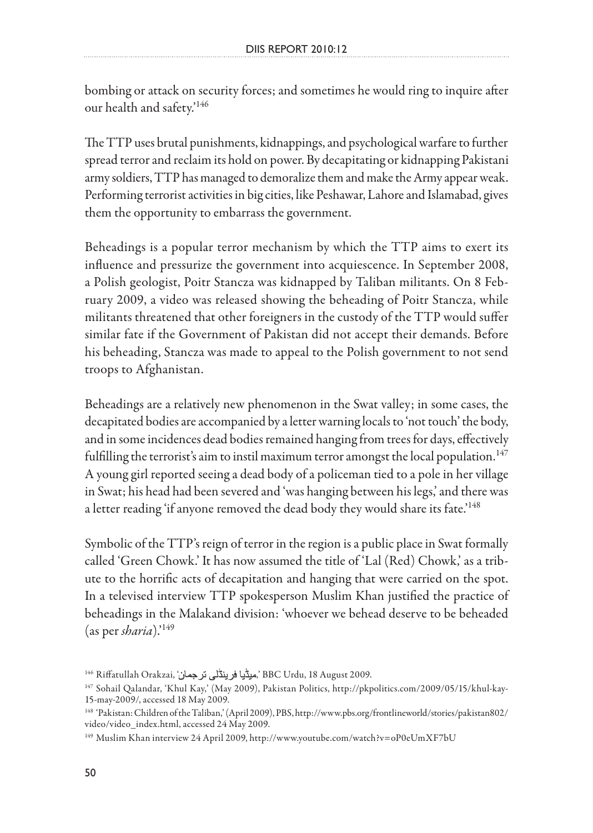bombing or attack on security forces; and sometimes he would ring to inquire after our health and safety.'<sup>146</sup>

The TTP uses brutal punishments, kidnappings, and psychological warfare to further spread terror and reclaim its hold on power. By decapitating or kidnapping Pakistani army soldiers, TTP has managed to demoralize them and make the Army appear weak. Performing terrorist activities in big cities, like Peshawar, Lahore and Islamabad, gives them the opportunity to embarrass the government.

Beheadings is a popular terror mechanism by which the TTP aims to exert its influence and pressurize the government into acquiescence. In September 2008, a Polish geologist, Poitr Stancza was kidnapped by Taliban militants. On 8 February 2009, a video was released showing the beheading of Poitr Stancza, while militants threatened that other foreigners in the custody of the TTP would suffer similar fate if the Government of Pakistan did not accept their demands. Before his beheading, Stancza was made to appeal to the Polish government to not send troops to Afghanistan.

Beheadings are a relatively new phenomenon in the Swat valley; in some cases, the decapitated bodies are accompanied by a letter warning locals to 'not touch' the body, and in some incidences dead bodies remained hanging from trees for days, effectively fulfilling the terrorist's aim to instil maximum terror amongst the local population.<sup>147</sup> A young girl reported seeing a dead body of a policeman tied to a pole in her village in Swat; his head had been severed and 'was hanging between his legs,' and there was a letter reading 'if anyone removed the dead body they would share its fate.'<sup>148</sup>

Symbolic of the TTP's reign of terror in the region is a public place in Swat formally called 'Green Chowk.' It has now assumed the title of 'Lal (Red) Chowk,' as a tribute to the horrific acts of decapitation and hanging that were carried on the spot. In a televised interview TTP spokesperson Muslim Khan justified the practice of beheadings in the Malakand division: 'whoever we behead deserve to be beheaded (as per *sharia*).'149

<sup>&</sup>lt;sup>146</sup> Riffatullah Orakzai, 'ميڈيا فرينڈلي ترجمان, BBC Urdu, 18 August 2009.

<sup>147</sup> Sohail Qalandar, 'Khul Kay,' (May 2009), Pakistan Politics, http://pkpolitics.com/2009/05/15/khul-kay-15-may-2009/, accessed 18 May 2009.

<sup>148 &#</sup>x27;Pakistan: Children of the Taliban,' (April 2009), PBS, http://www.pbs.org/frontlineworld/stories/pakistan802/ video/video\_index.html, accessed 24 May 2009.

<sup>149</sup> Muslim Khan interview 24 April 2009, http://www.youtube.com/watch?v=oP0eUmXF7bU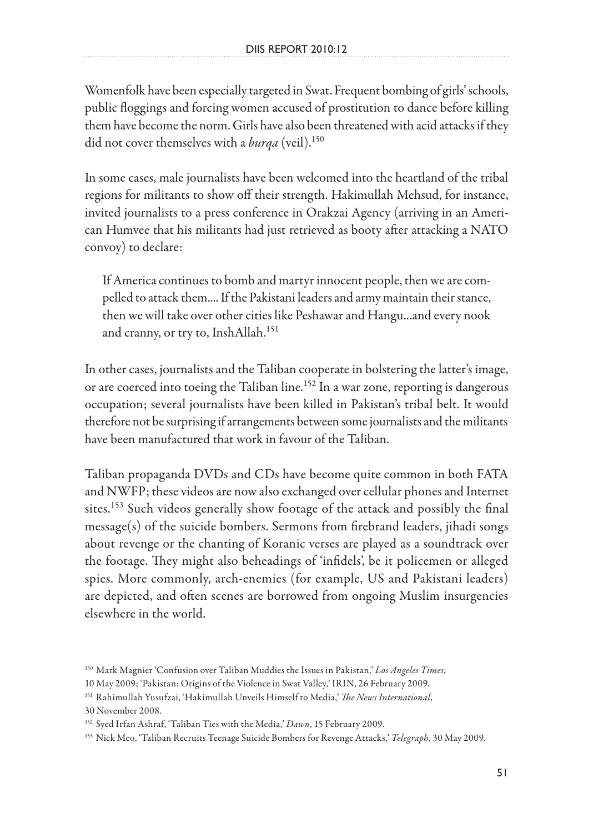Womenfolk have been especially targeted in Swat. Frequent bombing of girls' schools, public floggings and forcing women accused of prostitution to dance before killing them have become the norm. Girls have also been threatened with acid attacks if they did not cover themselves with a *burqa* (veil).<sup>150</sup>

In some cases, male journalists have been welcomed into the heartland of the tribal regions for militants to show off their strength. Hakimullah Mehsud, for instance, invited journalists to a press conference in Orakzai Agency (arriving in an American Humvee that his militants had just retrieved as booty after attacking a NATO convoy) to declare:

If America continues to bomb and martyr innocent people, then we are compelled to attack them.... If the Pakistani leaders and army maintain their stance, then we will take over other cities like Peshawar and Hangu...and every nook and cranny, or try to, InshAllah.<sup>151</sup>

In other cases, journalists and the Taliban cooperate in bolstering the latter's image, or are coerced into toeing the Taliban line.<sup>152</sup> In a war zone, reporting is dangerous occupation; several journalists have been killed in Pakistan's tribal belt. It would therefore not be surprising if arrangements between some journalists and the militants have been manufactured that work in favour of the Taliban.

Taliban propaganda DVDs and CDs have become quite common in both FATA and NWFP; these videos are now also exchanged over cellular phones and Internet sites.<sup>153</sup> Such videos generally show footage of the attack and possibly the final message(s) of the suicide bombers. Sermons from firebrand leaders, jihadi songs about revenge or the chanting of Koranic verses are played as a soundtrack over the footage. They might also beheadings of 'infidels', be it policemen or alleged spies. More commonly, arch-enemies (for example, US and Pakistani leaders) are depicted, and often scenes are borrowed from ongoing Muslim insurgencies elsewhere in the world.

<sup>150</sup> Mark Magnier 'Confusion over Taliban Muddies the Issues in Pakistan,' *Los Angeles Times*,

<sup>10</sup> May 2009; 'Pakistan: Origins of the Violence in Swat Valley,' IRIN, 26 February 2009.

<sup>151</sup> Rahimullah Yusufzai, 'Hakimullah Unveils Himself to Media,' *The News International*,

<sup>30</sup> November 2008.

<sup>152</sup> Syed Irfan Ashraf, 'Taliban Ties with the Media,' *Dawn*, 15 February 2009.

<sup>153</sup> Nick Meo, 'Taliban Recruits Teenage Suicide Bombers for Revenge Attacks,' *Telegraph*, 30 May 2009.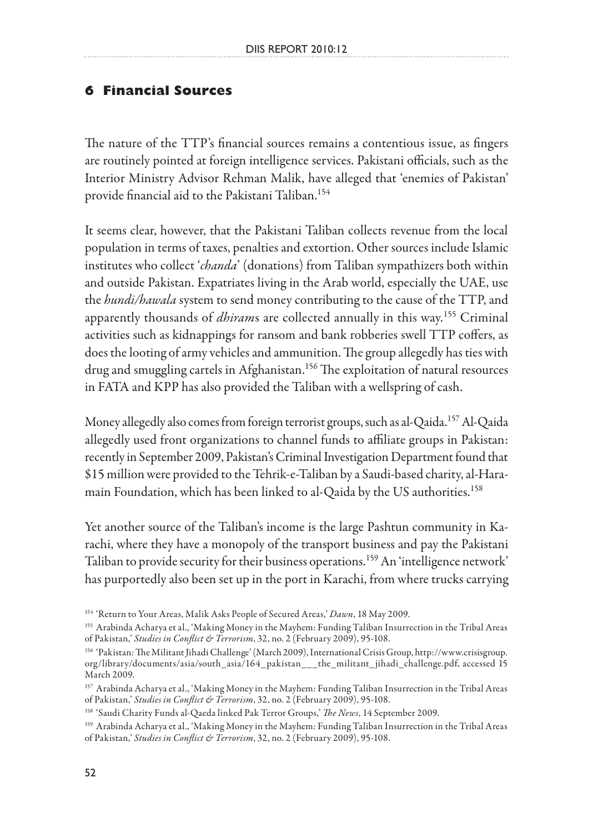#### **6 Financial Sources**

The nature of the TTP's financial sources remains a contentious issue, as fingers are routinely pointed at foreign intelligence services. Pakistani officials, such as the Interior Ministry Advisor Rehman Malik, have alleged that 'enemies of Pakistan' provide financial aid to the Pakistani Taliban.<sup>154</sup>

It seems clear, however, that the Pakistani Taliban collects revenue from the local population in terms of taxes, penalties and extortion. Other sources include Islamic institutes who collect '*chanda*' (donations) from Taliban sympathizers both within and outside Pakistan. Expatriates living in the Arab world, especially the UAE, use the *hundi/hawala* system to send money contributing to the cause of the TTP, and apparently thousands of *dhiram*s are collected annually in this way.155 Criminal activities such as kidnappings for ransom and bank robberies swell TTP coffers, as does the looting of army vehicles and ammunition. The group allegedly has ties with drug and smuggling cartels in Afghanistan.<sup>156</sup> The exploitation of natural resources in FATA and KPP has also provided the Taliban with a wellspring of cash.

Money allegedly also comes from foreign terrorist groups, such as al-Qaida.<sup>157</sup> Al-Qaida allegedly used front organizations to channel funds to affiliate groups in Pakistan: recently in September 2009, Pakistan's Criminal Investigation Department found that \$15 million were provided to the Tehrik-e-Taliban by a Saudi-based charity, al-Haramain Foundation, which has been linked to al-Qaida by the US authorities.158

Yet another source of the Taliban's income is the large Pashtun community in Karachi, where they have a monopoly of the transport business and pay the Pakistani Taliban to provide security for their business operations.159 An 'intelligence network' has purportedly also been set up in the port in Karachi, from where trucks carrying

<sup>154 &#</sup>x27;Return to Your Areas, Malik Asks People of Secured Areas,' *Dawn*, 18 May 2009.

<sup>155</sup> Arabinda Acharya et al., 'Making Money in the Mayhem: Funding Taliban Insurrection in the Tribal Areas of Pakistan,' *Studies in Conflict & Terrorism*, 32, no. 2 (February 2009), 95-108.

<sup>156 &#</sup>x27;Pakistan: The Militant Jihadi Challenge' (March 2009), International Crisis Group, http://www.crisisgroup. org/library/documents/asia/south\_asia/164\_pakistan\_\_\_the\_militant\_ jihadi\_challenge.pdf, accessed 15 March 2009.

<sup>157</sup> Arabinda Acharya et al., 'Making Money in the Mayhem: Funding Taliban Insurrection in the Tribal Areas of Pakistan,' *Studies in Conflict & Terrorism*, 32, no. 2 (February 2009), 95-108.

<sup>158 &#</sup>x27;Saudi Charity Funds al-Qaeda linked Pak Terror Groups,' *The News*, 14 September 2009.

<sup>159</sup> Arabinda Acharya et al., 'Making Money in the Mayhem: Funding Taliban Insurrection in the Tribal Areas of Pakistan,' *Studies in Conflict & Terrorism*, 32, no. 2 (February 2009), 95-108.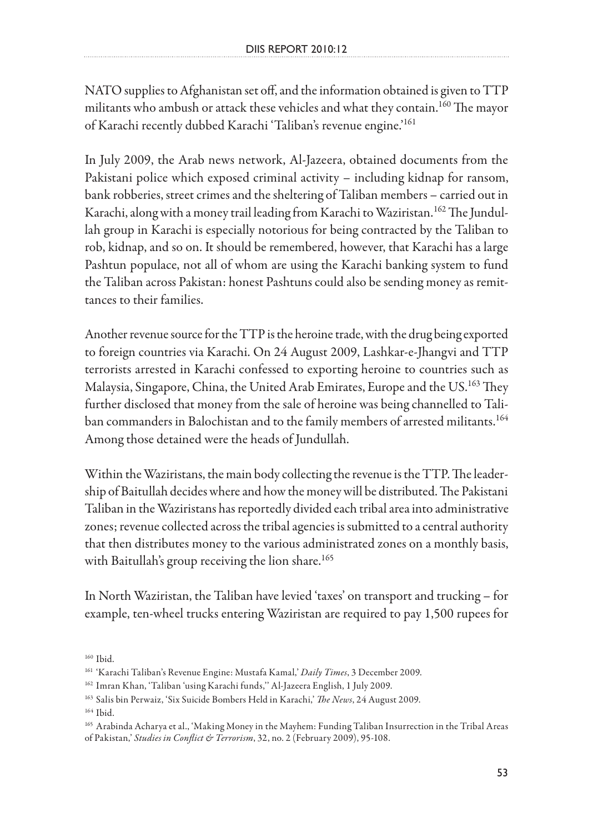NATO supplies to Afghanistan set off, and the information obtained is given to TTP militants who ambush or attack these vehicles and what they contain.<sup>160</sup> The mayor of Karachi recently dubbed Karachi 'Taliban's revenue engine.'<sup>161</sup>

In July 2009, the Arab news network, Al-Jazeera, obtained documents from the Pakistani police which exposed criminal activity – including kidnap for ransom, bank robberies, street crimes and the sheltering of Taliban members – carried out in Karachi, along with a money trail leading from Karachi to Waziristan.<sup>162</sup> The Jundullah group in Karachi is especially notorious for being contracted by the Taliban to rob, kidnap, and so on. It should be remembered, however, that Karachi has a large Pashtun populace, not all of whom are using the Karachi banking system to fund the Taliban across Pakistan: honest Pashtuns could also be sending money as remittances to their families.

Another revenue source for the TTP is the heroine trade, with the drug being exported to foreign countries via Karachi. On 24 August 2009, Lashkar-e-Jhangvi and TTP terrorists arrested in Karachi confessed to exporting heroine to countries such as Malaysia, Singapore, China, the United Arab Emirates, Europe and the US.163 They further disclosed that money from the sale of heroine was being channelled to Taliban commanders in Balochistan and to the family members of arrested militants.<sup>164</sup> Among those detained were the heads of Jundullah.

Within the Waziristans, the main body collecting the revenue is the TTP. The leadership of Baitullah decides where and how the money will be distributed. The Pakistani Taliban in the Waziristans has reportedly divided each tribal area into administrative zones; revenue collected across the tribal agencies is submitted to a central authority that then distributes money to the various administrated zones on a monthly basis, with Baitullah's group receiving the lion share.<sup>165</sup>

In North Waziristan, the Taliban have levied 'taxes' on transport and trucking – for example, ten-wheel trucks entering Waziristan are required to pay 1,500 rupees for

164 Ibid.

<sup>160</sup> Ibid.

<sup>161 &#</sup>x27;Karachi Taliban's Revenue Engine: Mustafa Kamal,' *Daily Times*, 3 December 2009.

<sup>162</sup> Imran Khan, 'Taliban 'using Karachi funds,'' Al-Jazeera English, 1 July 2009.

<sup>163</sup> Salis bin Perwaiz, 'Six Suicide Bombers Held in Karachi,' *The News*, 24 August 2009.

<sup>165</sup> Arabinda Acharya et al., 'Making Money in the Mayhem: Funding Taliban Insurrection in the Tribal Areas of Pakistan,' *Studies in Conflict & Terrorism*, 32, no. 2 (February 2009), 95-108.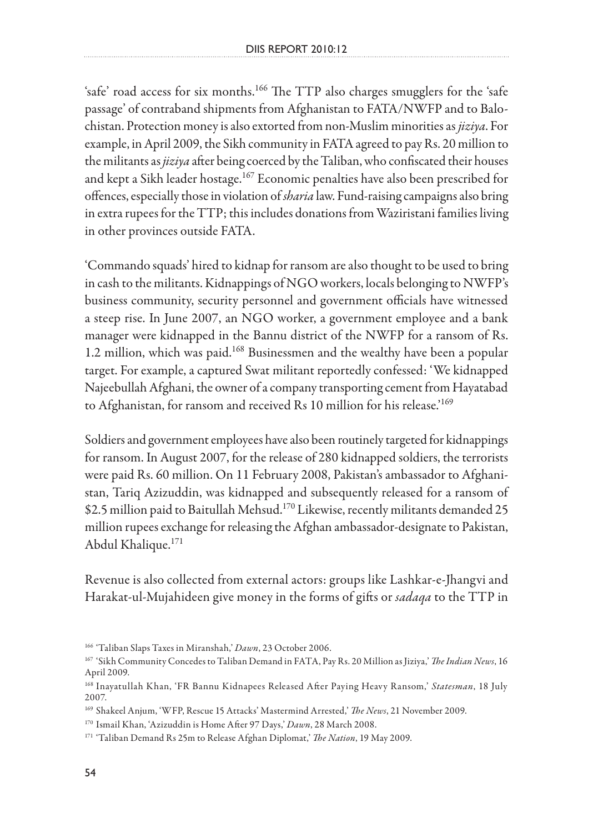'safe' road access for six months.<sup>166</sup> The TTP also charges smugglers for the 'safe passage' of contraband shipments from Afghanistan to FATA/NWFP and to Balochistan. Protection money is also extorted from non-Muslim minorities as *jiziya*. For example, in April 2009, the Sikh community in FATA agreed to pay Rs. 20 million to the militants as *jiziya* after being coerced by the Taliban, who confiscated their houses and kept a Sikh leader hostage.167 Economic penalties have also been prescribed for offences, especially those in violation of *sharia* law. Fund-raising campaigns also bring in extra rupees for the TTP; this includes donations from Waziristani families living in other provinces outside FATA.

'Commando squads' hired to kidnap for ransom are also thought to be used to bring in cash to the militants. Kidnappings of NGO workers, locals belonging to NWFP's business community, security personnel and government officials have witnessed a steep rise. In June 2007, an NGO worker, a government employee and a bank manager were kidnapped in the Bannu district of the NWFP for a ransom of Rs. 1.2 million, which was paid.168 Businessmen and the wealthy have been a popular target. For example, a captured Swat militant reportedly confessed: 'We kidnapped Najeebullah Afghani, the owner of a company transporting cement from Hayatabad to Afghanistan, for ransom and received Rs 10 million for his release.'<sup>169</sup>

Soldiers and government employees have also been routinely targeted for kidnappings for ransom. In August 2007, for the release of 280 kidnapped soldiers, the terrorists were paid Rs. 60 million. On 11 February 2008, Pakistan's ambassador to Afghanistan, Tariq Azizuddin, was kidnapped and subsequently released for a ransom of \$2.5 million paid to Baitullah Mehsud.<sup>170</sup> Likewise, recently militants demanded 25 million rupees exchange for releasing the Afghan ambassador-designate to Pakistan, Abdul Khalique.171

Revenue is also collected from external actors: groups like Lashkar-e-Jhangvi and Harakat-ul-Mujahideen give money in the forms of gifts or *sadaqa* to the TTP in

<sup>166 &#</sup>x27;Taliban Slaps Taxes in Miranshah,' *Dawn*, 23 October 2006.

<sup>167 &#</sup>x27;Sikh Community Concedes to Taliban Demand in FATA, Pay Rs. 20 Million as Jiziya,' *The Indian News*, 16 April 2009.

<sup>168</sup> Inayatullah Khan, 'FR Bannu Kidnapees Released After Paying Heavy Ransom,' *Statesman*, 18 July 2007.

<sup>169</sup> Shakeel Anjum, 'WFP, Rescue 15 Attacks' Mastermind Arrested,' *The News*, 21 November 2009.

<sup>170</sup> Ismail Khan, 'Azizuddin is Home After 97 Days,' *Dawn*, 28 March 2008.

<sup>171 &#</sup>x27;Taliban Demand Rs 25m to Release Afghan Diplomat,' *The Nation*, 19 May 2009.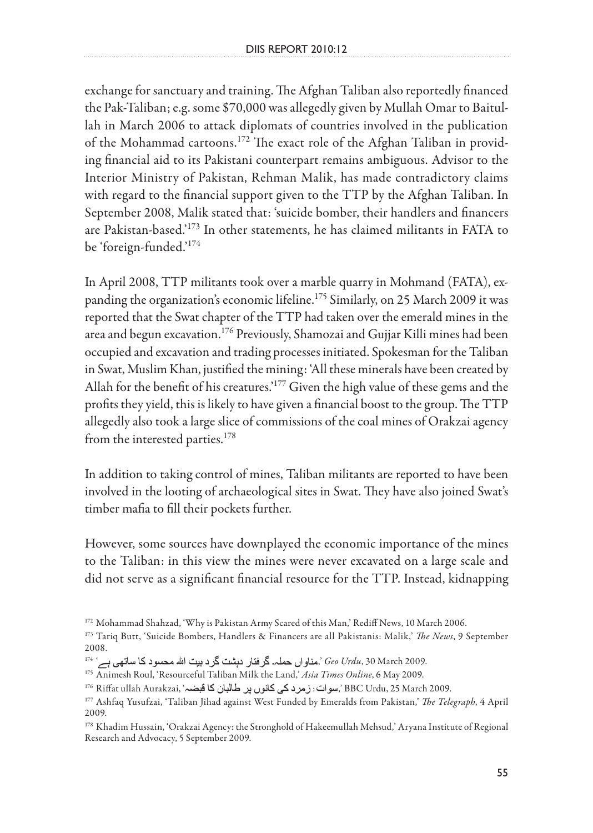exchange for sanctuary and training. The Afghan Taliban also reportedly financed the Pak-Taliban; e.g. some \$70,000 was allegedly given by Mullah Omar to Baitullah in March 2006 to attack diplomats of countries involved in the publication of the Mohammad cartoons.172 The exact role of the Afghan Taliban in providing financial aid to its Pakistani counterpart remains ambiguous. Advisor to the Interior Ministry of Pakistan, Rehman Malik, has made contradictory claims with regard to the financial support given to the TTP by the Afghan Taliban. In September 2008, Malik stated that: 'suicide bomber, their handlers and financers are Pakistan-based.'173 In other statements, he has claimed militants in FATA to be 'foreign-funded.'174

In April 2008, TTP militants took over a marble quarry in Mohmand (FATA), expanding the organization's economic lifeline.<sup>175</sup> Similarly, on 25 March 2009 it was reported that the Swat chapter of the TTP had taken over the emerald mines in the area and begun excavation.<sup>176</sup> Previously, Shamozai and Gujjar Killi mines had been occupied and excavation and trading processes initiated. Spokesman for the Taliban in Swat, Muslim Khan, justified the mining: 'All these minerals have been created by Allah for the benefit of his creatures.'177 Given the high value of these gems and the profits they yield, this is likely to have given a financial boost to the group. The TTP allegedly also took a large slice of commissions of the coal mines of Orakzai agency from the interested parties.<sup>178</sup>

In addition to taking control of mines, Taliban militants are reported to have been involved in the looting of archaeological sites in Swat. They have also joined Swat's timber mafia to fill their pockets further.

However, some sources have downplayed the economic importance of the mines to the Taliban: in this view the mines were never excavated on a large scale and did not serve as a significant financial resource for the TTP. Instead, kidnapping

<sup>&</sup>lt;sup>172</sup> Mohammad Shahzad, 'Why is Pakistan Army Scared of this Man,' Rediff News, 10 March 2006.

<sup>173</sup> Tariq Butt, 'Suicide Bombers, Handlers & Financers are all Pakistanis: Malik,' *The News*, 9 September 2008.

<sup>.</sup>*Geo Urdu*, 30 March 2009, 'مناواں حملہ۔ گرفتار دہشت گرد بیت الله محسود کا ساتھی ہے<sup>، 174</sup>

<sup>175</sup> Animesh Roul, 'Resourceful Taliban Milk the Land,' *Asia Times Online*, 6 May 2009.

<sup>&</sup>lt;sup>176</sup> Riffat ullah Aurakzai, 'سوات: زمرد کی کانوں پر طالبان کا قبضہ, BBC Urdu, 25 March 2009.

<sup>177</sup> Ashfaq Yusufzai, 'Taliban Jihad against West Funded by Emeralds from Pakistan,' *The Telegraph*, 4 April 2009.

<sup>&</sup>lt;sup>178</sup> Khadim Hussain, 'Orakzai Agency: the Stronghold of Hakeemullah Mehsud,' Aryana Institute of Regional Research and Advocacy, 5 September 2009.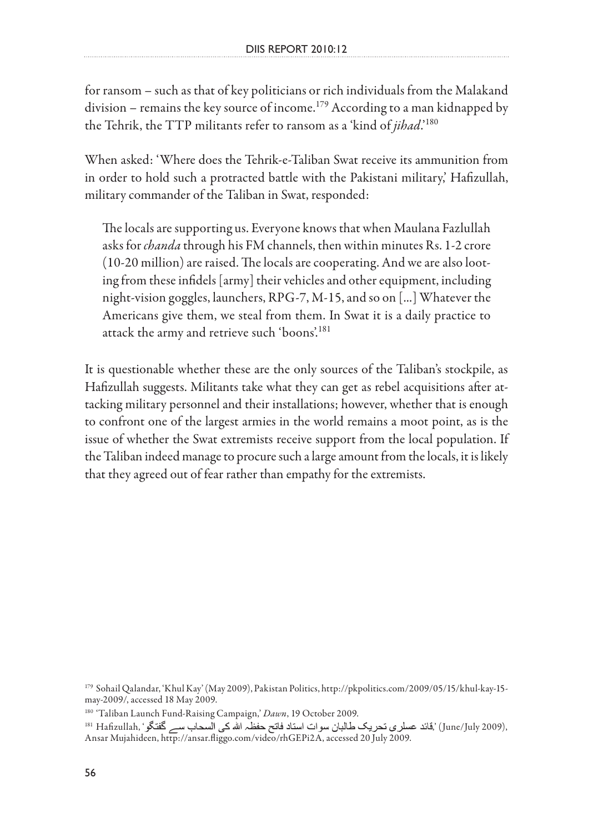for ransom – such as that of key politicians or rich individuals from the Malakand division – remains the key source of income.<sup>179</sup> According to a man kidnapped by the Tehrik, the TTP militants refer to ransom as a 'kind of *jihad*.'180

When asked: 'Where does the Tehrik-e-Taliban Swat receive its ammunition from in order to hold such a protracted battle with the Pakistani military,' Hafizullah, military commander of the Taliban in Swat, responded:

The locals are supporting us. Everyone knows that when Maulana Fazlullah asks for *chanda* through his FM channels, then within minutes Rs. 1-2 crore (10-20 million) are raised. The locals are cooperating. And we are also looting from these infidels [army] their vehicles and other equipment, including night-vision goggles, launchers, RPG-7, M-15, and so on [...] Whatever the Americans give them, we steal from them. In Swat it is a daily practice to attack the army and retrieve such 'boons'. 181

It is questionable whether these are the only sources of the Taliban's stockpile, as Hafizullah suggests. Militants take what they can get as rebel acquisitions after attacking military personnel and their installations; however, whether that is enough to confront one of the largest armies in the world remains a moot point, as is the issue of whether the Swat extremists receive support from the local population. If the Taliban indeed manage to procure such a large amount from the locals, it is likely that they agreed out of fear rather than empathy for the extremists.

<sup>179</sup> Sohail Qalandar, 'Khul Kay' (May 2009), Pakistan Politics, http://pkpolitics.com/2009/05/15/khul-kay-15 may-2009/, accessed 18 May 2009.

<sup>180 &#</sup>x27;Taliban Launch Fund-Raising Campaign,' *Dawn*, 19 October 2009.

<sup>181</sup> Hafizullah, 'قائد عسلرى تحريك طالبان سوات استاد فاتح حفظہ الله كى السحاب سے گفتگو), [June/July 2009), Ansar Mujahideen, http://ansar.fliggo.com/video/rhGEPi2A, accessed 20 July 2009.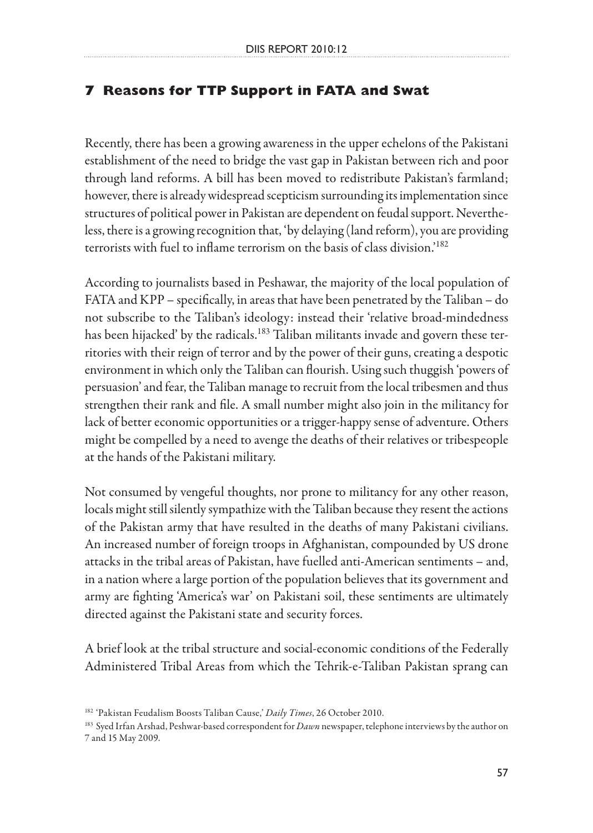# **7 Reasons for TTP Support in FATA and Swat**

Recently, there has been a growing awareness in the upper echelons of the Pakistani establishment of the need to bridge the vast gap in Pakistan between rich and poor through land reforms. A bill has been moved to redistribute Pakistan's farmland; however, there is already widespread scepticism surrounding its implementation since structures of political power in Pakistan are dependent on feudal support. Nevertheless, there is a growing recognition that, 'by delaying (land reform), you are providing terrorists with fuel to inflame terrorism on the basis of class division.'182

According to journalists based in Peshawar, the majority of the local population of FATA and KPP – specifically, in areas that have been penetrated by the Taliban – do not subscribe to the Taliban's ideology: instead their 'relative broad-mindedness has been hijacked' by the radicals.<sup>183</sup> Taliban militants invade and govern these territories with their reign of terror and by the power of their guns, creating a despotic environment in which only the Taliban can flourish. Using such thuggish 'powers of persuasion' and fear, the Taliban manage to recruit from the local tribesmen and thus strengthen their rank and file. A small number might also join in the militancy for lack of better economic opportunities or a trigger-happy sense of adventure. Others might be compelled by a need to avenge the deaths of their relatives or tribespeople at the hands of the Pakistani military.

Not consumed by vengeful thoughts, nor prone to militancy for any other reason, locals might still silently sympathize with the Taliban because they resent the actions of the Pakistan army that have resulted in the deaths of many Pakistani civilians. An increased number of foreign troops in Afghanistan, compounded by US drone attacks in the tribal areas of Pakistan, have fuelled anti-American sentiments – and, in a nation where a large portion of the population believes that its government and army are fighting 'America's war' on Pakistani soil, these sentiments are ultimately directed against the Pakistani state and security forces.

A brief look at the tribal structure and social-economic conditions of the Federally Administered Tribal Areas from which the Tehrik-e-Taliban Pakistan sprang can

<sup>182 &#</sup>x27;Pakistan Feudalism Boosts Taliban Cause,' *Daily Times*, 26 October 2010.

<sup>183</sup> Syed Irfan Arshad, Peshwar-based correspondent for *Dawn* newspaper, telephone interviews by the author on 7 and 15 May 2009.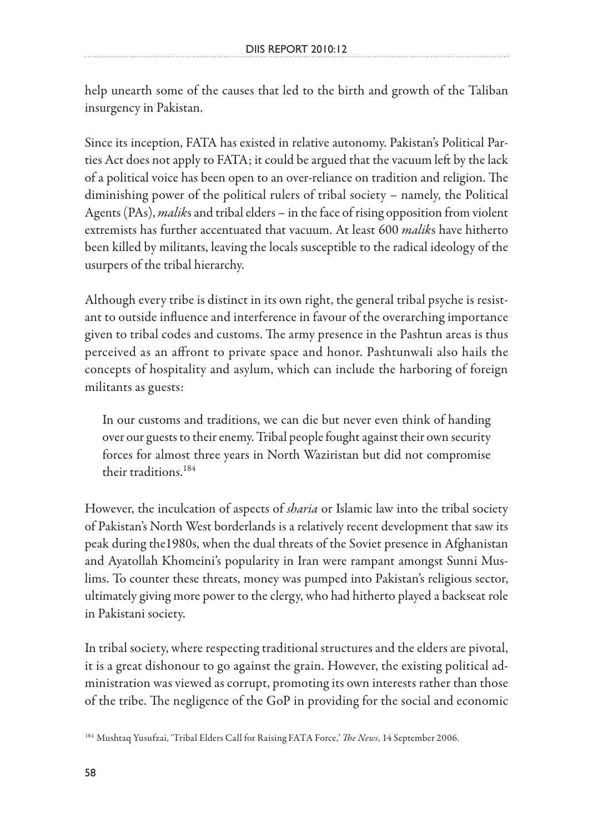help unearth some of the causes that led to the birth and growth of the Taliban insurgency in Pakistan.

Since its inception, FATA has existed in relative autonomy. Pakistan's Political Parties Act does not apply to FATA; it could be argued that the vacuum left by the lack of a political voice has been open to an over-reliance on tradition and religion. The diminishing power of the political rulers of tribal society – namely, the Political Agents (PAs), *malik*s and tribal elders – in the face of rising opposition from violent extremists has further accentuated that vacuum. At least 600 *malik*s have hitherto been killed by militants, leaving the locals susceptible to the radical ideology of the usurpers of the tribal hierarchy.

Although every tribe is distinct in its own right, the general tribal psyche is resistant to outside influence and interference in favour of the overarching importance given to tribal codes and customs. The army presence in the Pashtun areas is thus perceived as an affront to private space and honor. Pashtunwali also hails the concepts of hospitality and asylum, which can include the harboring of foreign militants as guests:

In our customs and traditions, we can die but never even think of handing over our guests to their enemy. Tribal people fought against their own security forces for almost three years in North Waziristan but did not compromise their traditions.184

However, the inculcation of aspects of *sharia* or Islamic law into the tribal society of Pakistan's North West borderlands is a relatively recent development that saw its peak during the1980s, when the dual threats of the Soviet presence in Afghanistan and Ayatollah Khomeini's popularity in Iran were rampant amongst Sunni Muslims. To counter these threats, money was pumped into Pakistan's religious sector, ultimately giving more power to the clergy, who had hitherto played a backseat role in Pakistani society.

In tribal society, where respecting traditional structures and the elders are pivotal, it is a great dishonour to go against the grain. However, the existing political administration was viewed as corrupt, promoting its own interests rather than those of the tribe. The negligence of the GoP in providing for the social and economic

<sup>184</sup> Mushtaq Yusufzai, 'Tribal Elders Call for Raising FATA Force,' *The News*, 14 September 2006.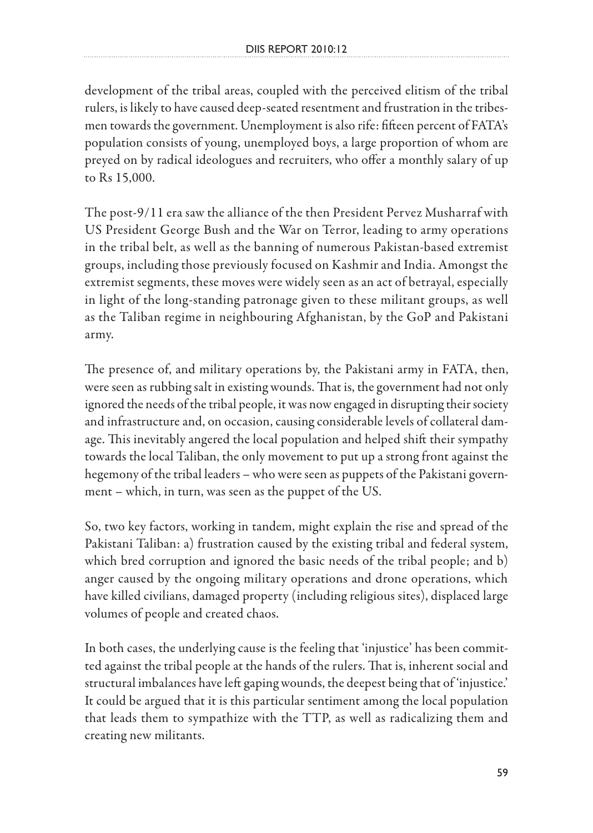development of the tribal areas, coupled with the perceived elitism of the tribal rulers, is likely to have caused deep-seated resentment and frustration in the tribesmen towards the government. Unemployment is also rife: fifteen percent of FATA's population consists of young, unemployed boys, a large proportion of whom are preyed on by radical ideologues and recruiters, who offer a monthly salary of up to Rs 15,000.

The post-9/11 era saw the alliance of the then President Pervez Musharraf with US President George Bush and the War on Terror, leading to army operations in the tribal belt, as well as the banning of numerous Pakistan-based extremist groups, including those previously focused on Kashmir and India. Amongst the extremist segments, these moves were widely seen as an act of betrayal, especially in light of the long-standing patronage given to these militant groups, as well as the Taliban regime in neighbouring Afghanistan, by the GoP and Pakistani army.

The presence of, and military operations by, the Pakistani army in FATA, then, were seen as rubbing salt in existing wounds. That is, the government had not only ignored the needs of the tribal people, it was now engaged in disrupting their society and infrastructure and, on occasion, causing considerable levels of collateral damage. This inevitably angered the local population and helped shift their sympathy towards the local Taliban, the only movement to put up a strong front against the hegemony of the tribal leaders – who were seen as puppets of the Pakistani government – which, in turn, was seen as the puppet of the US.

So, two key factors, working in tandem, might explain the rise and spread of the Pakistani Taliban: a) frustration caused by the existing tribal and federal system, which bred corruption and ignored the basic needs of the tribal people; and b) anger caused by the ongoing military operations and drone operations, which have killed civilians, damaged property (including religious sites), displaced large volumes of people and created chaos.

In both cases, the underlying cause is the feeling that 'injustice' has been committed against the tribal people at the hands of the rulers. That is, inherent social and structural imbalances have left gaping wounds, the deepest being that of 'injustice.' It could be argued that it is this particular sentiment among the local population that leads them to sympathize with the TTP, as well as radicalizing them and creating new militants.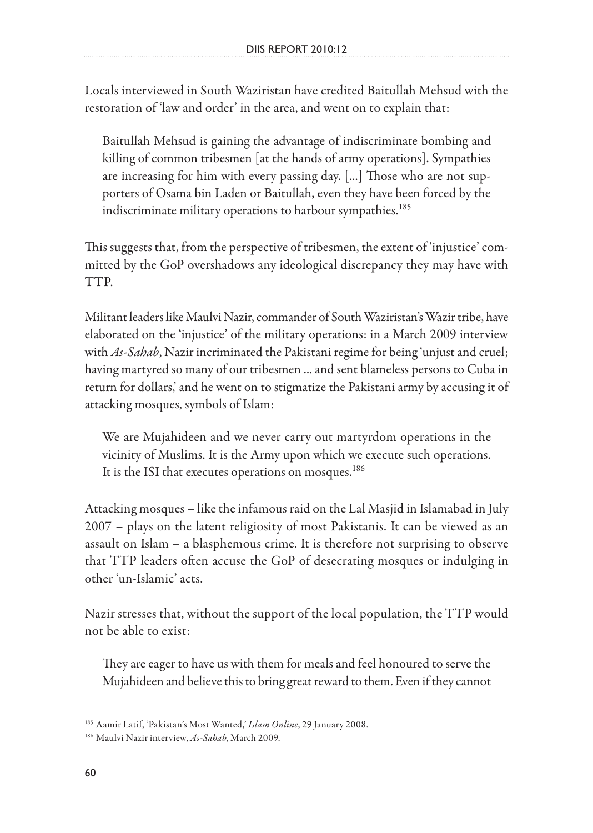Locals interviewed in South Waziristan have credited Baitullah Mehsud with the restoration of 'law and order' in the area, and went on to explain that:

Baitullah Mehsud is gaining the advantage of indiscriminate bombing and killing of common tribesmen [at the hands of army operations]. Sympathies are increasing for him with every passing day. [...] Those who are not supporters of Osama bin Laden or Baitullah, even they have been forced by the indiscriminate military operations to harbour sympathies.<sup>185</sup>

This suggests that, from the perspective of tribesmen, the extent of 'injustice' committed by the GoP overshadows any ideological discrepancy they may have with TTP.

Militant leaders like Maulvi Nazir, commander of South Waziristan's Wazir tribe, have elaborated on the 'injustice' of the military operations: in a March 2009 interview with *As-Sahab*, Nazir incriminated the Pakistani regime for being 'unjust and cruel; having martyred so many of our tribesmen ... and sent blameless persons to Cuba in return for dollars,' and he went on to stigmatize the Pakistani army by accusing it of attacking mosques, symbols of Islam:

We are Mujahideen and we never carry out martyrdom operations in the vicinity of Muslims. It is the Army upon which we execute such operations. It is the ISI that executes operations on mosques.<sup>186</sup>

Attacking mosques – like the infamous raid on the Lal Masjid in Islamabad in July 2007 – plays on the latent religiosity of most Pakistanis. It can be viewed as an assault on Islam – a blasphemous crime. It is therefore not surprising to observe that TTP leaders often accuse the GoP of desecrating mosques or indulging in other 'un-Islamic' acts.

Nazir stresses that, without the support of the local population, the TTP would not be able to exist:

They are eager to have us with them for meals and feel honoured to serve the Mujahideen and believe this to bring great reward to them. Even if they cannot

<sup>185</sup> Aamir Latif, 'Pakistan's Most Wanted,' *Islam Online*, 29 January 2008.

<sup>186</sup> Maulvi Nazir interview, *As-Sahab*, March 2009.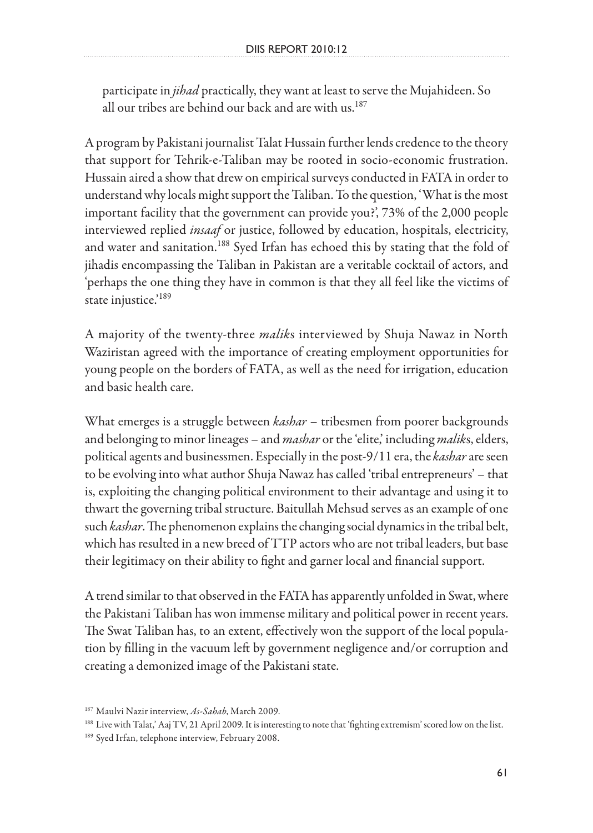participate in *jihad* practically, they want at least to serve the Mujahideen. So all our tribes are behind our back and are with us.<sup>187</sup>

A program by Pakistani journalist Talat Hussain further lends credence to the theory that support for Tehrik-e-Taliban may be rooted in socio-economic frustration. Hussain aired a show that drew on empirical surveys conducted in FATA in order to understand why locals might support the Taliban. To the question, 'What is the most important facility that the government can provide you?', 73% of the 2,000 people interviewed replied *insaaf* or justice, followed by education, hospitals, electricity, and water and sanitation.<sup>188</sup> Syed Irfan has echoed this by stating that the fold of jihadis encompassing the Taliban in Pakistan are a veritable cocktail of actors, and 'perhaps the one thing they have in common is that they all feel like the victims of state injustice.'<sup>189</sup>

A majority of the twenty-three *malik*s interviewed by Shuja Nawaz in North Waziristan agreed with the importance of creating employment opportunities for young people on the borders of FATA, as well as the need for irrigation, education and basic health care.

What emerges is a struggle between *kashar* – tribesmen from poorer backgrounds and belonging to minor lineages – and *mashar* or the 'elite,' including *malik*s, elders, political agents and businessmen. Especially in the post-9/11 era, the *kashar* are seen to be evolving into what author Shuja Nawaz has called 'tribal entrepreneurs' – that is, exploiting the changing political environment to their advantage and using it to thwart the governing tribal structure. Baitullah Mehsud serves as an example of one such *kashar*. The phenomenon explains the changing social dynamics in the tribal belt, which has resulted in a new breed of TTP actors who are not tribal leaders, but base their legitimacy on their ability to fight and garner local and financial support.

A trend similar to that observed in the FATA has apparently unfolded in Swat, where the Pakistani Taliban has won immense military and political power in recent years. The Swat Taliban has, to an extent, effectively won the support of the local population by filling in the vacuum left by government negligence and/or corruption and creating a demonized image of the Pakistani state.

<sup>187</sup> Maulvi Nazir interview, *As-Sahab*, March 2009.

<sup>188</sup> Live with Talat,' Aaj TV, 21 April 2009. It is interesting to note that 'fighting extremism' scored low on the list.

<sup>&</sup>lt;sup>189</sup> Syed Irfan, telephone interview, February 2008.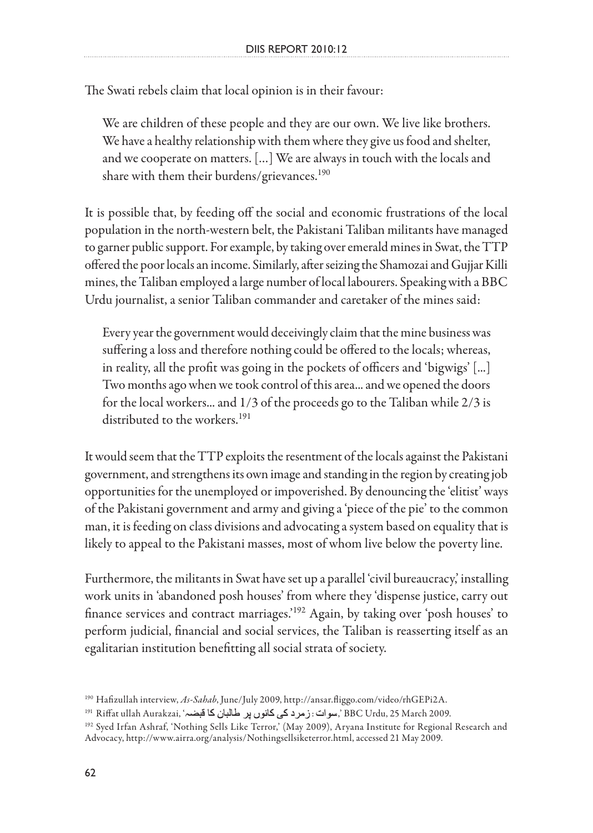The Swati rebels claim that local opinion is in their favour:

We are children of these people and they are our own. We live like brothers. We have a healthy relationship with them where they give us food and shelter, and we cooperate on matters. […] We are always in touch with the locals and share with them their burdens/grievances.<sup>190</sup>

It is possible that, by feeding off the social and economic frustrations of the local population in the north-western belt, the Pakistani Taliban militants have managed to garner public support. For example, by taking over emerald mines in Swat, the TTP offered the poor locals an income. Similarly, after seizing the Shamozai and Gujjar Killi mines, the Taliban employed a large number of local labourers. Speaking with a BBC Urdu journalist, a senior Taliban commander and caretaker of the mines said:

Every year the government would deceivingly claim that the mine business was suffering a loss and therefore nothing could be offered to the locals; whereas, in reality, all the profit was going in the pockets of officers and 'bigwigs' [...] Two months ago when we took control of this area... and we opened the doors for the local workers... and 1/3 of the proceeds go to the Taliban while 2/3 is distributed to the workers.<sup>191</sup>

It would seem that the TTP exploits the resentment of the locals against the Pakistani government, and strengthens its own image and standing in the region by creating job opportunities for the unemployed or impoverished. By denouncing the 'elitist' ways of the Pakistani government and army and giving a 'piece of the pie' to the common man, it is feeding on class divisions and advocating a system based on equality that is likely to appeal to the Pakistani masses, most of whom live below the poverty line.

Furthermore, the militants in Swat have set up a parallel 'civil bureaucracy,' installing work units in 'abandoned posh houses' from where they 'dispense justice, carry out finance services and contract marriages.'192 Again, by taking over 'posh houses' to perform judicial, financial and social services, the Taliban is reasserting itself as an egalitarian institution benefitting all social strata of society.

<sup>190</sup> Hafizullah interview, *As-Sahab*, June/July 2009, http://ansar.fliggo.com/video/rhGEPi2A.

<sup>&</sup>lt;sup>191</sup> Riffat ullah Aurakzai, سوات: زمرد کی کانوں پر طالبان کا قبضہ", BBC Urdu, 25 March 2009.

<sup>192</sup> Syed Irfan Ashraf, 'Nothing Sells Like Terror,' (May 2009), Aryana Institute for Regional Research and Advocacy, http://www.airra.org/analysis/Nothingsellsiketerror.html, accessed 21 May 2009.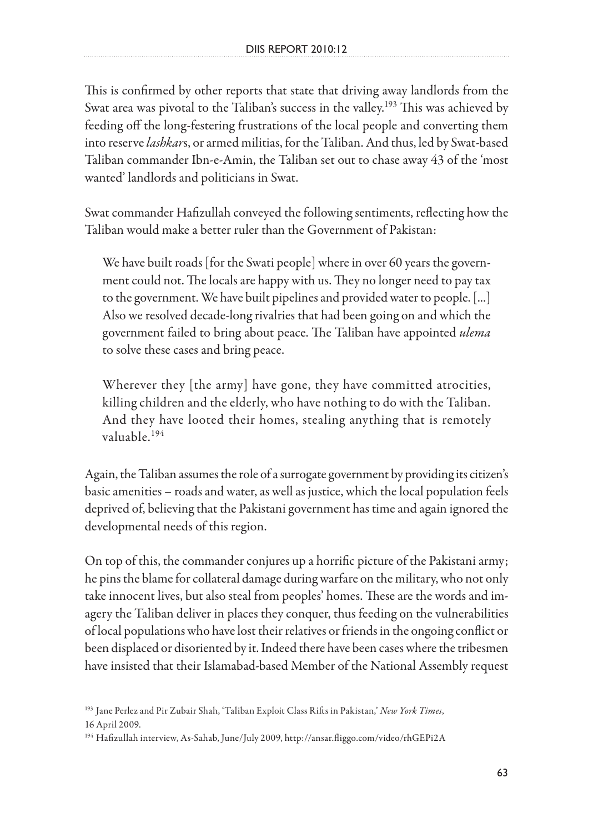This is confirmed by other reports that state that driving away landlords from the Swat area was pivotal to the Taliban's success in the valley.<sup>193</sup> This was achieved by feeding off the long-festering frustrations of the local people and converting them into reserve *lashkar*s, or armed militias, for the Taliban. And thus, led by Swat-based Taliban commander Ibn-e-Amin, the Taliban set out to chase away 43 of the 'most wanted' landlords and politicians in Swat.

Swat commander Hafizullah conveyed the following sentiments, reflecting how the Taliban would make a better ruler than the Government of Pakistan:

We have built roads [for the Swati people] where in over 60 years the government could not. The locals are happy with us. They no longer need to pay tax to the government. We have built pipelines and provided water to people. [...] Also we resolved decade-long rivalries that had been going on and which the government failed to bring about peace. The Taliban have appointed *ulema* to solve these cases and bring peace.

Wherever they [the army] have gone, they have committed atrocities, killing children and the elderly, who have nothing to do with the Taliban. And they have looted their homes, stealing anything that is remotely valuable.194

Again, the Taliban assumes the role of a surrogate government by providing its citizen's basic amenities – roads and water, as well as justice, which the local population feels deprived of, believing that the Pakistani government has time and again ignored the developmental needs of this region.

On top of this, the commander conjures up a horrific picture of the Pakistani army; he pins the blame for collateral damage during warfare on the military, who not only take innocent lives, but also steal from peoples' homes. These are the words and imagery the Taliban deliver in places they conquer, thus feeding on the vulnerabilities of local populations who have lost their relatives or friends in the ongoing conflict or been displaced or disoriented by it. Indeed there have been cases where the tribesmen have insisted that their Islamabad-based Member of the National Assembly request

<sup>193</sup> Jane Perlez and Pir Zubair Shah, 'Taliban Exploit Class Rifts in Pakistan,' *New York Times*, 16 April 2009.

<sup>194</sup> Hafizullah interview, As-Sahab, June/July 2009, http://ansar.fliggo.com/video/rhGEPi2A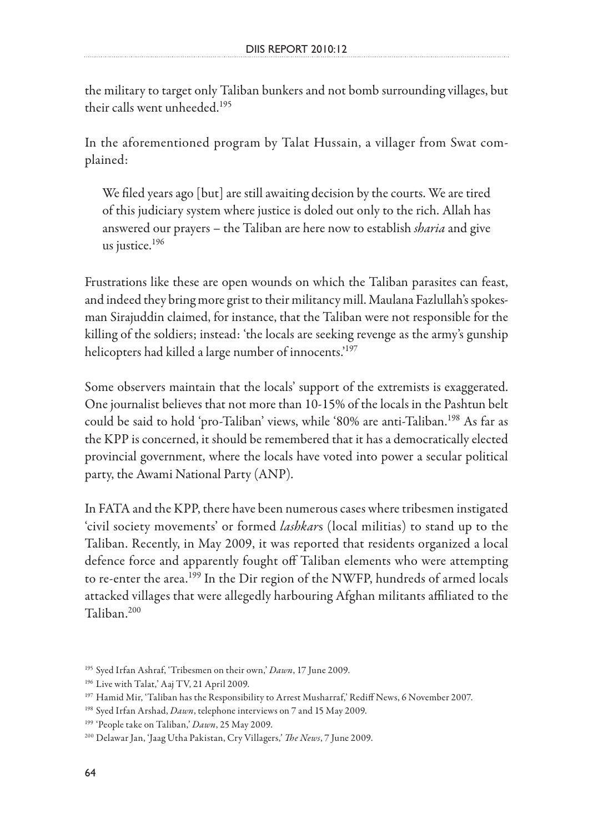the military to target only Taliban bunkers and not bomb surrounding villages, but their calls went unheeded.<sup>195</sup>

In the aforementioned program by Talat Hussain, a villager from Swat complained:

We filed years ago [but] are still awaiting decision by the courts. We are tired of this judiciary system where justice is doled out only to the rich. Allah has answered our prayers – the Taliban are here now to establish *sharia* and give us justice.196

Frustrations like these are open wounds on which the Taliban parasites can feast, and indeed they bring more grist to their militancy mill. Maulana Fazlullah's spokesman Sirajuddin claimed, for instance, that the Taliban were not responsible for the killing of the soldiers; instead: 'the locals are seeking revenge as the army's gunship helicopters had killed a large number of innocents.<sup>197</sup>

Some observers maintain that the locals' support of the extremists is exaggerated. One journalist believes that not more than 10-15% of the locals in the Pashtun belt could be said to hold 'pro-Taliban' views, while '80% are anti-Taliban.<sup>198</sup> As far as the KPP is concerned, it should be remembered that it has a democratically elected provincial government, where the locals have voted into power a secular political party, the Awami National Party (ANP).

In FATA and the KPP, there have been numerous cases where tribesmen instigated 'civil society movements' or formed *lashkar*s (local militias) to stand up to the Taliban. Recently, in May 2009, it was reported that residents organized a local defence force and apparently fought off Taliban elements who were attempting to re-enter the area.<sup>199</sup> In the Dir region of the NWFP, hundreds of armed locals attacked villages that were allegedly harbouring Afghan militants affiliated to the  $T<sub>aliban</sub>$ <sup>200</sup>

<sup>195</sup> Syed Irfan Ashraf, 'Tribesmen on their own,' *Dawn*, 17 June 2009.

<sup>&</sup>lt;sup>196</sup> Live with Talat,' Aaj TV, 21 April 2009.

<sup>&</sup>lt;sup>197</sup> Hamid Mir, 'Taliban has the Responsibility to Arrest Musharraf,' Rediff News, 6 November 2007.

<sup>198</sup> Syed Irfan Arshad, *Dawn*, telephone interviews on 7 and 15 May 2009.

<sup>199 &#</sup>x27;People take on Taliban,' *Dawn*, 25 May 2009.

<sup>200</sup> Delawar Jan, 'Jaag Utha Pakistan, Cry Villagers,' *The News*, 7 June 2009.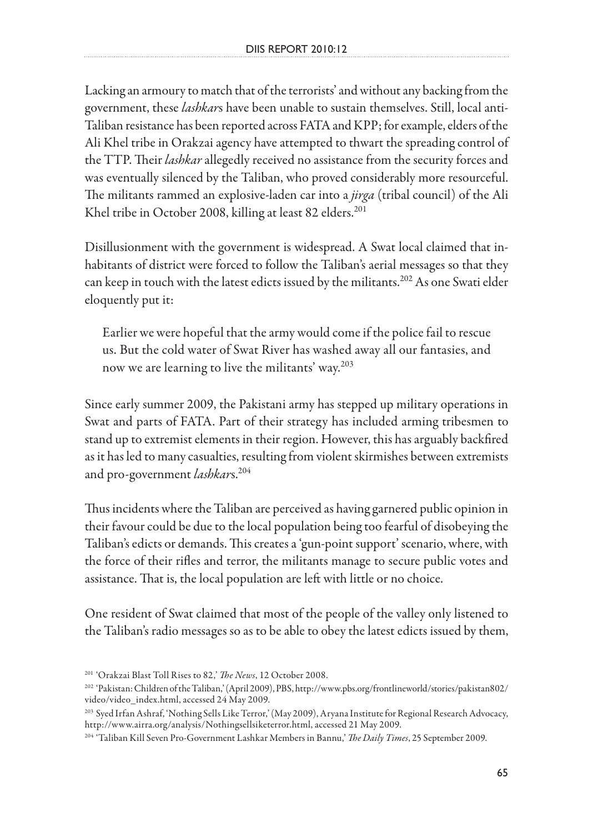Lacking an armoury to match that of the terrorists' and without any backing from the government, these *lashkar*s have been unable to sustain themselves. Still, local anti-Taliban resistance has been reported across FATA and KPP; for example, elders of the Ali Khel tribe in Orakzai agency have attempted to thwart the spreading control of the TTP. Their *lashkar* allegedly received no assistance from the security forces and was eventually silenced by the Taliban, who proved considerably more resourceful. The militants rammed an explosive-laden car into a *jirga* (tribal council) of the Ali Khel tribe in October 2008, killing at least 82 elders.<sup>201</sup>

Disillusionment with the government is widespread. A Swat local claimed that inhabitants of district were forced to follow the Taliban's aerial messages so that they can keep in touch with the latest edicts issued by the militants.<sup>202</sup> As one Swati elder eloquently put it:

Earlier we were hopeful that the army would come if the police fail to rescue us. But the cold water of Swat River has washed away all our fantasies, and now we are learning to live the militants' way.<sup>203</sup>

Since early summer 2009, the Pakistani army has stepped up military operations in Swat and parts of FATA. Part of their strategy has included arming tribesmen to stand up to extremist elements in their region. However, this has arguably backfired as it has led to many casualties, resulting from violent skirmishes between extremists and pro-government *lashkars*.<sup>204</sup>

Thus incidents where the Taliban are perceived as having garnered public opinion in their favour could be due to the local population being too fearful of disobeying the Taliban's edicts or demands. This creates a 'gun-point support' scenario, where, with the force of their rifles and terror, the militants manage to secure public votes and assistance. That is, the local population are left with little or no choice.

One resident of Swat claimed that most of the people of the valley only listened to the Taliban's radio messages so as to be able to obey the latest edicts issued by them,

<sup>201 &#</sup>x27;Orakzai Blast Toll Rises to 82,' *The News*, 12 October 2008.

<sup>202 &#</sup>x27;Pakistan: Children of the Taliban,' (April 2009), PBS, http://www.pbs.org/frontlineworld/stories/pakistan802/ video/video\_index.html, accessed 24 May 2009.

<sup>203</sup> Syed Irfan Ashraf, 'Nothing Sells Like Terror,' (May 2009), Aryana Institute for Regional Research Advocacy, http://www.airra.org/analysis/Nothingsellsiketerror.html, accessed 21 May 2009.

<sup>204 &#</sup>x27;Taliban Kill Seven Pro-Government Lashkar Members in Bannu,' *The Daily Times*, 25 September 2009.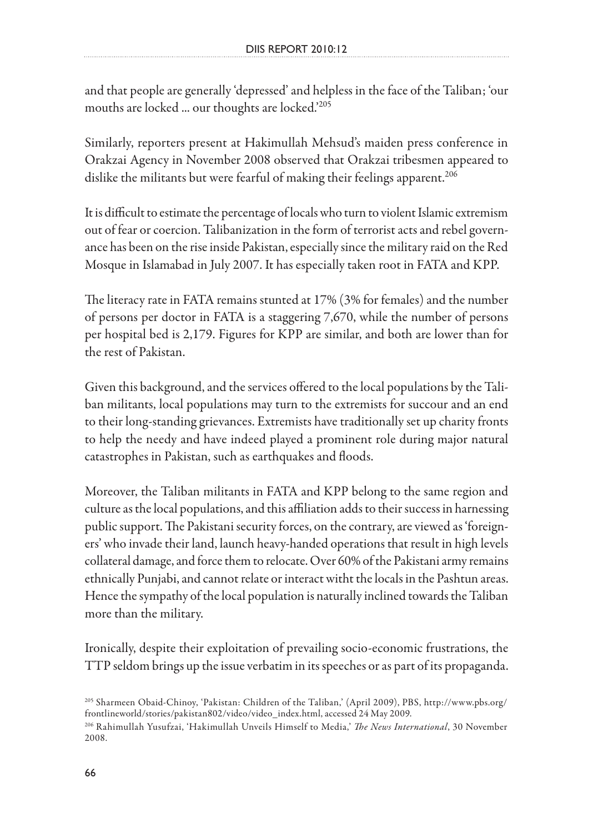and that people are generally 'depressed' and helpless in the face of the Taliban; 'our mouths are locked ... our thoughts are locked.<sup>205</sup>

Similarly, reporters present at Hakimullah Mehsud's maiden press conference in Orakzai Agency in November 2008 observed that Orakzai tribesmen appeared to dislike the militants but were fearful of making their feelings apparent.<sup>206</sup>

It is difficult to estimate the percentage of locals who turn to violent Islamic extremism out of fear or coercion. Talibanization in the form of terrorist acts and rebel governance has been on the rise inside Pakistan, especially since the military raid on the Red Mosque in Islamabad in July 2007. It has especially taken root in FATA and KPP.

The literacy rate in FATA remains stunted at 17% (3% for females) and the number of persons per doctor in FATA is a staggering 7,670, while the number of persons per hospital bed is 2,179. Figures for KPP are similar, and both are lower than for the rest of Pakistan.

Given this background, and the services offered to the local populations by the Taliban militants, local populations may turn to the extremists for succour and an end to their long-standing grievances. Extremists have traditionally set up charity fronts to help the needy and have indeed played a prominent role during major natural catastrophes in Pakistan, such as earthquakes and floods.

Moreover, the Taliban militants in FATA and KPP belong to the same region and culture as the local populations, and this affiliation adds to their success in harnessing public support. The Pakistani security forces, on the contrary, are viewed as 'foreigners' who invade their land, launch heavy-handed operations that result in high levels collateral damage, and force them to relocate. Over 60% of the Pakistani army remains ethnically Punjabi, and cannot relate or interact witht the locals in the Pashtun areas. Hence the sympathy of the local population is naturally inclined towards the Taliban more than the military.

Ironically, despite their exploitation of prevailing socio-economic frustrations, the TTP seldom brings up the issue verbatim in its speeches or as part of its propaganda.

<sup>205</sup> Sharmeen Obaid-Chinoy, 'Pakistan: Children of the Taliban,' (April 2009), PBS, http://www.pbs.org/ frontlineworld/stories/pakistan802/video/video\_index.html, accessed 24 May 2009.

<sup>206</sup> Rahimullah Yusufzai, 'Hakimullah Unveils Himself to Media,' *The News International*, 30 November 2008.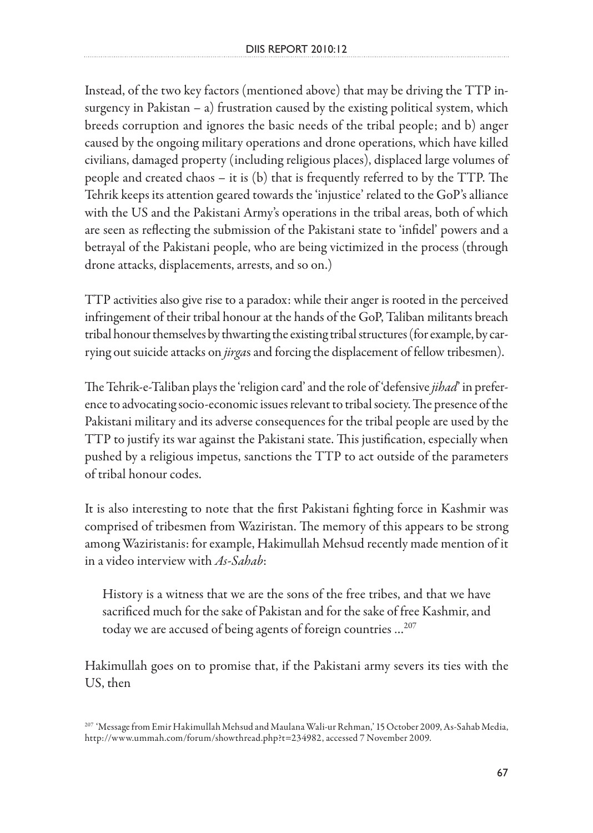Instead, of the two key factors (mentioned above) that may be driving the TTP insurgency in Pakistan  $-$  a) frustration caused by the existing political system, which breeds corruption and ignores the basic needs of the tribal people; and b) anger caused by the ongoing military operations and drone operations, which have killed civilians, damaged property (including religious places), displaced large volumes of people and created chaos – it is (b) that is frequently referred to by the TTP. The Tehrik keeps its attention geared towards the 'injustice' related to the GoP's alliance with the US and the Pakistani Army's operations in the tribal areas, both of which are seen as reflecting the submission of the Pakistani state to 'infidel' powers and a betrayal of the Pakistani people, who are being victimized in the process (through drone attacks, displacements, arrests, and so on.)

TTP activities also give rise to a paradox: while their anger is rooted in the perceived infringement of their tribal honour at the hands of the GoP, Taliban militants breach tribal honour themselves by thwarting the existing tribal structures (for example, by carrying out suicide attacks on *jirga*s and forcing the displacement of fellow tribesmen).

The Tehrik-e-Taliban plays the 'religion card' and the role of 'defensive *jihad*' in preference to advocating socio-economic issues relevant to tribal society. The presence of the Pakistani military and its adverse consequences for the tribal people are used by the TTP to justify its war against the Pakistani state. This justification, especially when pushed by a religious impetus, sanctions the TTP to act outside of the parameters of tribal honour codes.

It is also interesting to note that the first Pakistani fighting force in Kashmir was comprised of tribesmen from Waziristan. The memory of this appears to be strong among Waziristanis: for example, Hakimullah Mehsud recently made mention of it in a video interview with *As-Sahab*:

History is a witness that we are the sons of the free tribes, and that we have sacrificed much for the sake of Pakistan and for the sake of free Kashmir, and today we are accused of being agents of foreign countries …207

Hakimullah goes on to promise that, if the Pakistani army severs its ties with the US, then

<sup>207 &#</sup>x27;Message from Emir Hakimullah Mehsud and Maulana Wali-ur Rehman,' 15 October 2009, As-Sahab Media, http://www.ummah.com/forum/showthread.php?t=234982, accessed 7 November 2009.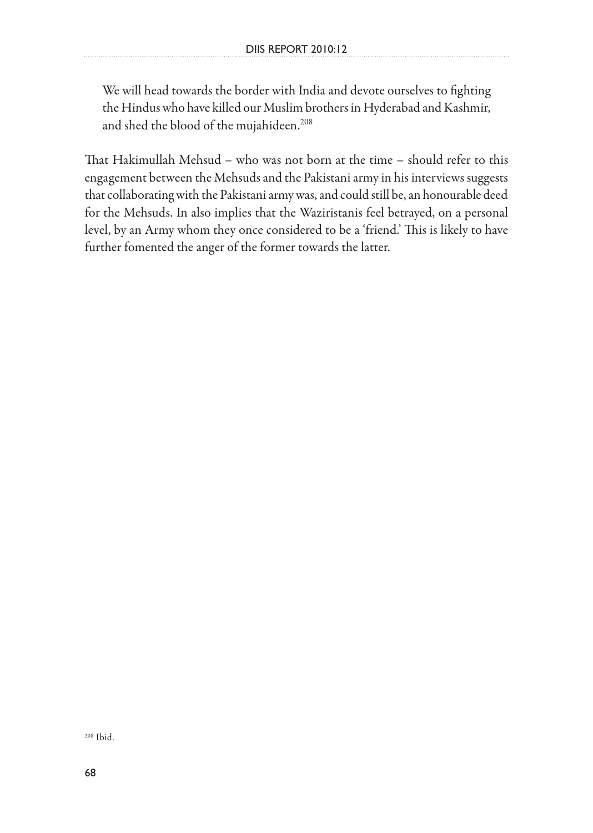We will head towards the border with India and devote ourselves to fighting the Hindus who have killed our Muslim brothers in Hyderabad and Kashmir, and shed the blood of the mujahideen.<sup>208</sup>

That Hakimullah Mehsud – who was not born at the time – should refer to this engagement between the Mehsuds and the Pakistani army in his interviews suggests that collaborating with the Pakistani army was, and could still be, an honourable deed for the Mehsuds. In also implies that the Waziristanis feel betrayed, on a personal level, by an Army whom they once considered to be a 'friend.' This is likely to have further fomented the anger of the former towards the latter.

208 Ibid.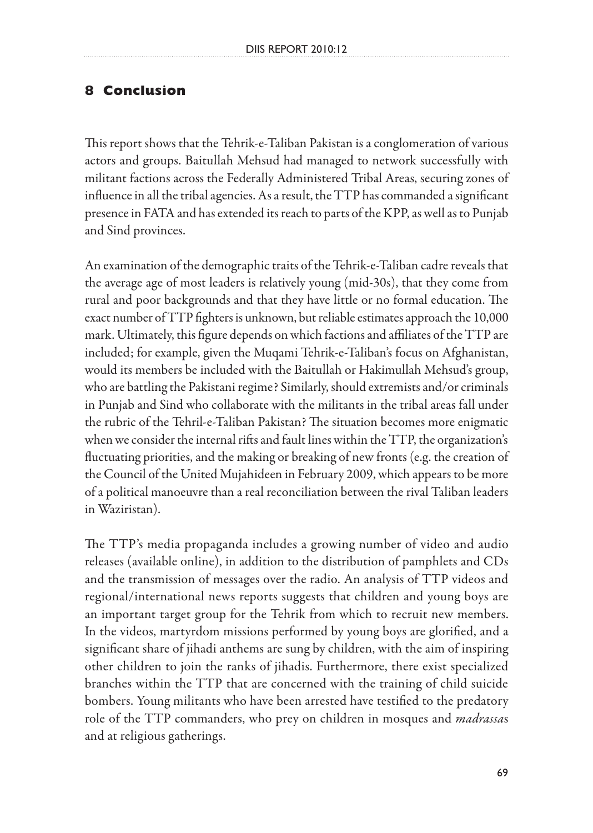## **8 Conclusion**

This report shows that the Tehrik-e-Taliban Pakistan is a conglomeration of various actors and groups. Baitullah Mehsud had managed to network successfully with militant factions across the Federally Administered Tribal Areas, securing zones of influence in all the tribal agencies. As a result, the TTP has commanded a significant presence in FATA and has extended its reach to parts of the KPP, as well as to Punjab and Sind provinces.

An examination of the demographic traits of the Tehrik-e-Taliban cadre reveals that the average age of most leaders is relatively young (mid-30s), that they come from rural and poor backgrounds and that they have little or no formal education. The exact number of TTP fighters is unknown, but reliable estimates approach the 10,000 mark. Ultimately, this figure depends on which factions and affiliates of the TTP are included; for example, given the Muqami Tehrik-e-Taliban's focus on Afghanistan, would its members be included with the Baitullah or Hakimullah Mehsud's group, who are battling the Pakistani regime? Similarly, should extremists and/or criminals in Punjab and Sind who collaborate with the militants in the tribal areas fall under the rubric of the Tehril-e-Taliban Pakistan? The situation becomes more enigmatic when we consider the internal rifts and fault lines within the TTP, the organization's fluctuating priorities, and the making or breaking of new fronts (e.g. the creation of the Council of the United Mujahideen in February 2009, which appears to be more of a political manoeuvre than a real reconciliation between the rival Taliban leaders in Waziristan).

The TTP's media propaganda includes a growing number of video and audio releases (available online), in addition to the distribution of pamphlets and CDs and the transmission of messages over the radio. An analysis of TTP videos and regional/international news reports suggests that children and young boys are an important target group for the Tehrik from which to recruit new members. In the videos, martyrdom missions performed by young boys are glorified, and a significant share of jihadi anthems are sung by children, with the aim of inspiring other children to join the ranks of jihadis. Furthermore, there exist specialized branches within the TTP that are concerned with the training of child suicide bombers. Young militants who have been arrested have testified to the predatory role of the TTP commanders, who prey on children in mosques and *madrassa*s and at religious gatherings.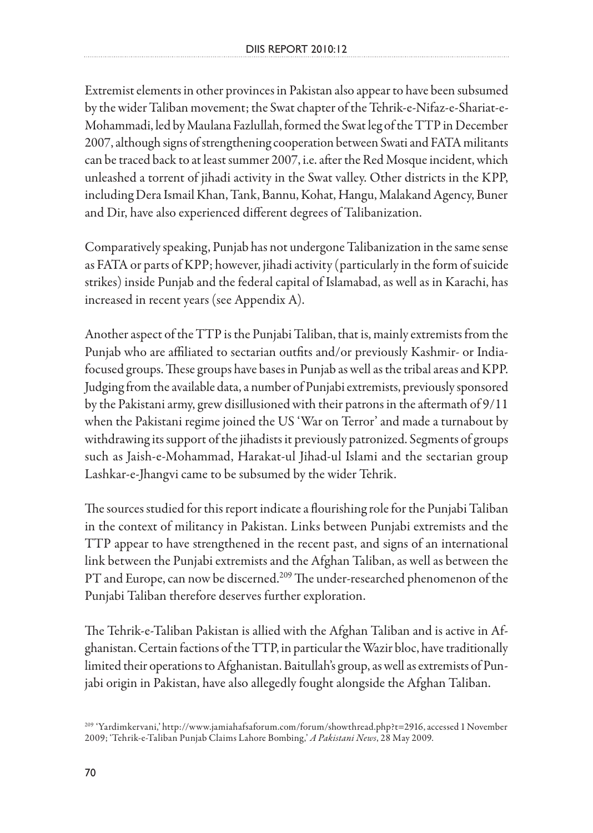Extremist elements in other provinces in Pakistan also appear to have been subsumed by the wider Taliban movement; the Swat chapter of the Tehrik-e-Nifaz-e-Shariat-e-Mohammadi, led by Maulana Fazlullah, formed the Swat leg of the TTP in December 2007, although signs of strengthening cooperation between Swati and FATA militants can be traced back to at least summer 2007, i.e. after the Red Mosque incident, which unleashed a torrent of jihadi activity in the Swat valley. Other districts in the KPP, including Dera Ismail Khan, Tank, Bannu, Kohat, Hangu, Malakand Agency, Buner and Dir, have also experienced different degrees of Talibanization.

Comparatively speaking, Punjab has not undergone Talibanization in the same sense as FATA or parts of KPP; however, jihadi activity (particularly in the form of suicide strikes) inside Punjab and the federal capital of Islamabad, as well as in Karachi, has increased in recent years (see Appendix A).

Another aspect of the TTP is the Punjabi Taliban, that is, mainly extremists from the Punjab who are affiliated to sectarian outfits and/or previously Kashmir- or Indiafocused groups. These groups have bases in Punjab as well as the tribal areas and KPP. Judging from the available data, a number of Punjabi extremists, previously sponsored by the Pakistani army, grew disillusioned with their patrons in the aftermath of 9/11 when the Pakistani regime joined the US 'War on Terror' and made a turnabout by withdrawing its support of the jihadists it previously patronized. Segments of groups such as Jaish-e-Mohammad, Harakat-ul Jihad-ul Islami and the sectarian group Lashkar-e-Jhangvi came to be subsumed by the wider Tehrik.

The sources studied for this report indicate a flourishing role for the Punjabi Taliban in the context of militancy in Pakistan. Links between Punjabi extremists and the TTP appear to have strengthened in the recent past, and signs of an international link between the Punjabi extremists and the Afghan Taliban, as well as between the PT and Europe, can now be discerned.<sup>209</sup> The under-researched phenomenon of the Punjabi Taliban therefore deserves further exploration.

The Tehrik-e-Taliban Pakistan is allied with the Afghan Taliban and is active in Afghanistan. Certain factions of the TTP, in particular the Wazir bloc, have traditionally limited their operations to Afghanistan. Baitullah's group, as well as extremists of Punjabi origin in Pakistan, have also allegedly fought alongside the Afghan Taliban.

<sup>209 &#</sup>x27;Yardimkervani,' http://www.jamiahafsaforum.com/forum/showthread.php?t=2916, accessed 1 November 2009; 'Tehrik-e-Taliban Punjab Claims Lahore Bombing,' *A Pakistani News*, 28 May 2009.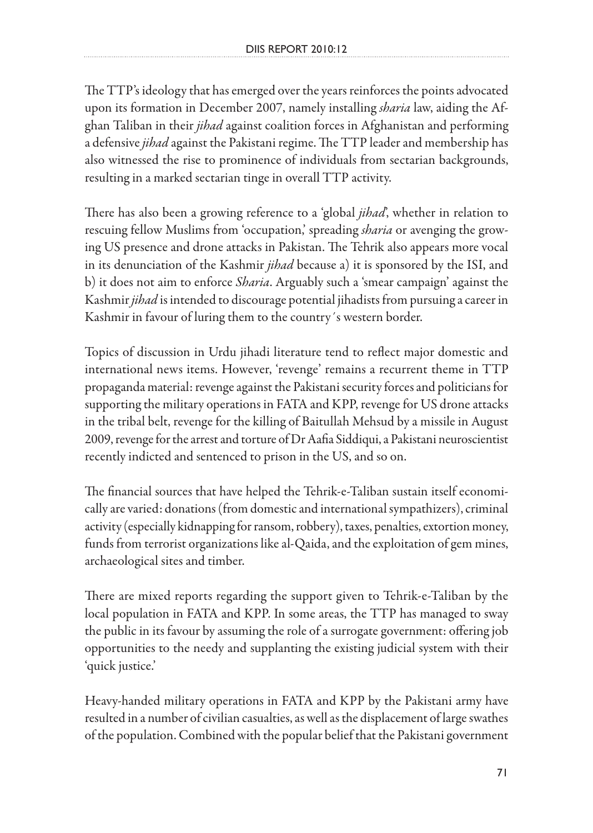The TTP's ideology that has emerged over the years reinforces the points advocated upon its formation in December 2007, namely installing *sharia* law, aiding the Afghan Taliban in their *jihad* against coalition forces in Afghanistan and performing a defensive *jihad* against the Pakistani regime. The TTP leader and membership has also witnessed the rise to prominence of individuals from sectarian backgrounds, resulting in a marked sectarian tinge in overall TTP activity.

There has also been a growing reference to a 'global *jihad*', whether in relation to rescuing fellow Muslims from 'occupation,' spreading *sharia* or avenging the growing US presence and drone attacks in Pakistan. The Tehrik also appears more vocal in its denunciation of the Kashmir *jihad* because a) it is sponsored by the ISI, and b) it does not aim to enforce *Sharia*. Arguably such a 'smear campaign' against the Kashmir *jihad* is intended to discourage potential jihadists from pursuing a career in Kashmir in favour of luring them to the country´s western border.

Topics of discussion in Urdu jihadi literature tend to reflect major domestic and international news items. However, 'revenge' remains a recurrent theme in TTP propaganda material: revenge against the Pakistani security forces and politicians for supporting the military operations in FATA and KPP, revenge for US drone attacks in the tribal belt, revenge for the killing of Baitullah Mehsud by a missile in August 2009, revenge for the arrest and torture of Dr Aafia Siddiqui, a Pakistani neuroscientist recently indicted and sentenced to prison in the US, and so on.

The financial sources that have helped the Tehrik-e-Taliban sustain itself economically are varied: donations (from domestic and international sympathizers), criminal activity (especially kidnapping for ransom, robbery), taxes, penalties, extortion money, funds from terrorist organizations like al-Qaida, and the exploitation of gem mines, archaeological sites and timber.

There are mixed reports regarding the support given to Tehrik-e-Taliban by the local population in FATA and KPP. In some areas, the TTP has managed to sway the public in its favour by assuming the role of a surrogate government: offering job opportunities to the needy and supplanting the existing judicial system with their 'quick justice.'

Heavy-handed military operations in FATA and KPP by the Pakistani army have resulted in a number of civilian casualties, as well as the displacement of large swathes of the population. Combined with the popular belief that the Pakistani government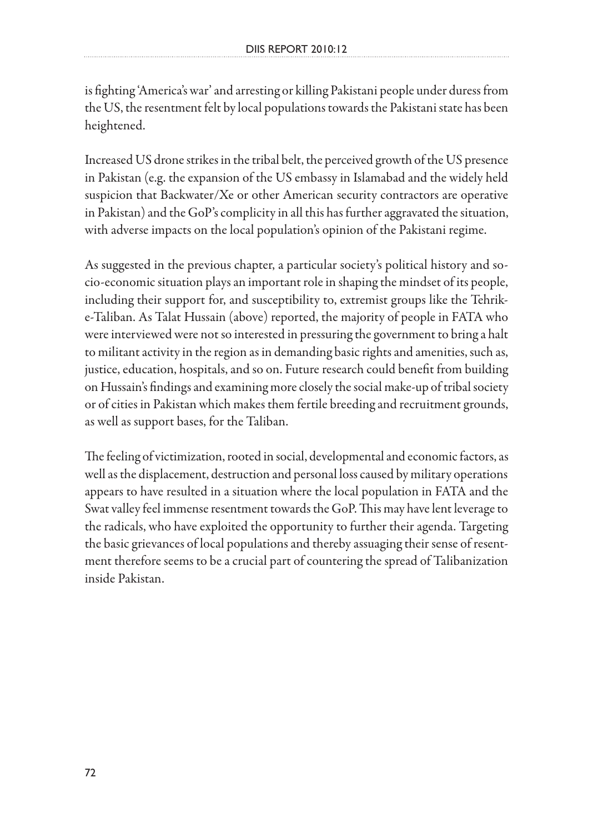is fighting 'America's war' and arresting or killing Pakistani people under duress from the US, the resentment felt by local populations towards the Pakistani state has been heightened.

Increased US drone strikes in the tribal belt, the perceived growth of the US presence in Pakistan (e.g. the expansion of the US embassy in Islamabad and the widely held suspicion that Backwater/Xe or other American security contractors are operative in Pakistan) and the GoP's complicity in all this has further aggravated the situation, with adverse impacts on the local population's opinion of the Pakistani regime.

As suggested in the previous chapter, a particular society's political history and socio-economic situation plays an important role in shaping the mindset of its people, including their support for, and susceptibility to, extremist groups like the Tehrike-Taliban. As Talat Hussain (above) reported, the majority of people in FATA who were interviewed were not so interested in pressuring the government to bring a halt to militant activity in the region as in demanding basic rights and amenities, such as, justice, education, hospitals, and so on. Future research could benefit from building on Hussain's findings and examining more closely the social make-up of tribal society or of cities in Pakistan which makes them fertile breeding and recruitment grounds, as well as support bases, for the Taliban.

The feeling of victimization, rooted in social, developmental and economic factors, as well as the displacement, destruction and personal loss caused by military operations appears to have resulted in a situation where the local population in FATA and the Swat valley feel immense resentment towards the GoP. This may have lent leverage to the radicals, who have exploited the opportunity to further their agenda. Targeting the basic grievances of local populations and thereby assuaging their sense of resentment therefore seems to be a crucial part of countering the spread of Talibanization inside Pakistan.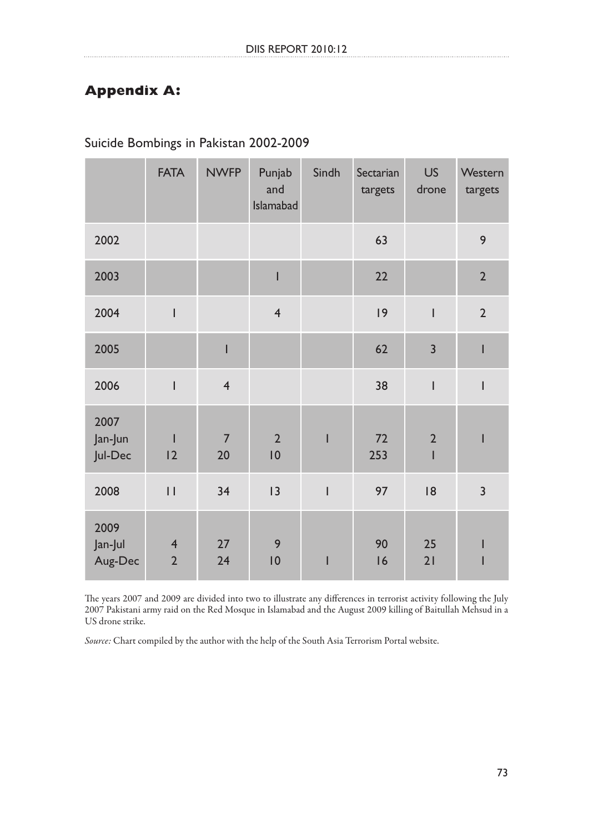## **Appendix A:**

|                            | <b>FATA</b>                               | <b>NWFP</b>          | Punjab<br>and<br>Islamabad        | Sindh                    | Sectarian<br>targets | <b>US</b><br>drone                                                                                                                                                                                                                                                                                                                                                               | Western<br>targets |
|----------------------------|-------------------------------------------|----------------------|-----------------------------------|--------------------------|----------------------|----------------------------------------------------------------------------------------------------------------------------------------------------------------------------------------------------------------------------------------------------------------------------------------------------------------------------------------------------------------------------------|--------------------|
| 2002                       |                                           |                      |                                   |                          | 63                   |                                                                                                                                                                                                                                                                                                                                                                                  | 9                  |
| 2003                       |                                           |                      | I                                 |                          | 22                   |                                                                                                                                                                                                                                                                                                                                                                                  | $\overline{2}$     |
| 2004                       | I                                         |                      | $\overline{4}$                    |                          | 9                    | $\overline{\phantom{a}}$                                                                                                                                                                                                                                                                                                                                                         | $\overline{2}$     |
| 2005                       |                                           | I                    |                                   |                          | 62                   | $\overline{3}$                                                                                                                                                                                                                                                                                                                                                                   | I                  |
| 2006                       | ı                                         | $\overline{4}$       |                                   |                          | 38                   | $\begin{array}{c} \rule{0pt}{2.5ex} \rule{0pt}{2.5ex} \rule{0pt}{2.5ex} \rule{0pt}{2.5ex} \rule{0pt}{2.5ex} \rule{0pt}{2.5ex} \rule{0pt}{2.5ex} \rule{0pt}{2.5ex} \rule{0pt}{2.5ex} \rule{0pt}{2.5ex} \rule{0pt}{2.5ex} \rule{0pt}{2.5ex} \rule{0pt}{2.5ex} \rule{0pt}{2.5ex} \rule{0pt}{2.5ex} \rule{0pt}{2.5ex} \rule{0pt}{2.5ex} \rule{0pt}{2.5ex} \rule{0pt}{2.5ex} \rule{0$ | I                  |
| 2007<br>Jan-Jun<br>Jul-Dec | 12                                        | $\overline{7}$<br>20 | $\overline{2}$<br>$\overline{10}$ | I                        | 72<br>253            | $\overline{2}$<br>$\mathsf I$                                                                                                                                                                                                                                                                                                                                                    | I                  |
| 2008                       | $\mid \; \mid$                            | 34                   | 13                                | $\overline{\phantom{a}}$ | 97                   | 8                                                                                                                                                                                                                                                                                                                                                                                | 3                  |
| 2009<br>Jan-Jul<br>Aug-Dec | $\overline{\mathbf{r}}$<br>$\overline{2}$ | 27<br>24             | 9<br>$\overline{10}$              | $\overline{\phantom{a}}$ | 90<br>16             | 25<br>21                                                                                                                                                                                                                                                                                                                                                                         |                    |

Suicide Bombings in Pakistan 2002-2009

The years 2007 and 2009 are divided into two to illustrate any differences in terrorist activity following the July 2007 Pakistani army raid on the Red Mosque in Islamabad and the August 2009 killing of Baitullah Mehsud in a US drone strike.

Source: Chart compiled by the author with the help of the South Asia Terrorism Portal website.